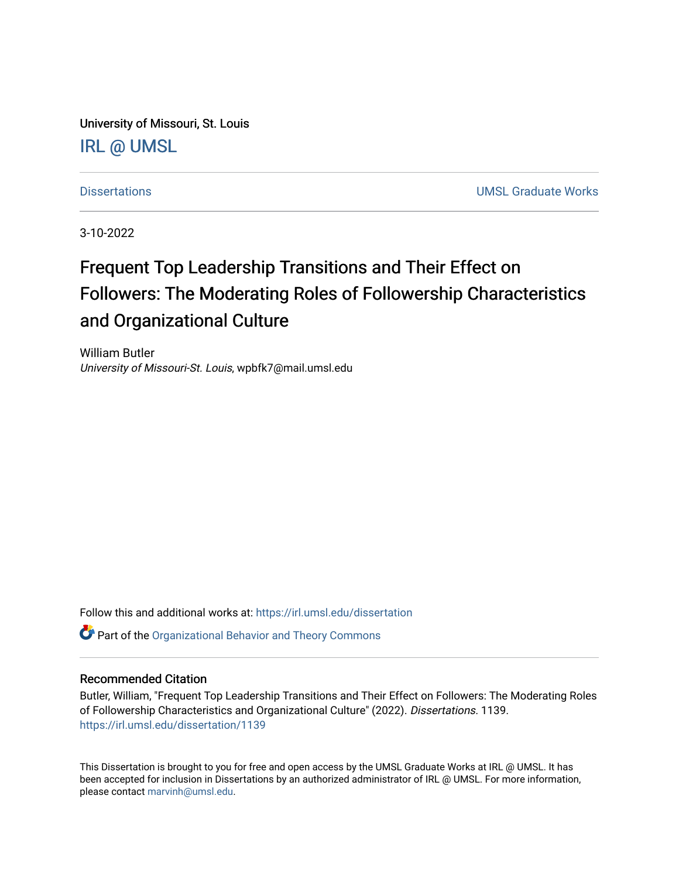University of Missouri, St. Louis [IRL @ UMSL](https://irl.umsl.edu/) 

[Dissertations](https://irl.umsl.edu/dissertation) [UMSL Graduate Works](https://irl.umsl.edu/grad) 

3-10-2022

# Frequent Top Leadership Transitions and Their Effect on Followers: The Moderating Roles of Followership Characteristics and Organizational Culture

William Butler University of Missouri-St. Louis, wpbfk7@mail.umsl.edu

Follow this and additional works at: [https://irl.umsl.edu/dissertation](https://irl.umsl.edu/dissertation?utm_source=irl.umsl.edu%2Fdissertation%2F1139&utm_medium=PDF&utm_campaign=PDFCoverPages)

**C** Part of the Organizational Behavior and Theory Commons

#### Recommended Citation

Butler, William, "Frequent Top Leadership Transitions and Their Effect on Followers: The Moderating Roles of Followership Characteristics and Organizational Culture" (2022). Dissertations. 1139. [https://irl.umsl.edu/dissertation/1139](https://irl.umsl.edu/dissertation/1139?utm_source=irl.umsl.edu%2Fdissertation%2F1139&utm_medium=PDF&utm_campaign=PDFCoverPages) 

This Dissertation is brought to you for free and open access by the UMSL Graduate Works at IRL @ UMSL. It has been accepted for inclusion in Dissertations by an authorized administrator of IRL @ UMSL. For more information, please contact [marvinh@umsl.edu](mailto:marvinh@umsl.edu).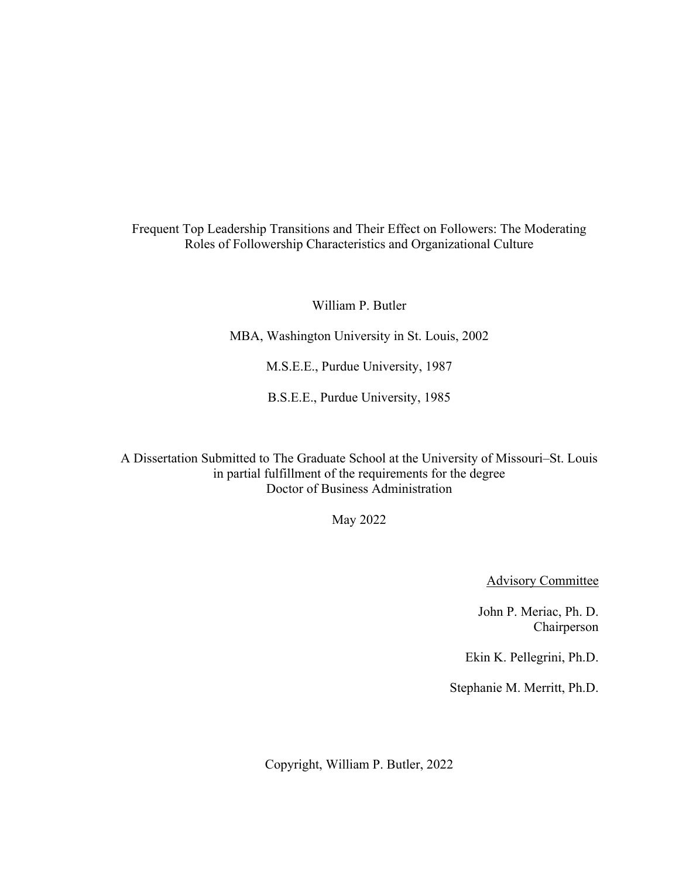Frequent Top Leadership Transitions and Their Effect on Followers: The Moderating Roles of Followership Characteristics and Organizational Culture

William P. Butler

MBA, Washington University in St. Louis, 2002

M.S.E.E., Purdue University, 1987

B.S.E.E., Purdue University, 1985

A Dissertation Submitted to The Graduate School at the University of Missouri–St. Louis in partial fulfillment of the requirements for the degree Doctor of Business Administration

May 2022

Advisory Committee

John P. Meriac, Ph. D. Chairperson

Ekin K. Pellegrini, Ph.D.

Stephanie M. Merritt, Ph.D.

Copyright, William P. Butler, 2022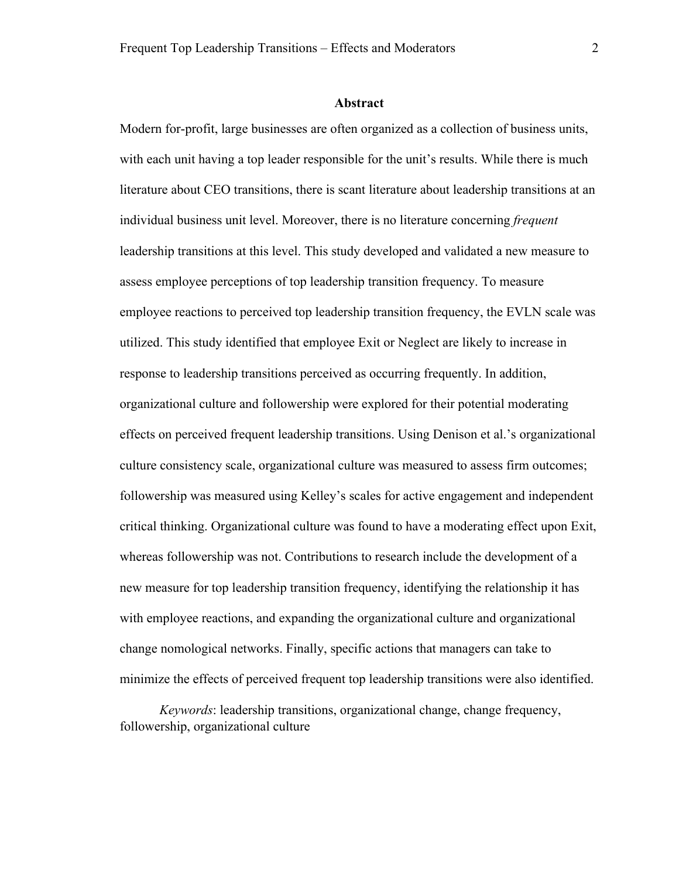#### **Abstract**

Modern for-profit, large businesses are often organized as a collection of business units, with each unit having a top leader responsible for the unit's results. While there is much literature about CEO transitions, there is scant literature about leadership transitions at an individual business unit level. Moreover, there is no literature concerning *frequent* leadership transitions at this level. This study developed and validated a new measure to assess employee perceptions of top leadership transition frequency. To measure employee reactions to perceived top leadership transition frequency, the EVLN scale was utilized. This study identified that employee Exit or Neglect are likely to increase in response to leadership transitions perceived as occurring frequently. In addition, organizational culture and followership were explored for their potential moderating effects on perceived frequent leadership transitions. Using Denison et al.'s organizational culture consistency scale, organizational culture was measured to assess firm outcomes; followership was measured using Kelley's scales for active engagement and independent critical thinking. Organizational culture was found to have a moderating effect upon Exit, whereas followership was not. Contributions to research include the development of a new measure for top leadership transition frequency, identifying the relationship it has with employee reactions, and expanding the organizational culture and organizational change nomological networks. Finally, specific actions that managers can take to minimize the effects of perceived frequent top leadership transitions were also identified.

*Keywords*: leadership transitions, organizational change, change frequency, followership, organizational culture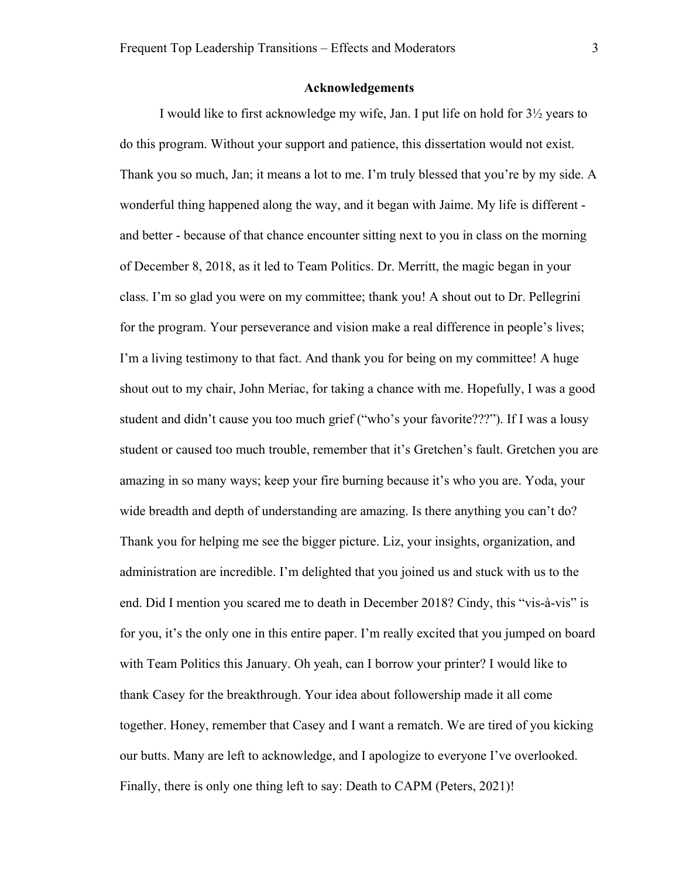#### **Acknowledgements**

I would like to first acknowledge my wife, Jan. I put life on hold for 3½ years to do this program. Without your support and patience, this dissertation would not exist. Thank you so much, Jan; it means a lot to me. I'm truly blessed that you're by my side. A wonderful thing happened along the way, and it began with Jaime. My life is different and better - because of that chance encounter sitting next to you in class on the morning of December 8, 2018, as it led to Team Politics. Dr. Merritt, the magic began in your class. I'm so glad you were on my committee; thank you! A shout out to Dr. Pellegrini for the program. Your perseverance and vision make a real difference in people's lives; I'm a living testimony to that fact. And thank you for being on my committee! A huge shout out to my chair, John Meriac, for taking a chance with me. Hopefully, I was a good student and didn't cause you too much grief ("who's your favorite???"). If I was a lousy student or caused too much trouble, remember that it's Gretchen's fault. Gretchen you are amazing in so many ways; keep your fire burning because it's who you are. Yoda, your wide breadth and depth of understanding are amazing. Is there anything you can't do? Thank you for helping me see the bigger picture. Liz, your insights, organization, and administration are incredible. I'm delighted that you joined us and stuck with us to the end. Did I mention you scared me to death in December 2018? Cindy, this "vis-à-vis" is for you, it's the only one in this entire paper. I'm really excited that you jumped on board with Team Politics this January. Oh yeah, can I borrow your printer? I would like to thank Casey for the breakthrough. Your idea about followership made it all come together. Honey, remember that Casey and I want a rematch. We are tired of you kicking our butts. Many are left to acknowledge, and I apologize to everyone I've overlooked. Finally, there is only one thing left to say: Death to CAPM (Peters, 2021)!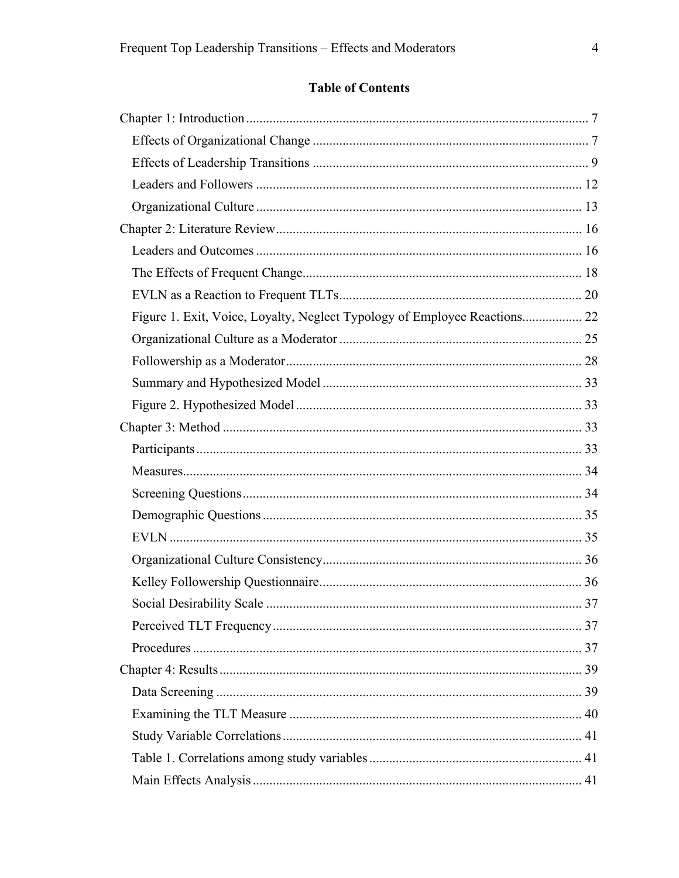## **Table of Contents**

| Figure 1. Exit, Voice, Loyalty, Neglect Typology of Employee Reactions 22 |  |
|---------------------------------------------------------------------------|--|
|                                                                           |  |
|                                                                           |  |
|                                                                           |  |
|                                                                           |  |
|                                                                           |  |
|                                                                           |  |
|                                                                           |  |
|                                                                           |  |
|                                                                           |  |
|                                                                           |  |
|                                                                           |  |
|                                                                           |  |
|                                                                           |  |
|                                                                           |  |
|                                                                           |  |
|                                                                           |  |
|                                                                           |  |
|                                                                           |  |
|                                                                           |  |
|                                                                           |  |
|                                                                           |  |
|                                                                           |  |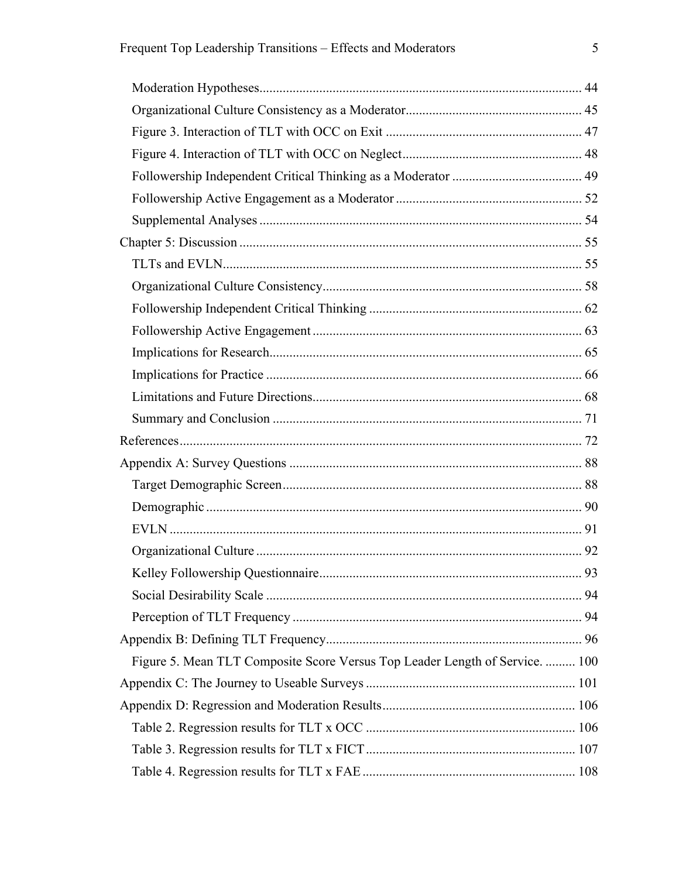| Figure 5. Mean TLT Composite Score Versus Top Leader Length of Service.  100 |  |
|------------------------------------------------------------------------------|--|
|                                                                              |  |
|                                                                              |  |
|                                                                              |  |
|                                                                              |  |
|                                                                              |  |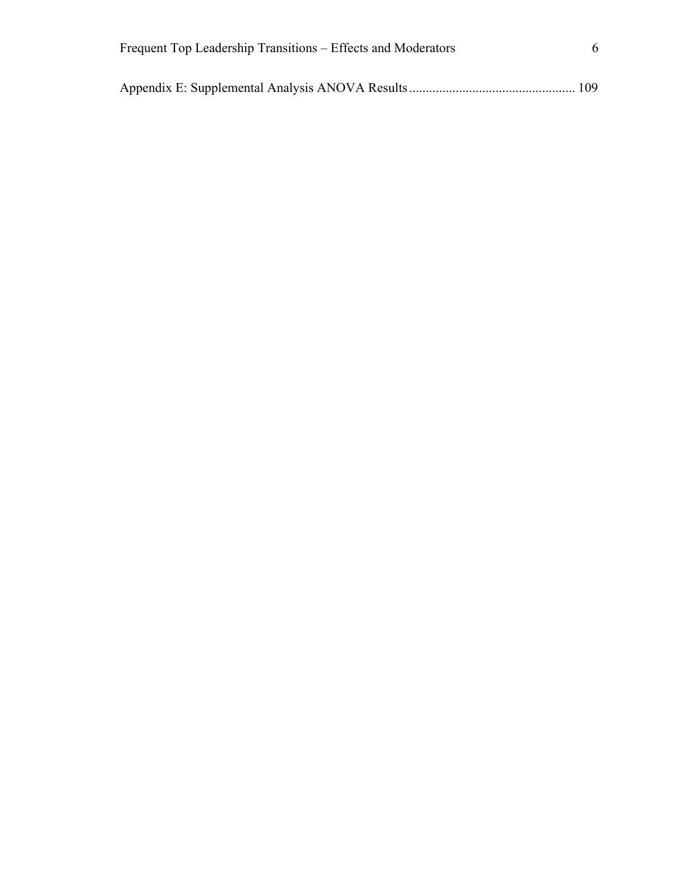| Frequent Top Leadership Transitions – Effects and Moderators |  |
|--------------------------------------------------------------|--|
|                                                              |  |
|                                                              |  |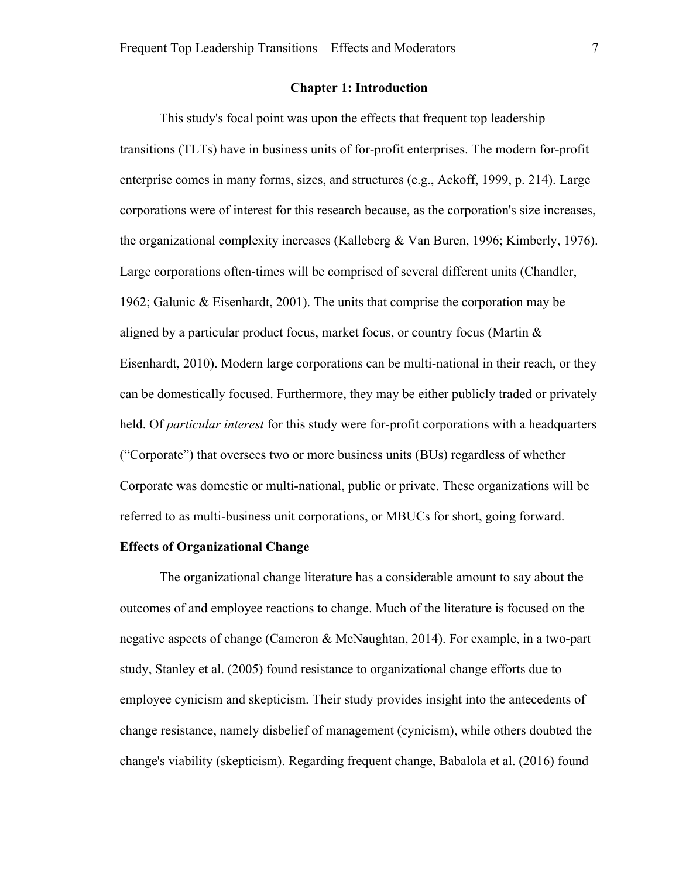#### **Chapter 1: Introduction**

This study's focal point was upon the effects that frequent top leadership transitions (TLTs) have in business units of for-profit enterprises. The modern for-profit enterprise comes in many forms, sizes, and structures (e.g., Ackoff, 1999, p. 214). Large corporations were of interest for this research because, as the corporation's size increases, the organizational complexity increases (Kalleberg & Van Buren, 1996; Kimberly, 1976). Large corporations often-times will be comprised of several different units (Chandler, 1962; Galunic & Eisenhardt, 2001). The units that comprise the corporation may be aligned by a particular product focus, market focus, or country focus (Martin  $\&$ Eisenhardt, 2010). Modern large corporations can be multi-national in their reach, or they can be domestically focused. Furthermore, they may be either publicly traded or privately held. Of *particular interest* for this study were for-profit corporations with a headquarters ("Corporate") that oversees two or more business units (BUs) regardless of whether Corporate was domestic or multi-national, public or private. These organizations will be referred to as multi-business unit corporations, or MBUCs for short, going forward.

#### **Effects of Organizational Change**

The organizational change literature has a considerable amount to say about the outcomes of and employee reactions to change. Much of the literature is focused on the negative aspects of change (Cameron & McNaughtan, 2014). For example, in a two-part study, Stanley et al. (2005) found resistance to organizational change efforts due to employee cynicism and skepticism. Their study provides insight into the antecedents of change resistance, namely disbelief of management (cynicism), while others doubted the change's viability (skepticism). Regarding frequent change, Babalola et al. (2016) found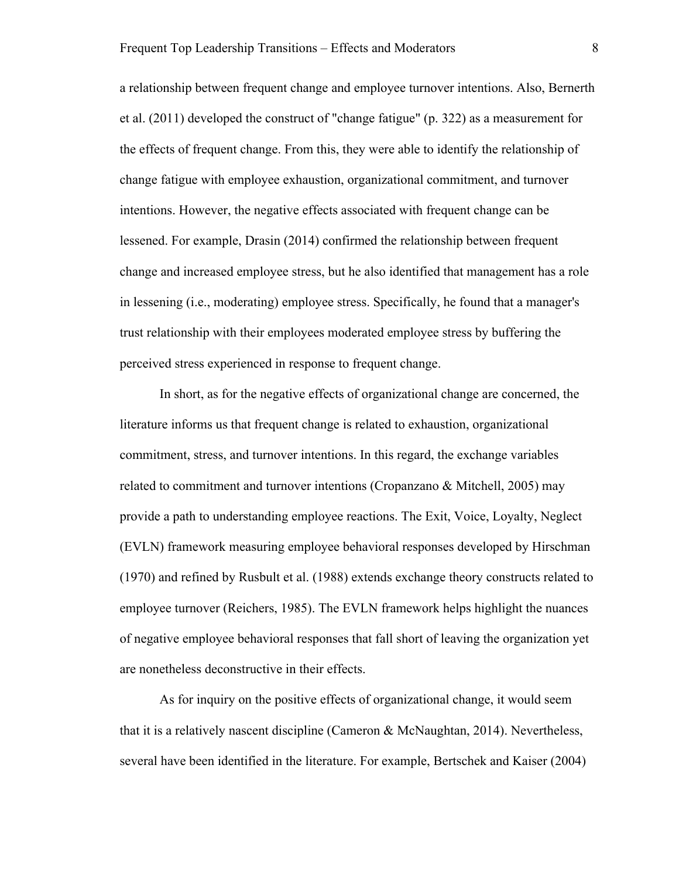a relationship between frequent change and employee turnover intentions. Also, Bernerth et al. (2011) developed the construct of "change fatigue" (p. 322) as a measurement for the effects of frequent change. From this, they were able to identify the relationship of change fatigue with employee exhaustion, organizational commitment, and turnover intentions. However, the negative effects associated with frequent change can be lessened. For example, Drasin (2014) confirmed the relationship between frequent change and increased employee stress, but he also identified that management has a role in lessening (i.e., moderating) employee stress. Specifically, he found that a manager's trust relationship with their employees moderated employee stress by buffering the perceived stress experienced in response to frequent change.

In short, as for the negative effects of organizational change are concerned, the literature informs us that frequent change is related to exhaustion, organizational commitment, stress, and turnover intentions. In this regard, the exchange variables related to commitment and turnover intentions (Cropanzano & Mitchell, 2005) may provide a path to understanding employee reactions. The Exit, Voice, Loyalty, Neglect (EVLN) framework measuring employee behavioral responses developed by Hirschman (1970) and refined by Rusbult et al. (1988) extends exchange theory constructs related to employee turnover (Reichers, 1985). The EVLN framework helps highlight the nuances of negative employee behavioral responses that fall short of leaving the organization yet are nonetheless deconstructive in their effects.

As for inquiry on the positive effects of organizational change, it would seem that it is a relatively nascent discipline (Cameron & McNaughtan, 2014). Nevertheless, several have been identified in the literature. For example, Bertschek and Kaiser (2004)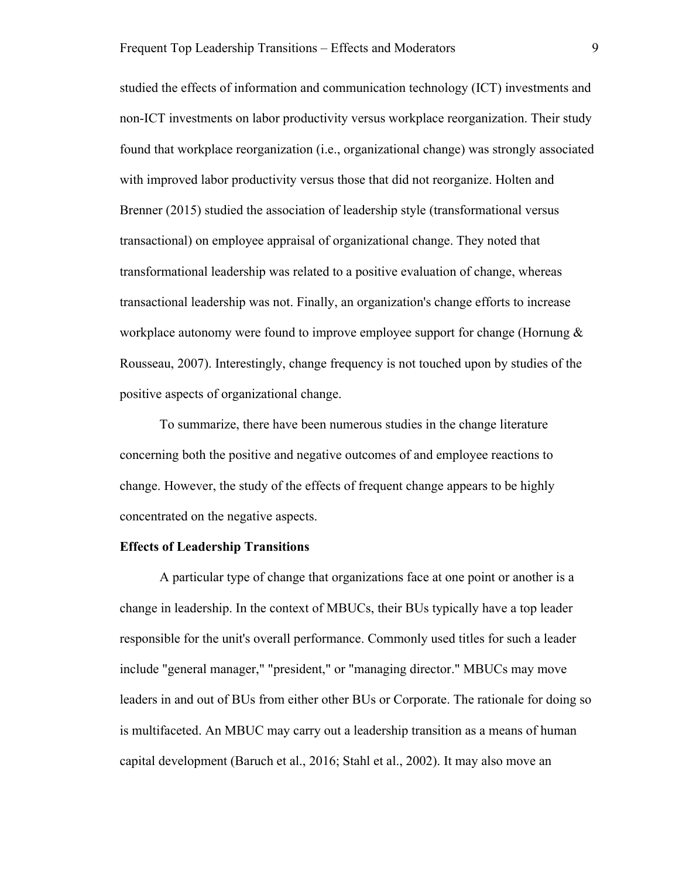studied the effects of information and communication technology (ICT) investments and non-ICT investments on labor productivity versus workplace reorganization. Their study found that workplace reorganization (i.e., organizational change) was strongly associated with improved labor productivity versus those that did not reorganize. Holten and Brenner (2015) studied the association of leadership style (transformational versus transactional) on employee appraisal of organizational change. They noted that transformational leadership was related to a positive evaluation of change, whereas transactional leadership was not. Finally, an organization's change efforts to increase workplace autonomy were found to improve employee support for change (Hornung & Rousseau, 2007). Interestingly, change frequency is not touched upon by studies of the positive aspects of organizational change.

To summarize, there have been numerous studies in the change literature concerning both the positive and negative outcomes of and employee reactions to change. However, the study of the effects of frequent change appears to be highly concentrated on the negative aspects.

#### **Effects of Leadership Transitions**

A particular type of change that organizations face at one point or another is a change in leadership. In the context of MBUCs, their BUs typically have a top leader responsible for the unit's overall performance. Commonly used titles for such a leader include "general manager," "president," or "managing director." MBUCs may move leaders in and out of BUs from either other BUs or Corporate. The rationale for doing so is multifaceted. An MBUC may carry out a leadership transition as a means of human capital development (Baruch et al., 2016; Stahl et al., 2002). It may also move an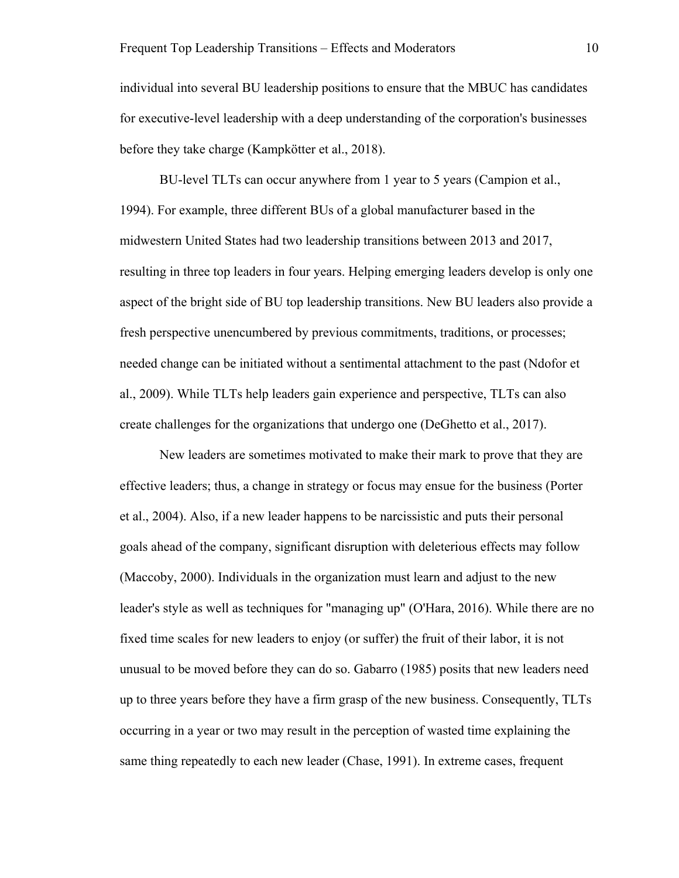individual into several BU leadership positions to ensure that the MBUC has candidates for executive-level leadership with a deep understanding of the corporation's businesses before they take charge (Kampkötter et al., 2018).

BU-level TLTs can occur anywhere from 1 year to 5 years (Campion et al., 1994). For example, three different BUs of a global manufacturer based in the midwestern United States had two leadership transitions between 2013 and 2017, resulting in three top leaders in four years. Helping emerging leaders develop is only one aspect of the bright side of BU top leadership transitions. New BU leaders also provide a fresh perspective unencumbered by previous commitments, traditions, or processes; needed change can be initiated without a sentimental attachment to the past (Ndofor et al., 2009). While TLTs help leaders gain experience and perspective, TLTs can also create challenges for the organizations that undergo one (DeGhetto et al., 2017).

New leaders are sometimes motivated to make their mark to prove that they are effective leaders; thus, a change in strategy or focus may ensue for the business (Porter et al., 2004). Also, if a new leader happens to be narcissistic and puts their personal goals ahead of the company, significant disruption with deleterious effects may follow (Maccoby, 2000). Individuals in the organization must learn and adjust to the new leader's style as well as techniques for "managing up" (O'Hara, 2016). While there are no fixed time scales for new leaders to enjoy (or suffer) the fruit of their labor, it is not unusual to be moved before they can do so. Gabarro (1985) posits that new leaders need up to three years before they have a firm grasp of the new business. Consequently, TLTs occurring in a year or two may result in the perception of wasted time explaining the same thing repeatedly to each new leader (Chase, 1991). In extreme cases, frequent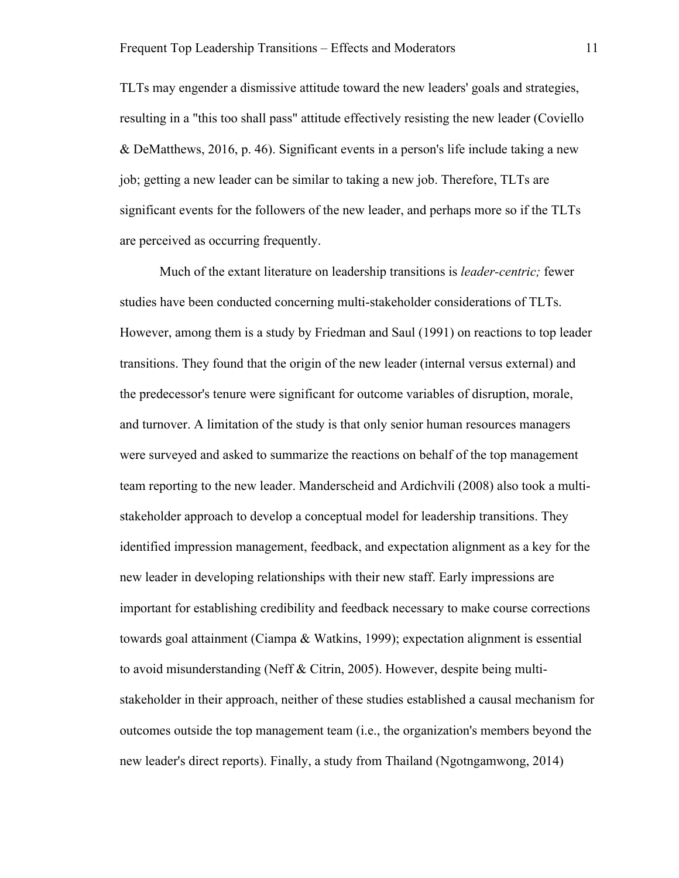TLTs may engender a dismissive attitude toward the new leaders' goals and strategies, resulting in a "this too shall pass" attitude effectively resisting the new leader (Coviello & DeMatthews, 2016, p. 46). Significant events in a person's life include taking a new job; getting a new leader can be similar to taking a new job. Therefore, TLTs are significant events for the followers of the new leader, and perhaps more so if the TLTs are perceived as occurring frequently.

Much of the extant literature on leadership transitions is *leader-centric;* fewer studies have been conducted concerning multi-stakeholder considerations of TLTs. However, among them is a study by Friedman and Saul (1991) on reactions to top leader transitions. They found that the origin of the new leader (internal versus external) and the predecessor's tenure were significant for outcome variables of disruption, morale, and turnover. A limitation of the study is that only senior human resources managers were surveyed and asked to summarize the reactions on behalf of the top management team reporting to the new leader. Manderscheid and Ardichvili (2008) also took a multistakeholder approach to develop a conceptual model for leadership transitions. They identified impression management, feedback, and expectation alignment as a key for the new leader in developing relationships with their new staff. Early impressions are important for establishing credibility and feedback necessary to make course corrections towards goal attainment (Ciampa & Watkins, 1999); expectation alignment is essential to avoid misunderstanding (Neff & Citrin, 2005). However, despite being multistakeholder in their approach, neither of these studies established a causal mechanism for outcomes outside the top management team (i.e., the organization's members beyond the new leader's direct reports). Finally, a study from Thailand (Ngotngamwong, 2014)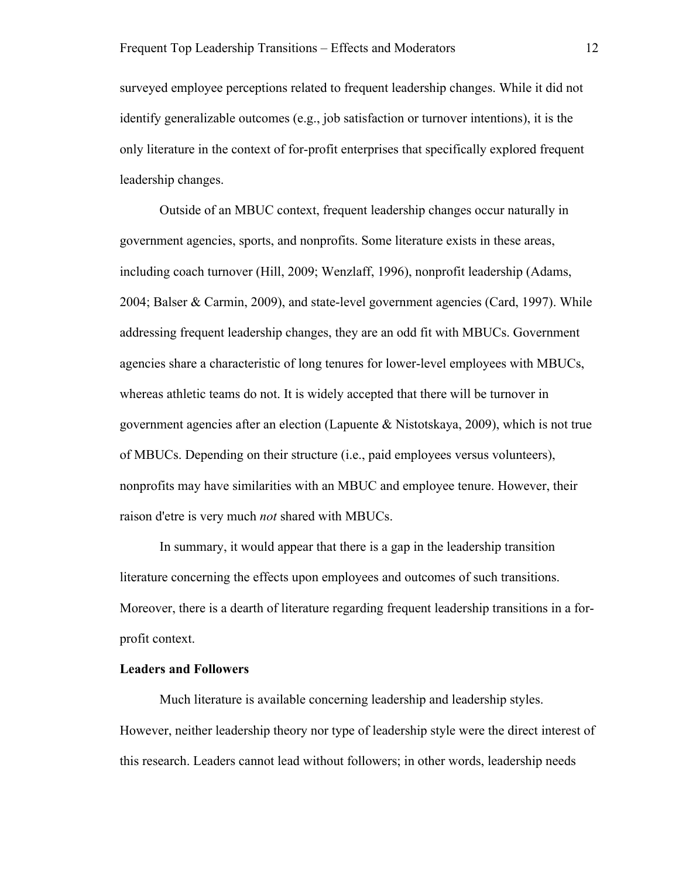surveyed employee perceptions related to frequent leadership changes. While it did not identify generalizable outcomes (e.g., job satisfaction or turnover intentions), it is the only literature in the context of for-profit enterprises that specifically explored frequent leadership changes.

Outside of an MBUC context, frequent leadership changes occur naturally in government agencies, sports, and nonprofits. Some literature exists in these areas, including coach turnover (Hill, 2009; Wenzlaff, 1996), nonprofit leadership (Adams, 2004; Balser & Carmin, 2009), and state-level government agencies (Card, 1997). While addressing frequent leadership changes, they are an odd fit with MBUCs. Government agencies share a characteristic of long tenures for lower-level employees with MBUCs, whereas athletic teams do not. It is widely accepted that there will be turnover in government agencies after an election (Lapuente & Nistotskaya, 2009), which is not true of MBUCs. Depending on their structure (i.e., paid employees versus volunteers), nonprofits may have similarities with an MBUC and employee tenure. However, their raison d'etre is very much *not* shared with MBUCs.

In summary, it would appear that there is a gap in the leadership transition literature concerning the effects upon employees and outcomes of such transitions. Moreover, there is a dearth of literature regarding frequent leadership transitions in a forprofit context.

#### **Leaders and Followers**

Much literature is available concerning leadership and leadership styles. However, neither leadership theory nor type of leadership style were the direct interest of this research. Leaders cannot lead without followers; in other words, leadership needs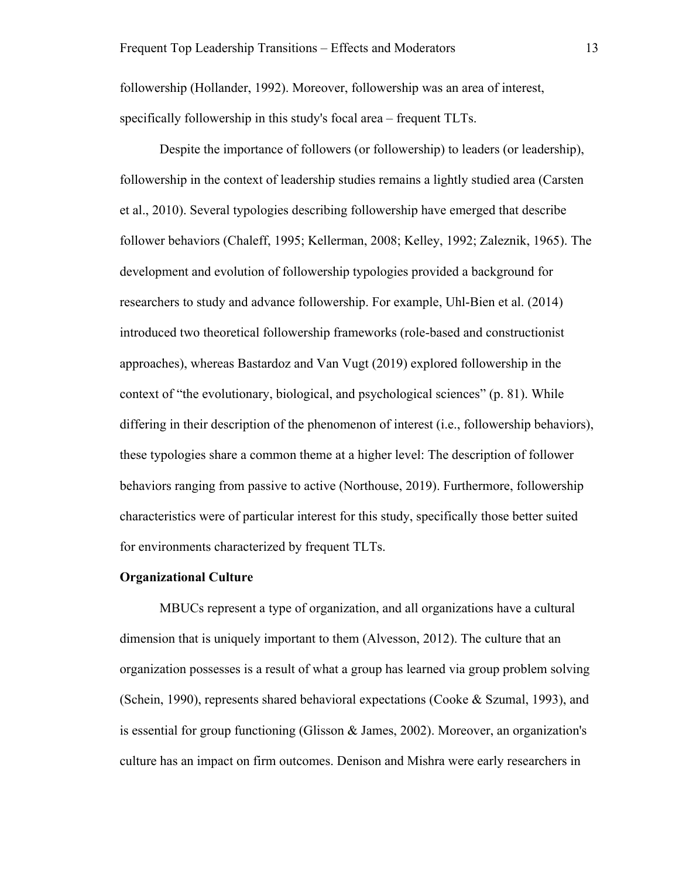followership (Hollander, 1992). Moreover, followership was an area of interest, specifically followership in this study's focal area – frequent TLTs.

Despite the importance of followers (or followership) to leaders (or leadership), followership in the context of leadership studies remains a lightly studied area (Carsten et al., 2010). Several typologies describing followership have emerged that describe follower behaviors (Chaleff, 1995; Kellerman, 2008; Kelley, 1992; Zaleznik, 1965). The development and evolution of followership typologies provided a background for researchers to study and advance followership. For example, Uhl-Bien et al. (2014) introduced two theoretical followership frameworks (role-based and constructionist approaches), whereas Bastardoz and Van Vugt (2019) explored followership in the context of "the evolutionary, biological, and psychological sciences" (p. 81). While differing in their description of the phenomenon of interest (i.e., followership behaviors), these typologies share a common theme at a higher level: The description of follower behaviors ranging from passive to active (Northouse, 2019). Furthermore, followership characteristics were of particular interest for this study, specifically those better suited for environments characterized by frequent TLTs.

#### **Organizational Culture**

MBUCs represent a type of organization, and all organizations have a cultural dimension that is uniquely important to them (Alvesson, 2012). The culture that an organization possesses is a result of what a group has learned via group problem solving (Schein, 1990), represents shared behavioral expectations (Cooke & Szumal, 1993), and is essential for group functioning (Glisson & James, 2002). Moreover, an organization's culture has an impact on firm outcomes. Denison and Mishra were early researchers in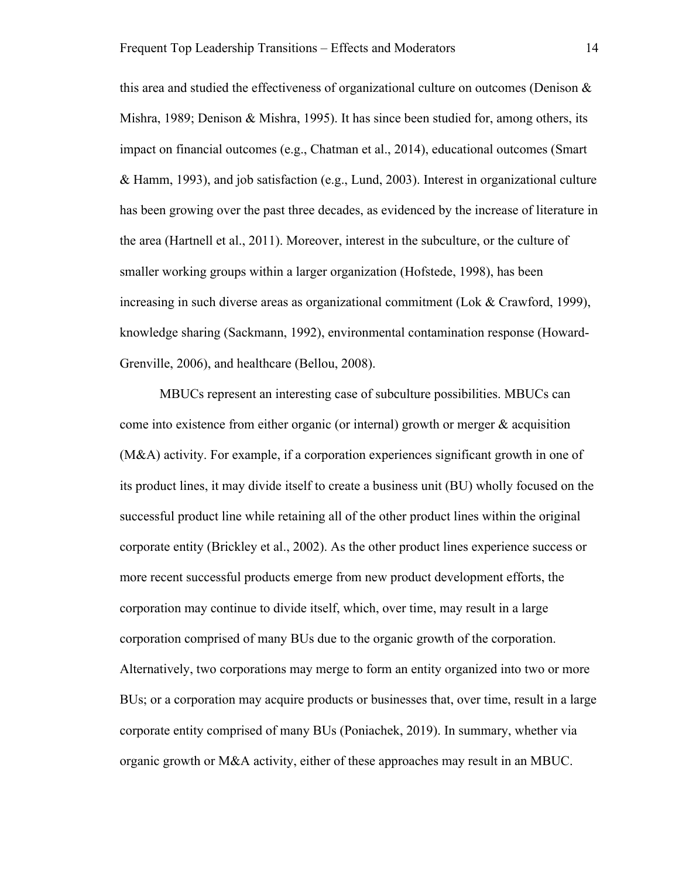this area and studied the effectiveness of organizational culture on outcomes (Denison  $\&$ Mishra, 1989; Denison & Mishra, 1995). It has since been studied for, among others, its impact on financial outcomes (e.g., Chatman et al., 2014), educational outcomes (Smart & Hamm, 1993), and job satisfaction (e.g., Lund, 2003). Interest in organizational culture has been growing over the past three decades, as evidenced by the increase of literature in the area (Hartnell et al., 2011). Moreover, interest in the subculture, or the culture of smaller working groups within a larger organization (Hofstede, 1998), has been increasing in such diverse areas as organizational commitment (Lok & Crawford, 1999), knowledge sharing (Sackmann, 1992), environmental contamination response (Howard-Grenville, 2006), and healthcare (Bellou, 2008).

MBUCs represent an interesting case of subculture possibilities. MBUCs can come into existence from either organic (or internal) growth or merger  $\&$  acquisition (M&A) activity. For example, if a corporation experiences significant growth in one of its product lines, it may divide itself to create a business unit (BU) wholly focused on the successful product line while retaining all of the other product lines within the original corporate entity (Brickley et al., 2002). As the other product lines experience success or more recent successful products emerge from new product development efforts, the corporation may continue to divide itself, which, over time, may result in a large corporation comprised of many BUs due to the organic growth of the corporation. Alternatively, two corporations may merge to form an entity organized into two or more BUs; or a corporation may acquire products or businesses that, over time, result in a large corporate entity comprised of many BUs (Poniachek, 2019). In summary, whether via organic growth or M&A activity, either of these approaches may result in an MBUC.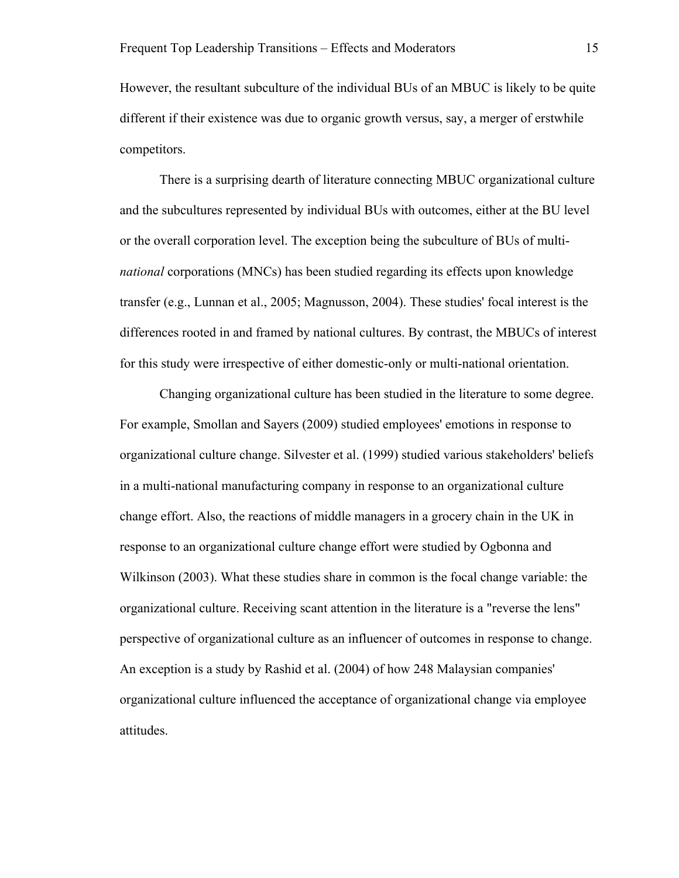However, the resultant subculture of the individual BUs of an MBUC is likely to be quite different if their existence was due to organic growth versus, say, a merger of erstwhile competitors.

There is a surprising dearth of literature connecting MBUC organizational culture and the subcultures represented by individual BUs with outcomes, either at the BU level or the overall corporation level. The exception being the subculture of BUs of multi*national* corporations (MNCs) has been studied regarding its effects upon knowledge transfer (e.g., Lunnan et al., 2005; Magnusson, 2004). These studies' focal interest is the differences rooted in and framed by national cultures. By contrast, the MBUCs of interest for this study were irrespective of either domestic-only or multi-national orientation.

Changing organizational culture has been studied in the literature to some degree. For example, Smollan and Sayers (2009) studied employees' emotions in response to organizational culture change. Silvester et al. (1999) studied various stakeholders' beliefs in a multi-national manufacturing company in response to an organizational culture change effort. Also, the reactions of middle managers in a grocery chain in the UK in response to an organizational culture change effort were studied by Ogbonna and Wilkinson (2003). What these studies share in common is the focal change variable: the organizational culture. Receiving scant attention in the literature is a "reverse the lens" perspective of organizational culture as an influencer of outcomes in response to change. An exception is a study by Rashid et al. (2004) of how 248 Malaysian companies' organizational culture influenced the acceptance of organizational change via employee attitudes.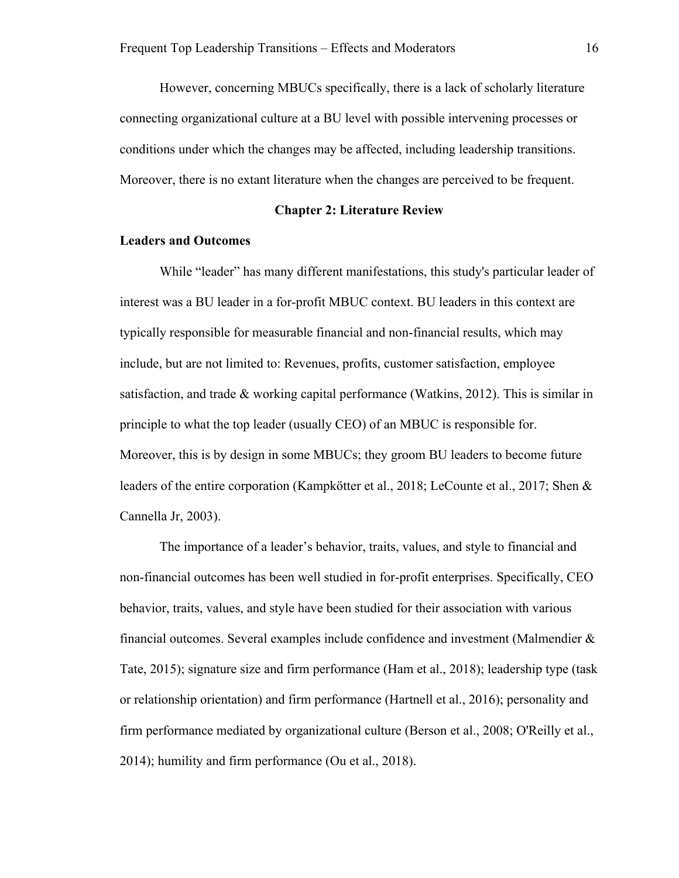However, concerning MBUCs specifically, there is a lack of scholarly literature connecting organizational culture at a BU level with possible intervening processes or conditions under which the changes may be affected, including leadership transitions. Moreover, there is no extant literature when the changes are perceived to be frequent.

#### **Chapter 2: Literature Review**

#### **Leaders and Outcomes**

While "leader" has many different manifestations, this study's particular leader of interest was a BU leader in a for-profit MBUC context. BU leaders in this context are typically responsible for measurable financial and non-financial results, which may include, but are not limited to: Revenues, profits, customer satisfaction, employee satisfaction, and trade & working capital performance (Watkins, 2012). This is similar in principle to what the top leader (usually CEO) of an MBUC is responsible for. Moreover, this is by design in some MBUCs; they groom BU leaders to become future leaders of the entire corporation (Kampkötter et al., 2018; LeCounte et al., 2017; Shen & Cannella Jr, 2003).

The importance of a leader's behavior, traits, values, and style to financial and non-financial outcomes has been well studied in for-profit enterprises. Specifically, CEO behavior, traits, values, and style have been studied for their association with various financial outcomes. Several examples include confidence and investment (Malmendier & Tate, 2015); signature size and firm performance (Ham et al., 2018); leadership type (task or relationship orientation) and firm performance (Hartnell et al., 2016); personality and firm performance mediated by organizational culture (Berson et al., 2008; O'Reilly et al., 2014); humility and firm performance (Ou et al., 2018).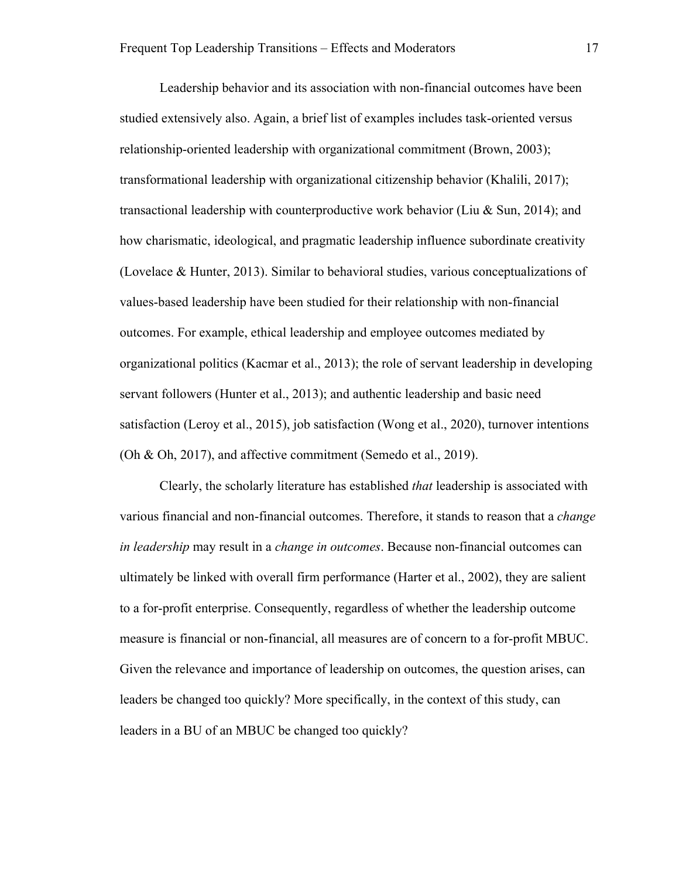Leadership behavior and its association with non-financial outcomes have been studied extensively also. Again, a brief list of examples includes task-oriented versus relationship-oriented leadership with organizational commitment (Brown, 2003); transformational leadership with organizational citizenship behavior (Khalili, 2017); transactional leadership with counterproductive work behavior (Liu & Sun, 2014); and how charismatic, ideological, and pragmatic leadership influence subordinate creativity (Lovelace & Hunter, 2013). Similar to behavioral studies, various conceptualizations of values-based leadership have been studied for their relationship with non-financial outcomes. For example, ethical leadership and employee outcomes mediated by organizational politics (Kacmar et al., 2013); the role of servant leadership in developing servant followers (Hunter et al., 2013); and authentic leadership and basic need satisfaction (Leroy et al., 2015), job satisfaction (Wong et al., 2020), turnover intentions (Oh & Oh, 2017), and affective commitment (Semedo et al., 2019).

Clearly, the scholarly literature has established *that* leadership is associated with various financial and non-financial outcomes. Therefore, it stands to reason that a *change in leadership* may result in a *change in outcomes*. Because non-financial outcomes can ultimately be linked with overall firm performance (Harter et al., 2002), they are salient to a for-profit enterprise. Consequently, regardless of whether the leadership outcome measure is financial or non-financial, all measures are of concern to a for-profit MBUC. Given the relevance and importance of leadership on outcomes, the question arises, can leaders be changed too quickly? More specifically, in the context of this study, can leaders in a BU of an MBUC be changed too quickly?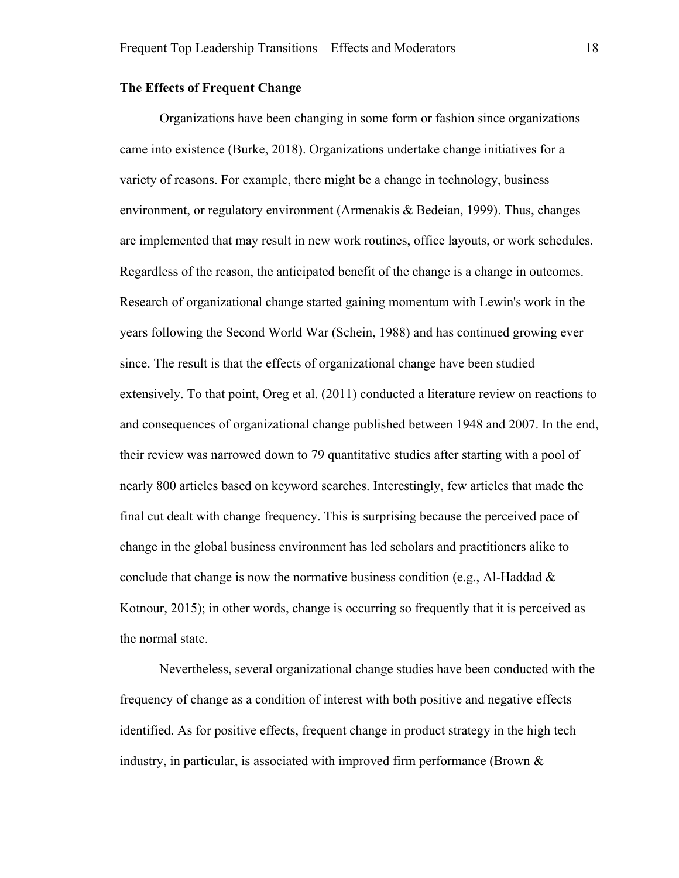#### **The Effects of Frequent Change**

Organizations have been changing in some form or fashion since organizations came into existence (Burke, 2018). Organizations undertake change initiatives for a variety of reasons. For example, there might be a change in technology, business environment, or regulatory environment (Armenakis & Bedeian, 1999). Thus, changes are implemented that may result in new work routines, office layouts, or work schedules. Regardless of the reason, the anticipated benefit of the change is a change in outcomes. Research of organizational change started gaining momentum with Lewin's work in the years following the Second World War (Schein, 1988) and has continued growing ever since. The result is that the effects of organizational change have been studied extensively. To that point, Oreg et al. (2011) conducted a literature review on reactions to and consequences of organizational change published between 1948 and 2007. In the end, their review was narrowed down to 79 quantitative studies after starting with a pool of nearly 800 articles based on keyword searches. Interestingly, few articles that made the final cut dealt with change frequency. This is surprising because the perceived pace of change in the global business environment has led scholars and practitioners alike to conclude that change is now the normative business condition (e.g., Al-Haddad  $\&$ Kotnour, 2015); in other words, change is occurring so frequently that it is perceived as the normal state.

Nevertheless, several organizational change studies have been conducted with the frequency of change as a condition of interest with both positive and negative effects identified. As for positive effects, frequent change in product strategy in the high tech industry, in particular, is associated with improved firm performance (Brown  $\&$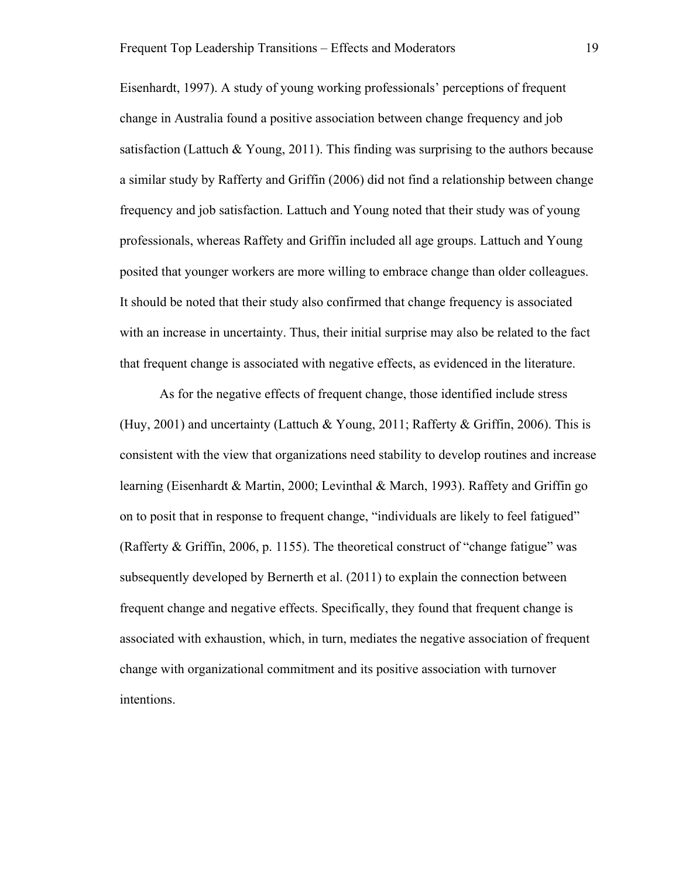Eisenhardt, 1997). A study of young working professionals' perceptions of frequent change in Australia found a positive association between change frequency and job satisfaction (Lattuch & Young, 2011). This finding was surprising to the authors because a similar study by Rafferty and Griffin (2006) did not find a relationship between change frequency and job satisfaction. Lattuch and Young noted that their study was of young professionals, whereas Raffety and Griffin included all age groups. Lattuch and Young posited that younger workers are more willing to embrace change than older colleagues. It should be noted that their study also confirmed that change frequency is associated with an increase in uncertainty. Thus, their initial surprise may also be related to the fact that frequent change is associated with negative effects, as evidenced in the literature.

As for the negative effects of frequent change, those identified include stress (Huy, 2001) and uncertainty (Lattuch & Young, 2011; Rafferty & Griffin, 2006). This is consistent with the view that organizations need stability to develop routines and increase learning (Eisenhardt & Martin, 2000; Levinthal & March, 1993). Raffety and Griffin go on to posit that in response to frequent change, "individuals are likely to feel fatigued" (Rafferty & Griffin, 2006, p. 1155). The theoretical construct of "change fatigue" was subsequently developed by Bernerth et al. (2011) to explain the connection between frequent change and negative effects. Specifically, they found that frequent change is associated with exhaustion, which, in turn, mediates the negative association of frequent change with organizational commitment and its positive association with turnover intentions.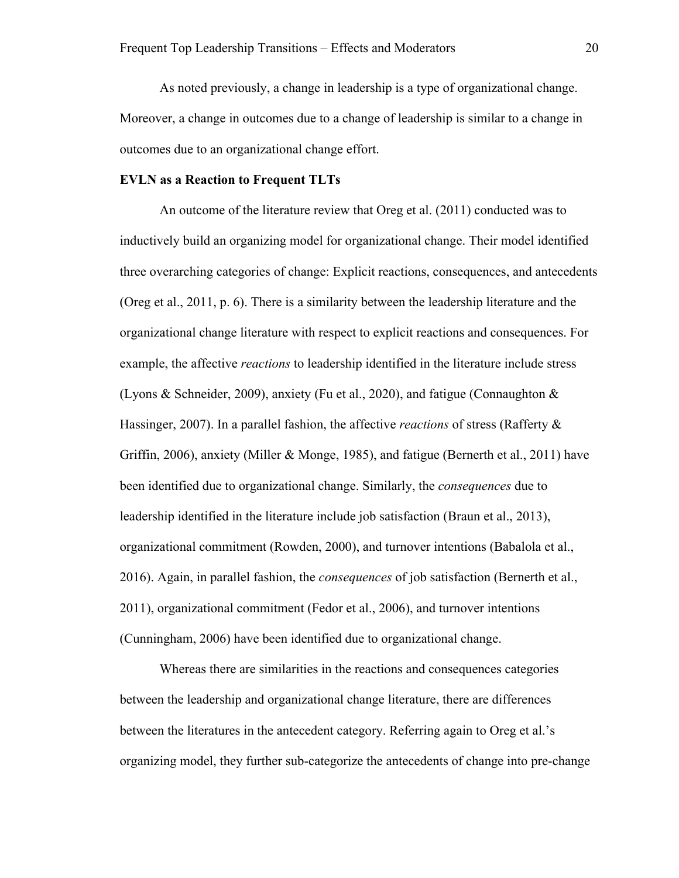As noted previously, a change in leadership is a type of organizational change. Moreover, a change in outcomes due to a change of leadership is similar to a change in outcomes due to an organizational change effort.

#### **EVLN as a Reaction to Frequent TLTs**

An outcome of the literature review that Oreg et al. (2011) conducted was to inductively build an organizing model for organizational change. Their model identified three overarching categories of change: Explicit reactions, consequences, and antecedents (Oreg et al., 2011, p. 6). There is a similarity between the leadership literature and the organizational change literature with respect to explicit reactions and consequences. For example, the affective *reactions* to leadership identified in the literature include stress (Lyons & Schneider, 2009), anxiety (Fu et al., 2020), and fatigue (Connaughton & Hassinger, 2007). In a parallel fashion, the affective *reactions* of stress (Rafferty & Griffin, 2006), anxiety (Miller & Monge, 1985), and fatigue (Bernerth et al., 2011) have been identified due to organizational change. Similarly, the *consequences* due to leadership identified in the literature include job satisfaction (Braun et al., 2013), organizational commitment (Rowden, 2000), and turnover intentions (Babalola et al., 2016). Again, in parallel fashion, the *consequences* of job satisfaction (Bernerth et al., 2011), organizational commitment (Fedor et al., 2006), and turnover intentions (Cunningham, 2006) have been identified due to organizational change.

Whereas there are similarities in the reactions and consequences categories between the leadership and organizational change literature, there are differences between the literatures in the antecedent category. Referring again to Oreg et al.'s organizing model, they further sub-categorize the antecedents of change into pre-change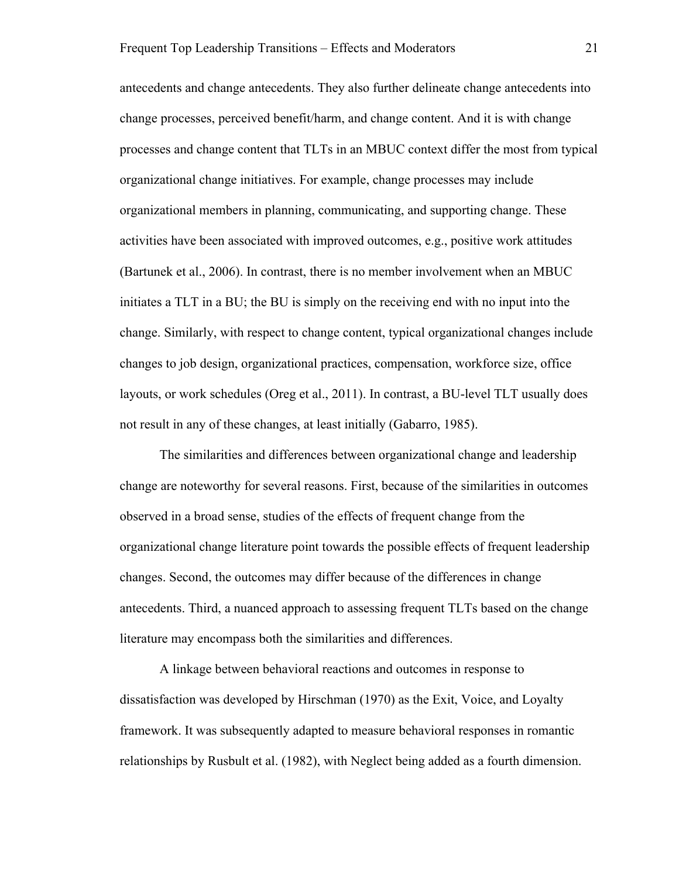antecedents and change antecedents. They also further delineate change antecedents into change processes, perceived benefit/harm, and change content. And it is with change processes and change content that TLTs in an MBUC context differ the most from typical organizational change initiatives. For example, change processes may include organizational members in planning, communicating, and supporting change. These activities have been associated with improved outcomes, e.g., positive work attitudes (Bartunek et al., 2006). In contrast, there is no member involvement when an MBUC initiates a TLT in a BU; the BU is simply on the receiving end with no input into the change. Similarly, with respect to change content, typical organizational changes include changes to job design, organizational practices, compensation, workforce size, office layouts, or work schedules (Oreg et al., 2011). In contrast, a BU-level TLT usually does not result in any of these changes, at least initially (Gabarro, 1985).

The similarities and differences between organizational change and leadership change are noteworthy for several reasons. First, because of the similarities in outcomes observed in a broad sense, studies of the effects of frequent change from the organizational change literature point towards the possible effects of frequent leadership changes. Second, the outcomes may differ because of the differences in change antecedents. Third, a nuanced approach to assessing frequent TLTs based on the change literature may encompass both the similarities and differences.

A linkage between behavioral reactions and outcomes in response to dissatisfaction was developed by Hirschman (1970) as the Exit, Voice, and Loyalty framework. It was subsequently adapted to measure behavioral responses in romantic relationships by Rusbult et al. (1982), with Neglect being added as a fourth dimension.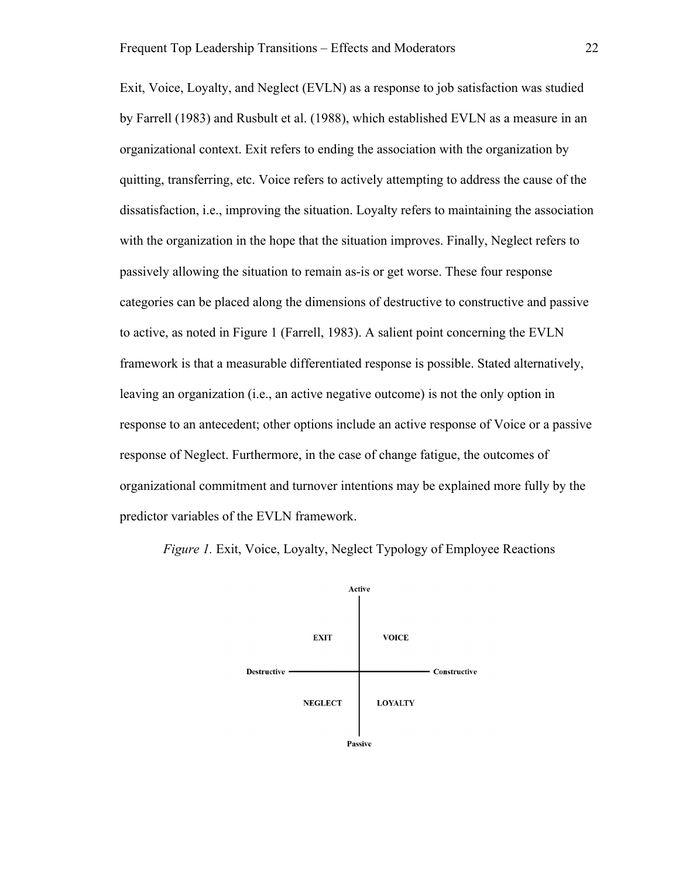Exit, Voice, Loyalty, and Neglect (EVLN) as a response to job satisfaction was studied by Farrell (1983) and Rusbult et al. (1988), which established EVLN as a measure in an organizational context. Exit refers to ending the association with the organization by quitting, transferring, etc. Voice refers to actively attempting to address the cause of the dissatisfaction, i.e., improving the situation. Loyalty refers to maintaining the association with the organization in the hope that the situation improves. Finally, Neglect refers to passively allowing the situation to remain as-is or get worse. These four response categories can be placed along the dimensions of destructive to constructive and passive to active, as noted in Figure 1 (Farrell, 1983). A salient point concerning the EVLN framework is that a measurable differentiated response is possible. Stated alternatively, leaving an organization (i.e., an active negative outcome) is not the only option in response to an antecedent; other options include an active response of Voice or a passive response of Neglect. Furthermore, in the case of change fatigue, the outcomes of organizational commitment and turnover intentions may be explained more fully by the predictor variables of the EVLN framework.

*Figure 1.* Exit, Voice, Loyalty, Neglect Typology of Employee Reactions

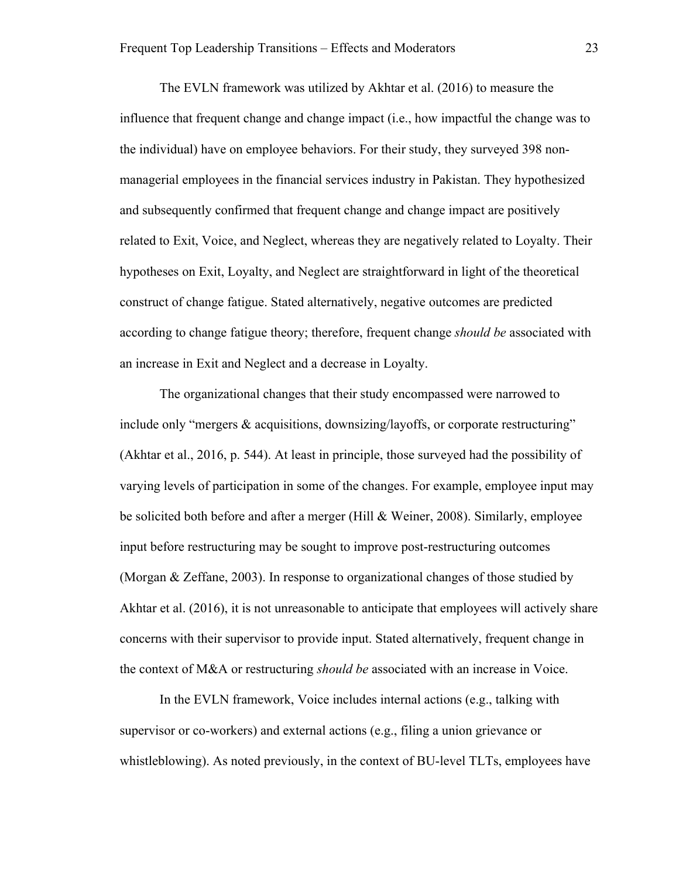The EVLN framework was utilized by Akhtar et al. (2016) to measure the influence that frequent change and change impact (i.e., how impactful the change was to the individual) have on employee behaviors. For their study, they surveyed 398 nonmanagerial employees in the financial services industry in Pakistan. They hypothesized and subsequently confirmed that frequent change and change impact are positively related to Exit, Voice, and Neglect, whereas they are negatively related to Loyalty. Their hypotheses on Exit, Loyalty, and Neglect are straightforward in light of the theoretical construct of change fatigue. Stated alternatively, negative outcomes are predicted according to change fatigue theory; therefore, frequent change *should be* associated with an increase in Exit and Neglect and a decrease in Loyalty.

The organizational changes that their study encompassed were narrowed to include only "mergers & acquisitions, downsizing/layoffs, or corporate restructuring" (Akhtar et al., 2016, p. 544). At least in principle, those surveyed had the possibility of varying levels of participation in some of the changes. For example, employee input may be solicited both before and after a merger (Hill & Weiner, 2008). Similarly, employee input before restructuring may be sought to improve post-restructuring outcomes (Morgan & Zeffane, 2003). In response to organizational changes of those studied by Akhtar et al. (2016), it is not unreasonable to anticipate that employees will actively share concerns with their supervisor to provide input. Stated alternatively, frequent change in the context of M&A or restructuring *should be* associated with an increase in Voice.

In the EVLN framework, Voice includes internal actions (e.g., talking with supervisor or co-workers) and external actions (e.g., filing a union grievance or whistleblowing). As noted previously, in the context of BU-level TLTs, employees have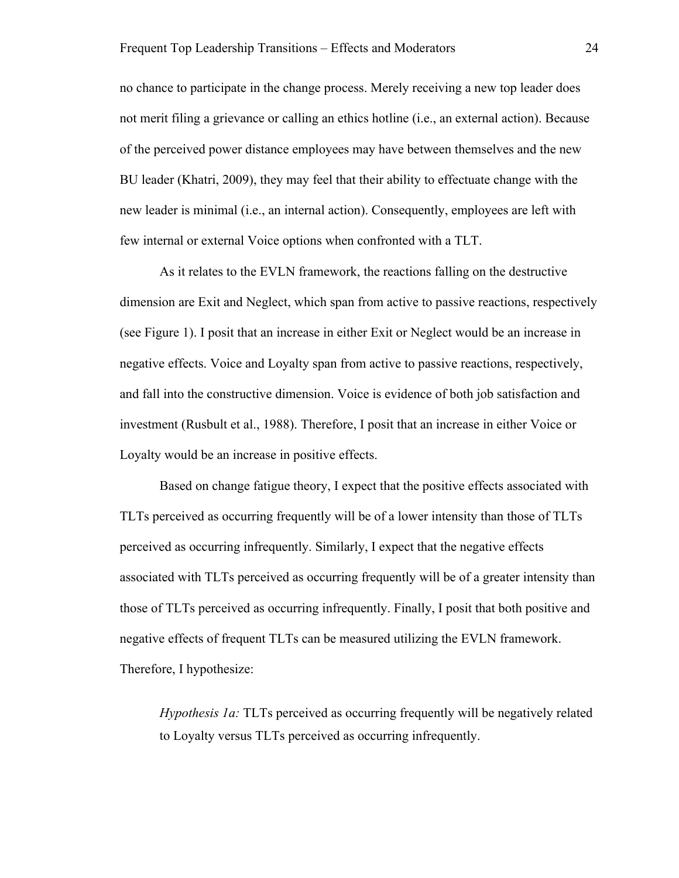no chance to participate in the change process. Merely receiving a new top leader does not merit filing a grievance or calling an ethics hotline (i.e., an external action). Because of the perceived power distance employees may have between themselves and the new BU leader (Khatri, 2009), they may feel that their ability to effectuate change with the new leader is minimal (i.e., an internal action). Consequently, employees are left with few internal or external Voice options when confronted with a TLT.

As it relates to the EVLN framework, the reactions falling on the destructive dimension are Exit and Neglect, which span from active to passive reactions, respectively (see Figure 1). I posit that an increase in either Exit or Neglect would be an increase in negative effects. Voice and Loyalty span from active to passive reactions, respectively, and fall into the constructive dimension. Voice is evidence of both job satisfaction and investment (Rusbult et al., 1988). Therefore, I posit that an increase in either Voice or Loyalty would be an increase in positive effects.

Based on change fatigue theory, I expect that the positive effects associated with TLTs perceived as occurring frequently will be of a lower intensity than those of TLTs perceived as occurring infrequently. Similarly, I expect that the negative effects associated with TLTs perceived as occurring frequently will be of a greater intensity than those of TLTs perceived as occurring infrequently. Finally, I posit that both positive and negative effects of frequent TLTs can be measured utilizing the EVLN framework. Therefore, I hypothesize:

*Hypothesis 1a:* TLTs perceived as occurring frequently will be negatively related to Loyalty versus TLTs perceived as occurring infrequently.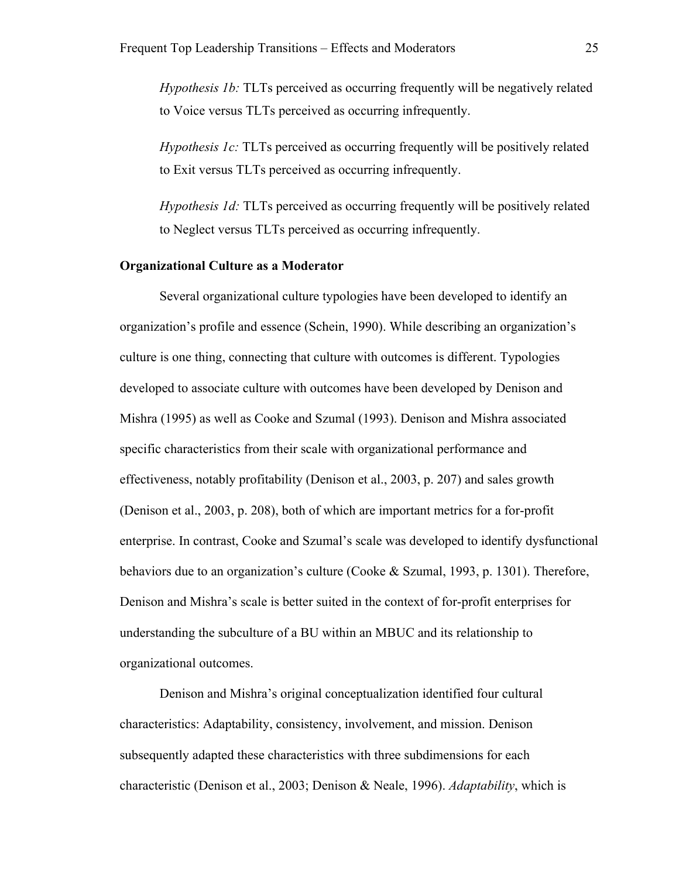*Hypothesis 1b:* TLTs perceived as occurring frequently will be negatively related to Voice versus TLTs perceived as occurring infrequently.

*Hypothesis 1c:* TLTs perceived as occurring frequently will be positively related to Exit versus TLTs perceived as occurring infrequently.

*Hypothesis 1d:* TLTs perceived as occurring frequently will be positively related to Neglect versus TLTs perceived as occurring infrequently.

#### **Organizational Culture as a Moderator**

Several organizational culture typologies have been developed to identify an organization's profile and essence (Schein, 1990). While describing an organization's culture is one thing, connecting that culture with outcomes is different. Typologies developed to associate culture with outcomes have been developed by Denison and Mishra (1995) as well as Cooke and Szumal (1993). Denison and Mishra associated specific characteristics from their scale with organizational performance and effectiveness, notably profitability (Denison et al., 2003, p. 207) and sales growth (Denison et al., 2003, p. 208), both of which are important metrics for a for-profit enterprise. In contrast, Cooke and Szumal's scale was developed to identify dysfunctional behaviors due to an organization's culture (Cooke & Szumal, 1993, p. 1301). Therefore, Denison and Mishra's scale is better suited in the context of for-profit enterprises for understanding the subculture of a BU within an MBUC and its relationship to organizational outcomes.

Denison and Mishra's original conceptualization identified four cultural characteristics: Adaptability, consistency, involvement, and mission. Denison subsequently adapted these characteristics with three subdimensions for each characteristic (Denison et al., 2003; Denison & Neale, 1996). *Adaptability*, which is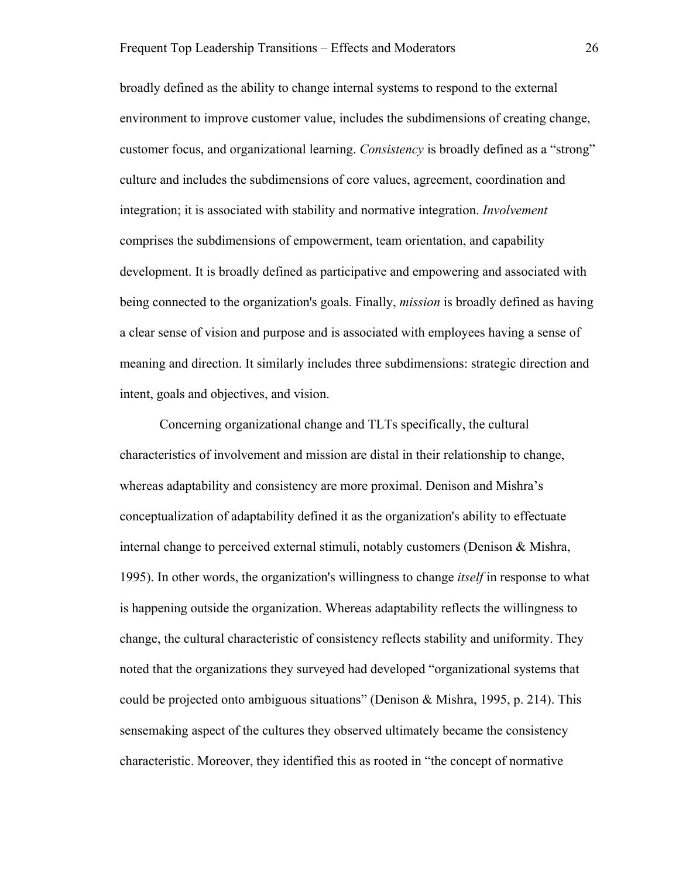broadly defined as the ability to change internal systems to respond to the external environment to improve customer value, includes the subdimensions of creating change, customer focus, and organizational learning. *Consistency* is broadly defined as a "strong" culture and includes the subdimensions of core values, agreement, coordination and integration; it is associated with stability and normative integration. *Involvement* comprises the subdimensions of empowerment, team orientation, and capability development. It is broadly defined as participative and empowering and associated with being connected to the organization's goals. Finally, *mission* is broadly defined as having a clear sense of vision and purpose and is associated with employees having a sense of meaning and direction. It similarly includes three subdimensions: strategic direction and intent, goals and objectives, and vision.

Concerning organizational change and TLTs specifically, the cultural characteristics of involvement and mission are distal in their relationship to change, whereas adaptability and consistency are more proximal. Denison and Mishra's conceptualization of adaptability defined it as the organization's ability to effectuate internal change to perceived external stimuli, notably customers (Denison & Mishra, 1995). In other words, the organization's willingness to change *itself* in response to what is happening outside the organization. Whereas adaptability reflects the willingness to change, the cultural characteristic of consistency reflects stability and uniformity. They noted that the organizations they surveyed had developed "organizational systems that could be projected onto ambiguous situations" (Denison & Mishra, 1995, p. 214). This sensemaking aspect of the cultures they observed ultimately became the consistency characteristic. Moreover, they identified this as rooted in "the concept of normative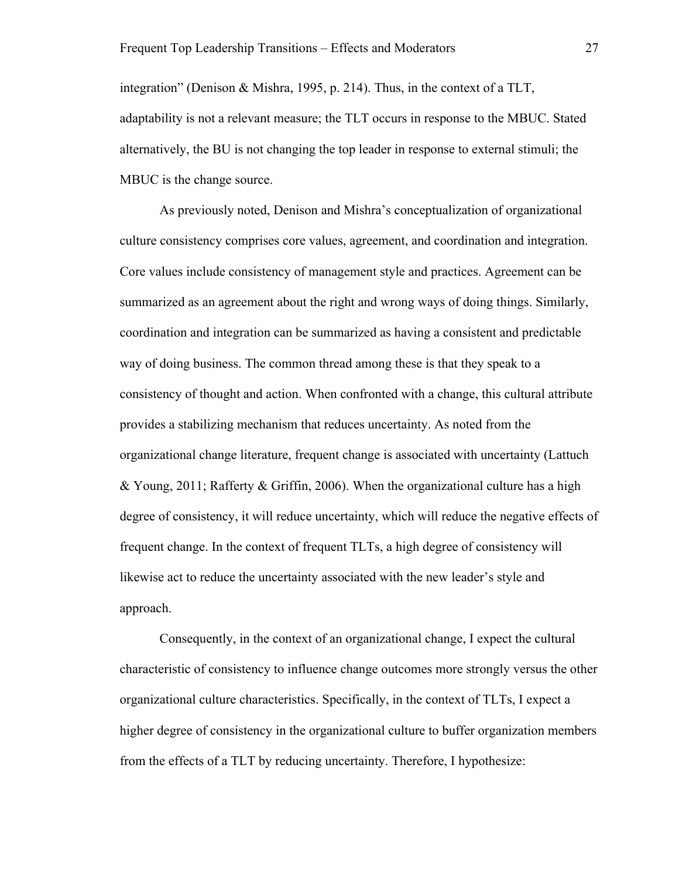integration" (Denison & Mishra, 1995, p. 214). Thus, in the context of a TLT, adaptability is not a relevant measure; the TLT occurs in response to the MBUC. Stated alternatively, the BU is not changing the top leader in response to external stimuli; the MBUC is the change source.

As previously noted, Denison and Mishra's conceptualization of organizational culture consistency comprises core values, agreement, and coordination and integration. Core values include consistency of management style and practices. Agreement can be summarized as an agreement about the right and wrong ways of doing things. Similarly, coordination and integration can be summarized as having a consistent and predictable way of doing business. The common thread among these is that they speak to a consistency of thought and action. When confronted with a change, this cultural attribute provides a stabilizing mechanism that reduces uncertainty. As noted from the organizational change literature, frequent change is associated with uncertainty (Lattuch & Young, 2011; Rafferty & Griffin, 2006). When the organizational culture has a high degree of consistency, it will reduce uncertainty, which will reduce the negative effects of frequent change. In the context of frequent TLTs, a high degree of consistency will likewise act to reduce the uncertainty associated with the new leader's style and approach.

Consequently, in the context of an organizational change, I expect the cultural characteristic of consistency to influence change outcomes more strongly versus the other organizational culture characteristics. Specifically, in the context of TLTs, I expect a higher degree of consistency in the organizational culture to buffer organization members from the effects of a TLT by reducing uncertainty. Therefore, I hypothesize: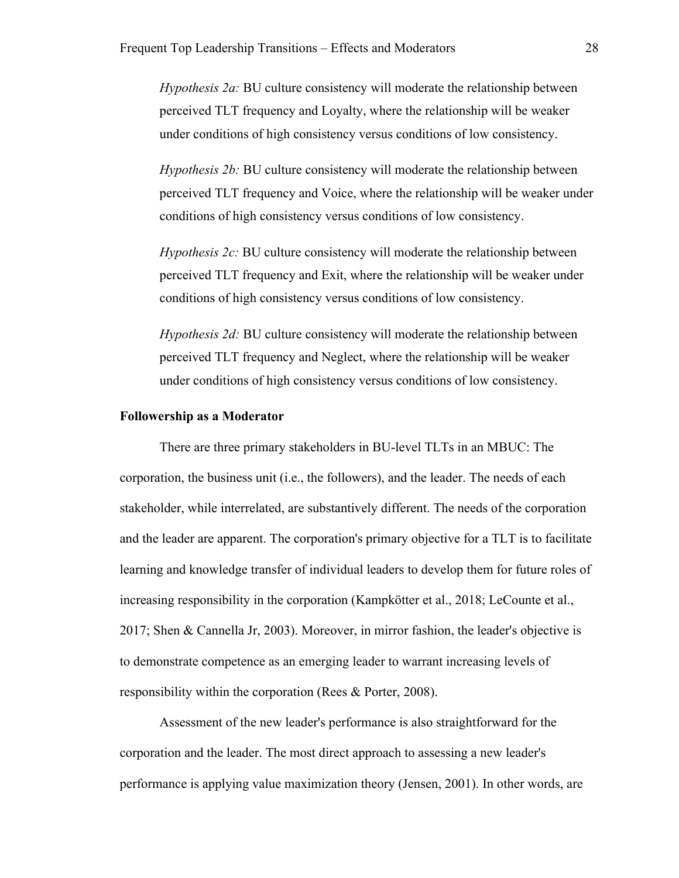*Hypothesis 2a:* BU culture consistency will moderate the relationship between perceived TLT frequency and Loyalty, where the relationship will be weaker under conditions of high consistency versus conditions of low consistency.

*Hypothesis 2b:* BU culture consistency will moderate the relationship between perceived TLT frequency and Voice, where the relationship will be weaker under conditions of high consistency versus conditions of low consistency.

*Hypothesis 2c: BU culture consistency will moderate the relationship between* perceived TLT frequency and Exit, where the relationship will be weaker under conditions of high consistency versus conditions of low consistency.

*Hypothesis 2d:* BU culture consistency will moderate the relationship between perceived TLT frequency and Neglect, where the relationship will be weaker under conditions of high consistency versus conditions of low consistency.

#### **Followership as a Moderator**

There are three primary stakeholders in BU-level TLTs in an MBUC: The corporation, the business unit (i.e., the followers), and the leader. The needs of each stakeholder, while interrelated, are substantively different. The needs of the corporation and the leader are apparent. The corporation's primary objective for a TLT is to facilitate learning and knowledge transfer of individual leaders to develop them for future roles of increasing responsibility in the corporation (Kampkötter et al., 2018; LeCounte et al., 2017; Shen & Cannella Jr, 2003). Moreover, in mirror fashion, the leader's objective is to demonstrate competence as an emerging leader to warrant increasing levels of responsibility within the corporation (Rees & Porter, 2008).

Assessment of the new leader's performance is also straightforward for the corporation and the leader. The most direct approach to assessing a new leader's performance is applying value maximization theory (Jensen, 2001). In other words, are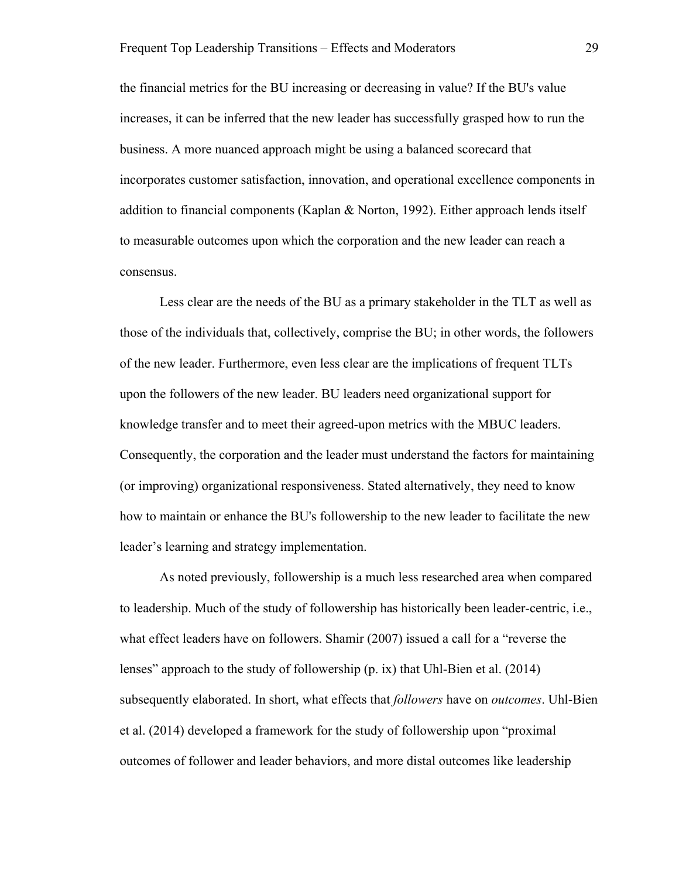the financial metrics for the BU increasing or decreasing in value? If the BU's value increases, it can be inferred that the new leader has successfully grasped how to run the business. A more nuanced approach might be using a balanced scorecard that incorporates customer satisfaction, innovation, and operational excellence components in addition to financial components (Kaplan & Norton, 1992). Either approach lends itself to measurable outcomes upon which the corporation and the new leader can reach a consensus.

Less clear are the needs of the BU as a primary stakeholder in the TLT as well as those of the individuals that, collectively, comprise the BU; in other words, the followers of the new leader. Furthermore, even less clear are the implications of frequent TLTs upon the followers of the new leader. BU leaders need organizational support for knowledge transfer and to meet their agreed-upon metrics with the MBUC leaders. Consequently, the corporation and the leader must understand the factors for maintaining (or improving) organizational responsiveness. Stated alternatively, they need to know how to maintain or enhance the BU's followership to the new leader to facilitate the new leader's learning and strategy implementation.

As noted previously, followership is a much less researched area when compared to leadership. Much of the study of followership has historically been leader-centric, i.e., what effect leaders have on followers. Shamir (2007) issued a call for a "reverse the lenses" approach to the study of followership (p. ix) that Uhl-Bien et al. (2014) subsequently elaborated. In short, what effects that *followers* have on *outcomes*. Uhl-Bien et al. (2014) developed a framework for the study of followership upon "proximal outcomes of follower and leader behaviors, and more distal outcomes like leadership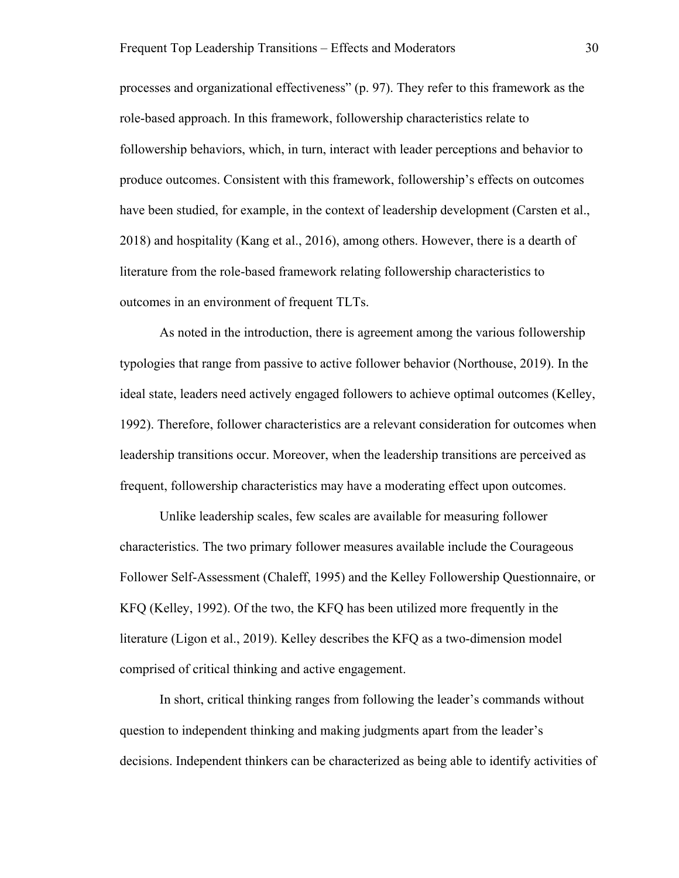processes and organizational effectiveness" (p. 97). They refer to this framework as the role-based approach. In this framework, followership characteristics relate to followership behaviors, which, in turn, interact with leader perceptions and behavior to produce outcomes. Consistent with this framework, followership's effects on outcomes have been studied, for example, in the context of leadership development (Carsten et al., 2018) and hospitality (Kang et al., 2016), among others. However, there is a dearth of literature from the role-based framework relating followership characteristics to outcomes in an environment of frequent TLTs.

As noted in the introduction, there is agreement among the various followership typologies that range from passive to active follower behavior (Northouse, 2019). In the ideal state, leaders need actively engaged followers to achieve optimal outcomes (Kelley, 1992). Therefore, follower characteristics are a relevant consideration for outcomes when leadership transitions occur. Moreover, when the leadership transitions are perceived as frequent, followership characteristics may have a moderating effect upon outcomes.

Unlike leadership scales, few scales are available for measuring follower characteristics. The two primary follower measures available include the Courageous Follower Self-Assessment (Chaleff, 1995) and the Kelley Followership Questionnaire, or KFQ (Kelley, 1992). Of the two, the KFQ has been utilized more frequently in the literature (Ligon et al., 2019). Kelley describes the KFQ as a two-dimension model comprised of critical thinking and active engagement.

In short, critical thinking ranges from following the leader's commands without question to independent thinking and making judgments apart from the leader's decisions. Independent thinkers can be characterized as being able to identify activities of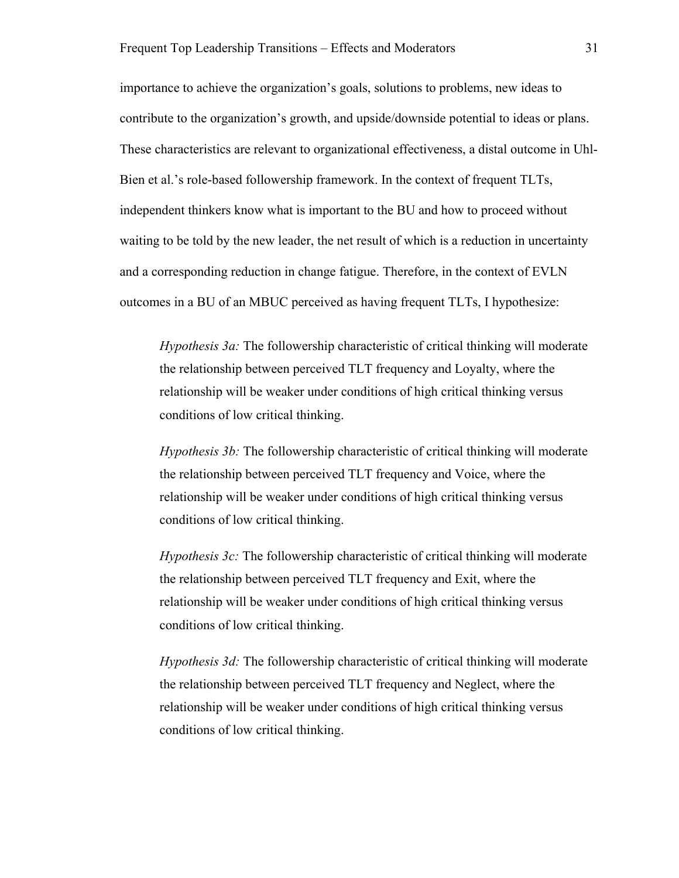importance to achieve the organization's goals, solutions to problems, new ideas to contribute to the organization's growth, and upside/downside potential to ideas or plans. These characteristics are relevant to organizational effectiveness, a distal outcome in Uhl-Bien et al.'s role-based followership framework. In the context of frequent TLTs, independent thinkers know what is important to the BU and how to proceed without waiting to be told by the new leader, the net result of which is a reduction in uncertainty and a corresponding reduction in change fatigue. Therefore, in the context of EVLN outcomes in a BU of an MBUC perceived as having frequent TLTs, I hypothesize:

*Hypothesis 3a:* The followership characteristic of critical thinking will moderate the relationship between perceived TLT frequency and Loyalty, where the relationship will be weaker under conditions of high critical thinking versus conditions of low critical thinking.

*Hypothesis 3b:* The followership characteristic of critical thinking will moderate the relationship between perceived TLT frequency and Voice, where the relationship will be weaker under conditions of high critical thinking versus conditions of low critical thinking.

*Hypothesis 3c:* The followership characteristic of critical thinking will moderate the relationship between perceived TLT frequency and Exit, where the relationship will be weaker under conditions of high critical thinking versus conditions of low critical thinking.

*Hypothesis 3d:* The followership characteristic of critical thinking will moderate the relationship between perceived TLT frequency and Neglect, where the relationship will be weaker under conditions of high critical thinking versus conditions of low critical thinking.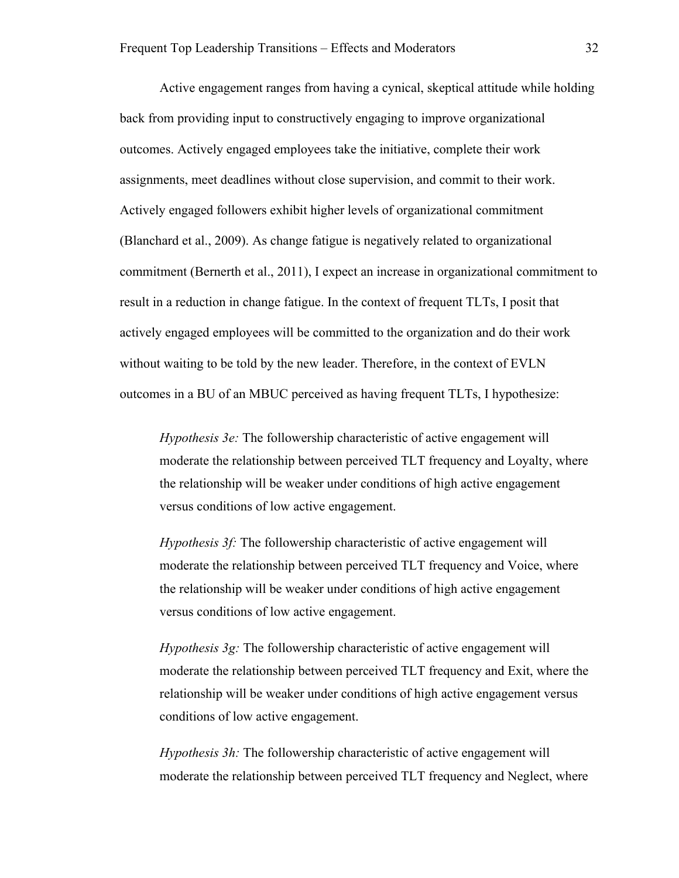Active engagement ranges from having a cynical, skeptical attitude while holding back from providing input to constructively engaging to improve organizational outcomes. Actively engaged employees take the initiative, complete their work assignments, meet deadlines without close supervision, and commit to their work. Actively engaged followers exhibit higher levels of organizational commitment (Blanchard et al., 2009). As change fatigue is negatively related to organizational commitment (Bernerth et al., 2011), I expect an increase in organizational commitment to result in a reduction in change fatigue. In the context of frequent TLTs, I posit that actively engaged employees will be committed to the organization and do their work without waiting to be told by the new leader. Therefore, in the context of EVLN outcomes in a BU of an MBUC perceived as having frequent TLTs, I hypothesize:

*Hypothesis 3e:* The followership characteristic of active engagement will moderate the relationship between perceived TLT frequency and Loyalty, where the relationship will be weaker under conditions of high active engagement versus conditions of low active engagement.

*Hypothesis 3f:* The followership characteristic of active engagement will moderate the relationship between perceived TLT frequency and Voice, where the relationship will be weaker under conditions of high active engagement versus conditions of low active engagement.

*Hypothesis 3g:* The followership characteristic of active engagement will moderate the relationship between perceived TLT frequency and Exit, where the relationship will be weaker under conditions of high active engagement versus conditions of low active engagement.

*Hypothesis 3h:* The followership characteristic of active engagement will moderate the relationship between perceived TLT frequency and Neglect, where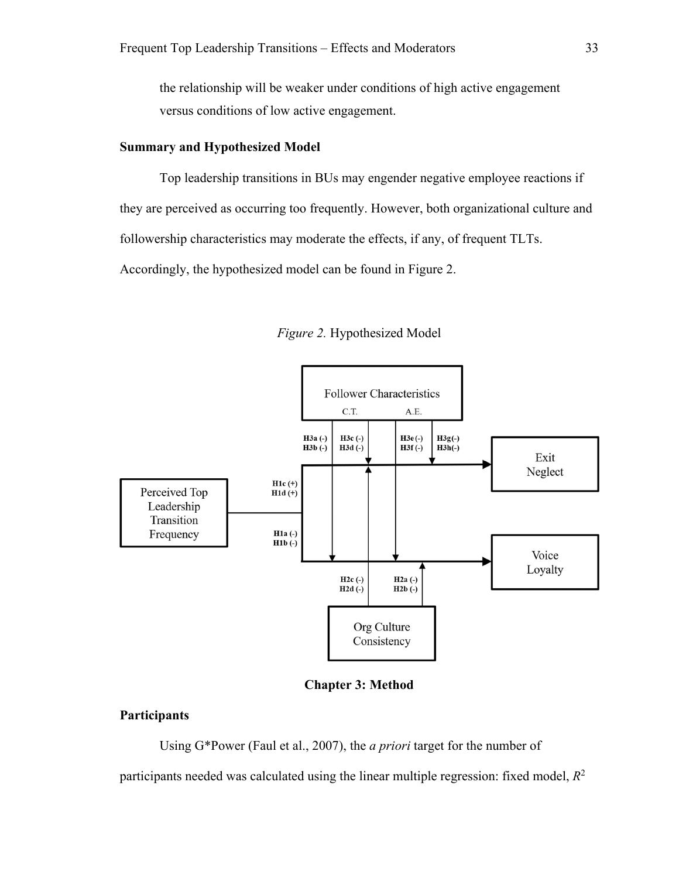the relationship will be weaker under conditions of high active engagement versus conditions of low active engagement.

#### **Summary and Hypothesized Model**

Top leadership transitions in BUs may engender negative employee reactions if they are perceived as occurring too frequently. However, both organizational culture and followership characteristics may moderate the effects, if any, of frequent TLTs. Accordingly, the hypothesized model can be found in Figure 2.



*Figure 2.* Hypothesized Model



### **Participants**

Using G\*Power (Faul et al., 2007), the *a priori* target for the number of participants needed was calculated using the linear multiple regression: fixed model,  $R^2$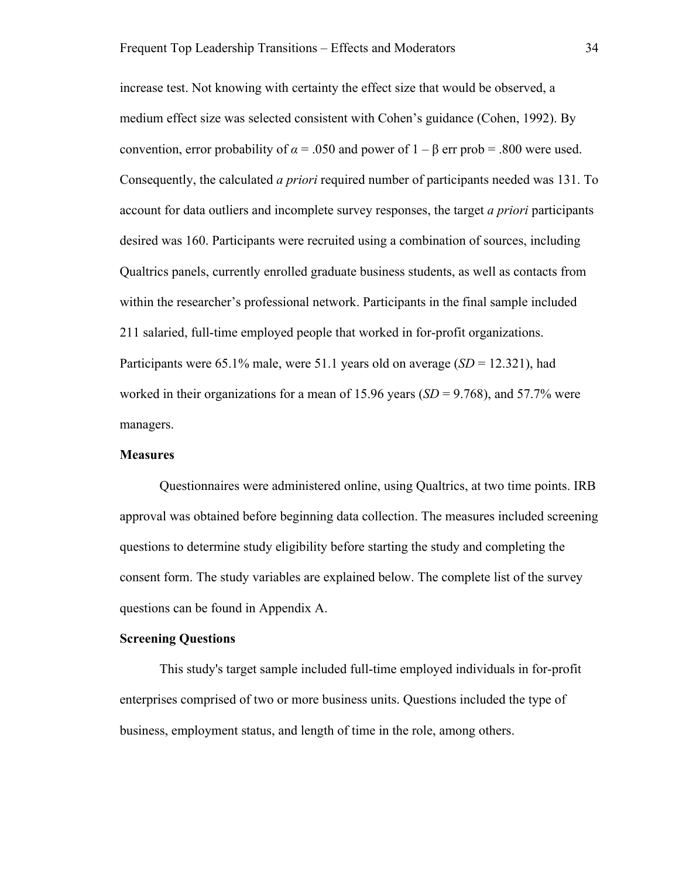increase test. Not knowing with certainty the effect size that would be observed, a medium effect size was selected consistent with Cohen's guidance (Cohen, 1992). By convention, error probability of  $\alpha$  = .050 and power of 1 – β err prob = .800 were used. Consequently, the calculated *a priori* required number of participants needed was 131. To account for data outliers and incomplete survey responses, the target *a priori* participants desired was 160. Participants were recruited using a combination of sources, including Qualtrics panels, currently enrolled graduate business students, as well as contacts from within the researcher's professional network. Participants in the final sample included 211 salaried, full-time employed people that worked in for-profit organizations. Participants were 65.1% male, were 51.1 years old on average (*SD* = 12.321), had worked in their organizations for a mean of 15.96 years  $(SD = 9.768)$ , and 57.7% were managers.

#### **Measures**

 Questionnaires were administered online, using Qualtrics, at two time points. IRB approval was obtained before beginning data collection. The measures included screening questions to determine study eligibility before starting the study and completing the consent form. The study variables are explained below. The complete list of the survey questions can be found in Appendix A.

#### **Screening Questions**

This study's target sample included full-time employed individuals in for-profit enterprises comprised of two or more business units. Questions included the type of business, employment status, and length of time in the role, among others.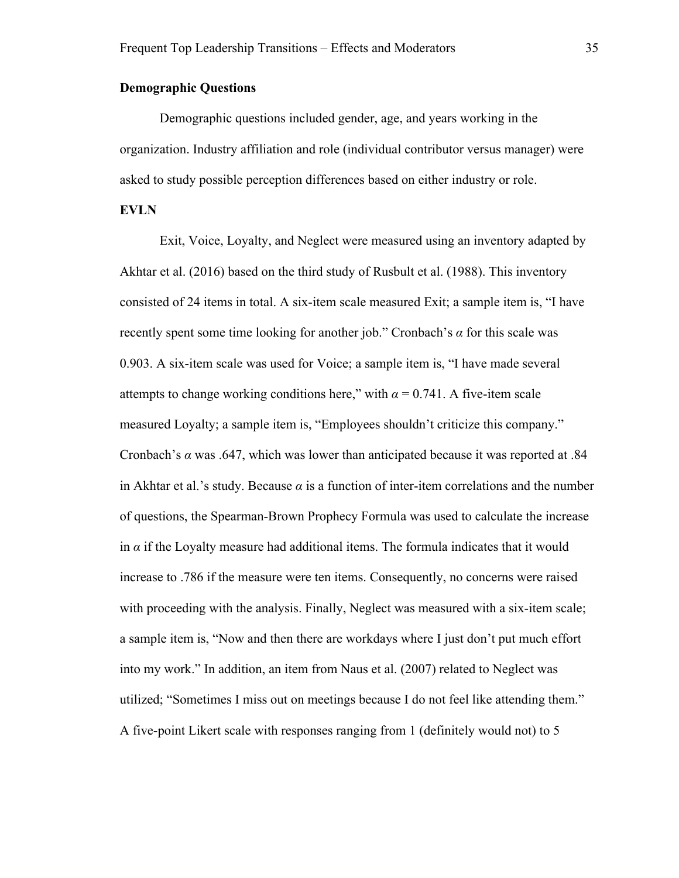#### **Demographic Questions**

Demographic questions included gender, age, and years working in the organization. Industry affiliation and role (individual contributor versus manager) were asked to study possible perception differences based on either industry or role.

#### **EVLN**

Exit, Voice, Loyalty, and Neglect were measured using an inventory adapted by Akhtar et al. (2016) based on the third study of Rusbult et al. (1988). This inventory consisted of 24 items in total. A six-item scale measured Exit; a sample item is, "I have recently spent some time looking for another job." Cronbach's *α* for this scale was 0.903. A six-item scale was used for Voice; a sample item is, "I have made several attempts to change working conditions here," with  $\alpha = 0.741$ . A five-item scale measured Loyalty; a sample item is, "Employees shouldn't criticize this company." Cronbach's *α* was .647, which was lower than anticipated because it was reported at .84 in Akhtar et al.'s study. Because  $\alpha$  is a function of inter-item correlations and the number of questions, the Spearman-Brown Prophecy Formula was used to calculate the increase in  $\alpha$  if the Loyalty measure had additional items. The formula indicates that it would increase to .786 if the measure were ten items. Consequently, no concerns were raised with proceeding with the analysis. Finally, Neglect was measured with a six-item scale; a sample item is, "Now and then there are workdays where I just don't put much effort into my work." In addition, an item from Naus et al. (2007) related to Neglect was utilized; "Sometimes I miss out on meetings because I do not feel like attending them." A five-point Likert scale with responses ranging from 1 (definitely would not) to 5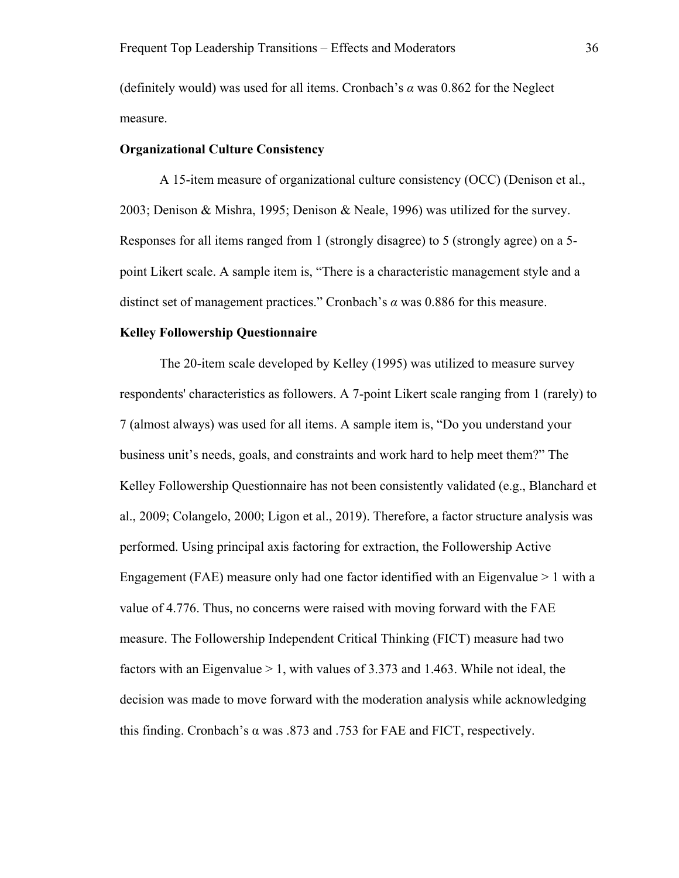(definitely would) was used for all items. Cronbach's *α* was 0.862 for the Neglect measure.

## **Organizational Culture Consistency**

A 15-item measure of organizational culture consistency (OCC) (Denison et al., 2003; Denison & Mishra, 1995; Denison & Neale, 1996) was utilized for the survey. Responses for all items ranged from 1 (strongly disagree) to 5 (strongly agree) on a 5 point Likert scale. A sample item is, "There is a characteristic management style and a distinct set of management practices." Cronbach's *α* was 0.886 for this measure.

#### **Kelley Followership Questionnaire**

The 20-item scale developed by Kelley (1995) was utilized to measure survey respondents' characteristics as followers. A 7-point Likert scale ranging from 1 (rarely) to 7 (almost always) was used for all items. A sample item is, "Do you understand your business unit's needs, goals, and constraints and work hard to help meet them?" The Kelley Followership Questionnaire has not been consistently validated (e.g., Blanchard et al., 2009; Colangelo, 2000; Ligon et al., 2019). Therefore, a factor structure analysis was performed. Using principal axis factoring for extraction, the Followership Active Engagement (FAE) measure only had one factor identified with an Eigenvalue  $> 1$  with a value of 4.776. Thus, no concerns were raised with moving forward with the FAE measure. The Followership Independent Critical Thinking (FICT) measure had two factors with an Eigenvalue > 1, with values of 3.373 and 1.463. While not ideal, the decision was made to move forward with the moderation analysis while acknowledging this finding. Cronbach's α was .873 and .753 for FAE and FICT, respectively.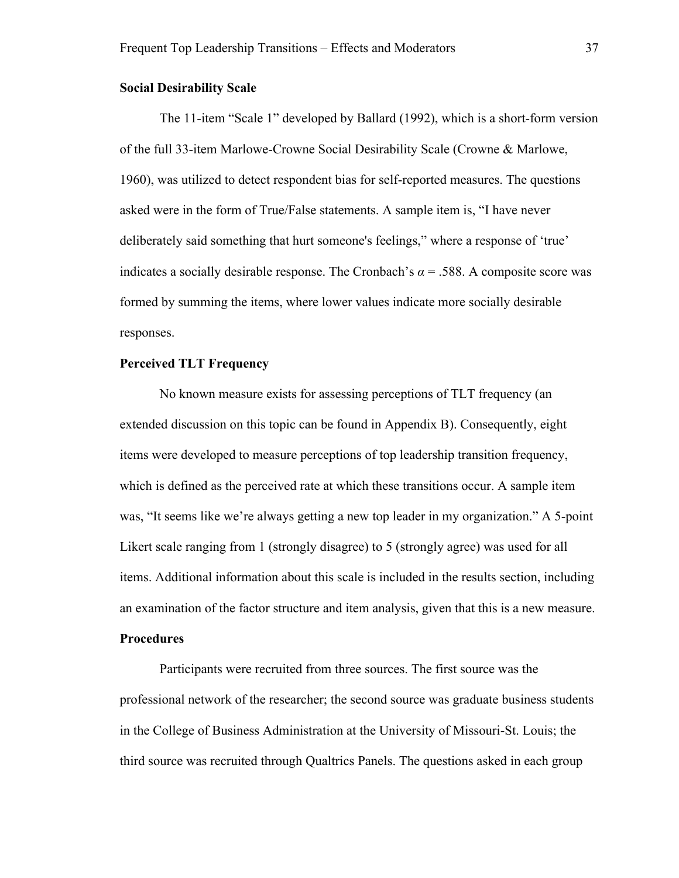## **Social Desirability Scale**

The 11-item "Scale 1" developed by Ballard (1992), which is a short-form version of the full 33-item Marlowe-Crowne Social Desirability Scale (Crowne & Marlowe, 1960), was utilized to detect respondent bias for self-reported measures. The questions asked were in the form of True/False statements. A sample item is, "I have never deliberately said something that hurt someone's feelings," where a response of 'true' indicates a socially desirable response. The Cronbach's  $\alpha$  = .588. A composite score was formed by summing the items, where lower values indicate more socially desirable responses.

# **Perceived TLT Frequency**

No known measure exists for assessing perceptions of TLT frequency (an extended discussion on this topic can be found in Appendix B). Consequently, eight items were developed to measure perceptions of top leadership transition frequency, which is defined as the perceived rate at which these transitions occur. A sample item was, "It seems like we're always getting a new top leader in my organization." A 5-point Likert scale ranging from 1 (strongly disagree) to 5 (strongly agree) was used for all items. Additional information about this scale is included in the results section, including an examination of the factor structure and item analysis, given that this is a new measure.

# **Procedures**

Participants were recruited from three sources. The first source was the professional network of the researcher; the second source was graduate business students in the College of Business Administration at the University of Missouri-St. Louis; the third source was recruited through Qualtrics Panels. The questions asked in each group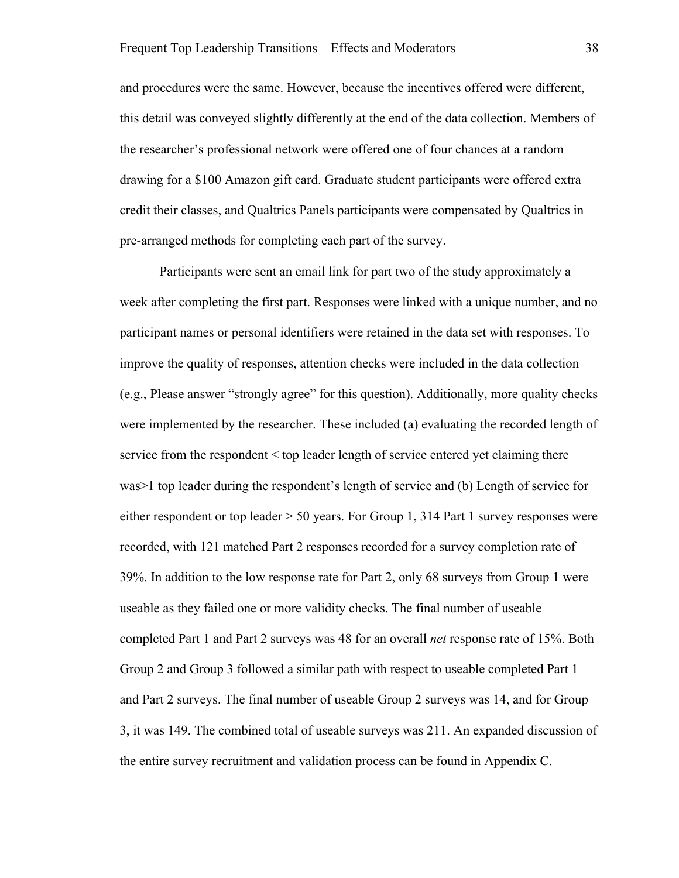and procedures were the same. However, because the incentives offered were different, this detail was conveyed slightly differently at the end of the data collection. Members of the researcher's professional network were offered one of four chances at a random drawing for a \$100 Amazon gift card. Graduate student participants were offered extra credit their classes, and Qualtrics Panels participants were compensated by Qualtrics in pre-arranged methods for completing each part of the survey.

Participants were sent an email link for part two of the study approximately a week after completing the first part. Responses were linked with a unique number, and no participant names or personal identifiers were retained in the data set with responses. To improve the quality of responses, attention checks were included in the data collection (e.g., Please answer "strongly agree" for this question). Additionally, more quality checks were implemented by the researcher. These included (a) evaluating the recorded length of service from the respondent < top leader length of service entered yet claiming there was>1 top leader during the respondent's length of service and (b) Length of service for either respondent or top leader > 50 years. For Group 1, 314 Part 1 survey responses were recorded, with 121 matched Part 2 responses recorded for a survey completion rate of 39%. In addition to the low response rate for Part 2, only 68 surveys from Group 1 were useable as they failed one or more validity checks. The final number of useable completed Part 1 and Part 2 surveys was 48 for an overall *net* response rate of 15%. Both Group 2 and Group 3 followed a similar path with respect to useable completed Part 1 and Part 2 surveys. The final number of useable Group 2 surveys was 14, and for Group 3, it was 149. The combined total of useable surveys was 211. An expanded discussion of the entire survey recruitment and validation process can be found in Appendix C.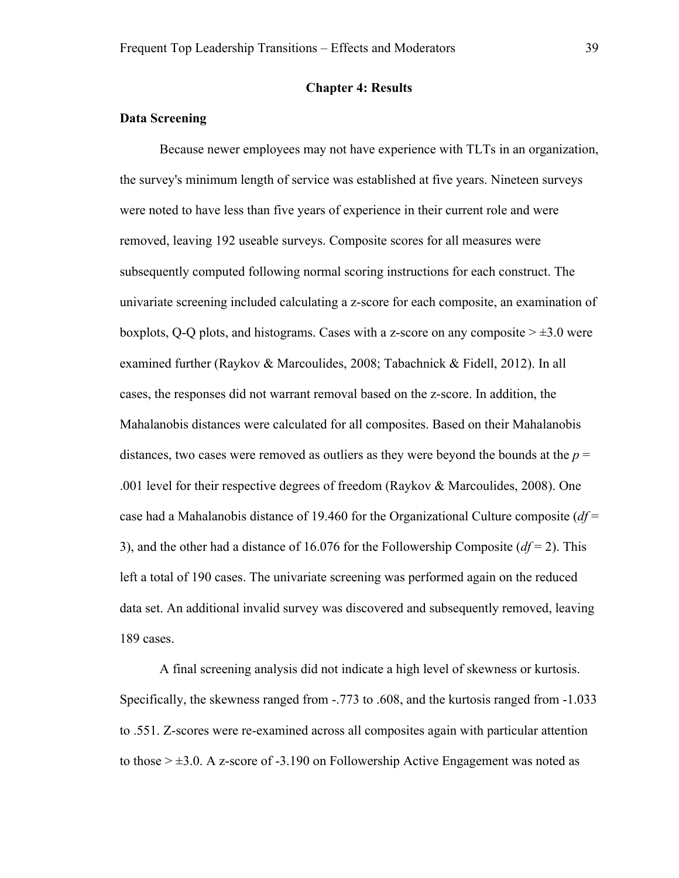## **Chapter 4: Results**

# **Data Screening**

Because newer employees may not have experience with TLTs in an organization, the survey's minimum length of service was established at five years. Nineteen surveys were noted to have less than five years of experience in their current role and were removed, leaving 192 useable surveys. Composite scores for all measures were subsequently computed following normal scoring instructions for each construct. The univariate screening included calculating a z-score for each composite, an examination of boxplots, Q-Q plots, and histograms. Cases with a z-score on any composite  $\geq \pm 3.0$  were examined further (Raykov & Marcoulides, 2008; Tabachnick & Fidell, 2012). In all cases, the responses did not warrant removal based on the z-score. In addition, the Mahalanobis distances were calculated for all composites. Based on their Mahalanobis distances, two cases were removed as outliers as they were beyond the bounds at the  $p =$ .001 level for their respective degrees of freedom (Raykov & Marcoulides, 2008). One case had a Mahalanobis distance of 19.460 for the Organizational Culture composite (*df* = 3), and the other had a distance of 16.076 for the Followership Composite (*df* = 2). This left a total of 190 cases. The univariate screening was performed again on the reduced data set. An additional invalid survey was discovered and subsequently removed, leaving 189 cases.

A final screening analysis did not indicate a high level of skewness or kurtosis. Specifically, the skewness ranged from -.773 to .608, and the kurtosis ranged from -1.033 to .551. Z-scores were re-examined across all composites again with particular attention to those  $> \pm 3.0$ . A z-score of -3.190 on Followership Active Engagement was noted as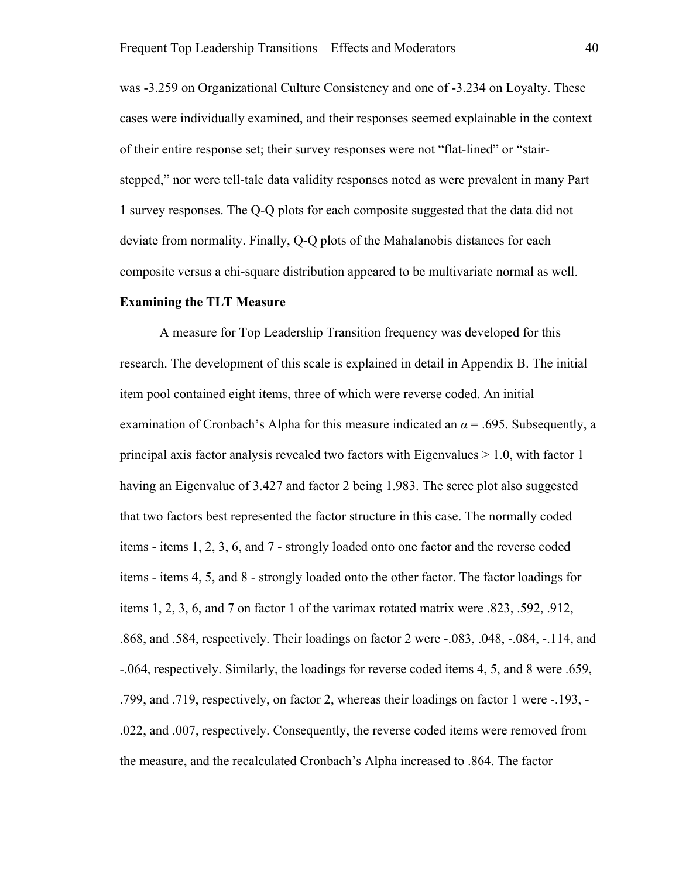was -3.259 on Organizational Culture Consistency and one of -3.234 on Loyalty. These cases were individually examined, and their responses seemed explainable in the context of their entire response set; their survey responses were not "flat-lined" or "stairstepped," nor were tell-tale data validity responses noted as were prevalent in many Part 1 survey responses. The Q-Q plots for each composite suggested that the data did not deviate from normality. Finally, Q-Q plots of the Mahalanobis distances for each composite versus a chi-square distribution appeared to be multivariate normal as well.

### **Examining the TLT Measure**

A measure for Top Leadership Transition frequency was developed for this research. The development of this scale is explained in detail in Appendix B. The initial item pool contained eight items, three of which were reverse coded. An initial examination of Cronbach's Alpha for this measure indicated an  $\alpha$  = .695. Subsequently, a principal axis factor analysis revealed two factors with Eigenvalues  $> 1.0$ , with factor 1 having an Eigenvalue of 3.427 and factor 2 being 1.983. The scree plot also suggested that two factors best represented the factor structure in this case. The normally coded items - items 1, 2, 3, 6, and 7 - strongly loaded onto one factor and the reverse coded items - items 4, 5, and 8 - strongly loaded onto the other factor. The factor loadings for items 1, 2, 3, 6, and 7 on factor 1 of the varimax rotated matrix were .823, .592, .912, .868, and .584, respectively. Their loadings on factor 2 were -.083, .048, -.084, -.114, and -.064, respectively. Similarly, the loadings for reverse coded items 4, 5, and 8 were .659, .799, and .719, respectively, on factor 2, whereas their loadings on factor 1 were -.193, - .022, and .007, respectively. Consequently, the reverse coded items were removed from the measure, and the recalculated Cronbach's Alpha increased to .864. The factor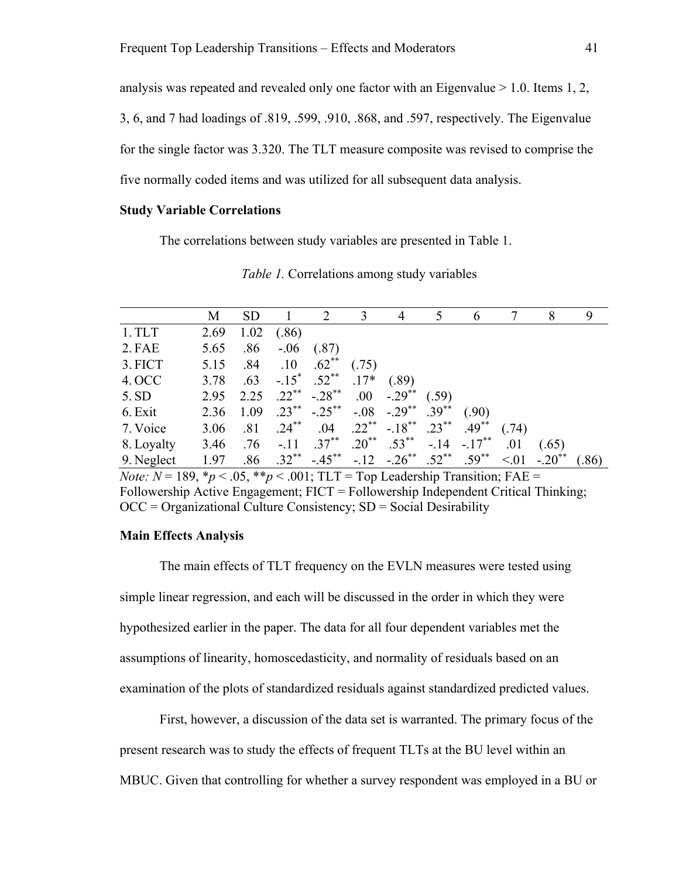analysis was repeated and revealed only one factor with an Eigenvalue  $> 1.0$ . Items 1, 2, 3, 6, and 7 had loadings of .819, .599, .910, .868, and .597, respectively. The Eigenvalue for the single factor was 3.320. The TLT measure composite was revised to comprise the five normally coded items and was utilized for all subsequent data analysis.

## **Study Variable Correlations**

The correlations between study variables are presented in Table 1.

|            | M         | <b>SD</b> |                    | 2                                     | $\overline{3}$ | 4                                       | 5     | 6             |       | 8     | 9     |
|------------|-----------|-----------|--------------------|---------------------------------------|----------------|-----------------------------------------|-------|---------------|-------|-------|-------|
| 1. TLT     | 2.69      | 1.02      | (.86)              |                                       |                |                                         |       |               |       |       |       |
| 2. FAE     | 5.65      | .86       | $-.06$             | (.87)                                 |                |                                         |       |               |       |       |       |
| 3. FICT    | 5.15      | .84       | .10                | $.62$ <sup>**</sup>                   | (.75)          |                                         |       |               |       |       |       |
| 4. OCC     |           |           | 3.78 $.63 - .15^*$ | $.52$ <sup>**</sup>                   | $.17*$         | (.89)                                   |       |               |       |       |       |
| 5.SD       |           |           |                    | $2.95$ $2.25$ $.22^{**}$ $-0.28^{**}$ | .00.           | $-.29$ <sup>**</sup>                    | (.59) |               |       |       |       |
| 6. Exit    | 2.36 1.09 |           |                    | $.23$ ** $-.25$ **                    |                | $-.08$ $-.29^{**}$ $.39^{**}$           |       | (.90)         |       |       |       |
| 7. Voice   | 3.06 .81  |           | $.24***$           |                                       |                | $.04$ $.22^{**}$ $-.18^{**}$ $.23^{**}$ |       | $.49***$      | (.74) |       |       |
| 8. Loyalty | 3.46      | .76       | $-.11$             | $.37***$                              |                | $.20^{**}$ $.53^{**}$                   |       | $-.14-.17***$ | .01   | (.65) |       |
| 9. Neglect | 1.97      | .86       | $.32***$           | $-.45***$                             |                | $-.12$ $-.26^{**}$ $.52^{**}$           |       | $.59^{**}$    | < 01  |       | (.86) |

*Table 1.* Correlations among study variables

*Note: N* = 189,  $*_p$  < .05,  $*_p$  < .001; TLT = Top Leadership Transition; FAE = Followership Active Engagement; FICT = Followership Independent Critical Thinking;  $OCC =$  Organizational Culture Consistency;  $SD =$  Social Desirability

#### **Main Effects Analysis**

The main effects of TLT frequency on the EVLN measures were tested using simple linear regression, and each will be discussed in the order in which they were hypothesized earlier in the paper. The data for all four dependent variables met the assumptions of linearity, homoscedasticity, and normality of residuals based on an examination of the plots of standardized residuals against standardized predicted values.

First, however, a discussion of the data set is warranted. The primary focus of the present research was to study the effects of frequent TLTs at the BU level within an MBUC. Given that controlling for whether a survey respondent was employed in a BU or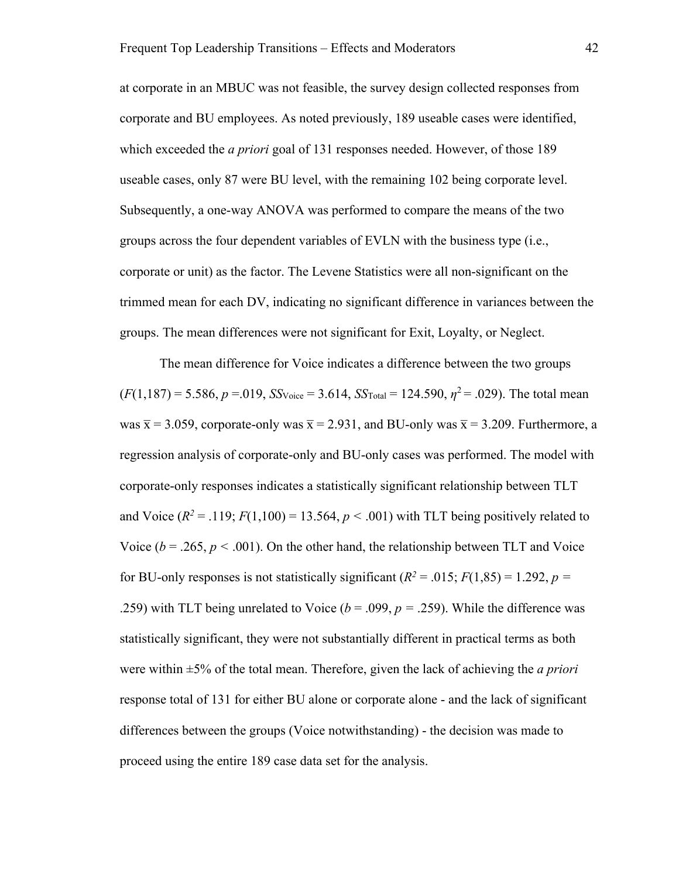at corporate in an MBUC was not feasible, the survey design collected responses from corporate and BU employees. As noted previously, 189 useable cases were identified, which exceeded the *a priori* goal of 131 responses needed. However, of those 189 useable cases, only 87 were BU level, with the remaining 102 being corporate level. Subsequently, a one-way ANOVA was performed to compare the means of the two groups across the four dependent variables of EVLN with the business type (i.e., corporate or unit) as the factor. The Levene Statistics were all non-significant on the trimmed mean for each DV, indicating no significant difference in variances between the groups. The mean differences were not significant for Exit, Loyalty, or Neglect.

The mean difference for Voice indicates a difference between the two groups  $(F(1,187) = 5.586, p = .019, SSVoice = 3.614, SSTotal = 124.590, \eta^2 = .029$ . The total mean was  $\bar{x}$  = 3.059, corporate-only was  $\bar{x}$  = 2.931, and BU-only was  $\bar{x}$  = 3.209. Furthermore, a regression analysis of corporate-only and BU-only cases was performed. The model with corporate-only responses indicates a statistically significant relationship between TLT and Voice  $(R^2 = .119; F(1,100) = 13.564, p < .001)$  with TLT being positively related to Voice ( $b = .265$ ,  $p < .001$ ). On the other hand, the relationship between TLT and Voice for BU-only responses is not statistically significant  $(R^2 = .015; F(1,85) = 1.292, p =$ .259) with TLT being unrelated to Voice ( $b = .099$ ,  $p = .259$ ). While the difference was statistically significant, they were not substantially different in practical terms as both were within ±5% of the total mean. Therefore, given the lack of achieving the *a priori* response total of 131 for either BU alone or corporate alone - and the lack of significant differences between the groups (Voice notwithstanding) - the decision was made to proceed using the entire 189 case data set for the analysis.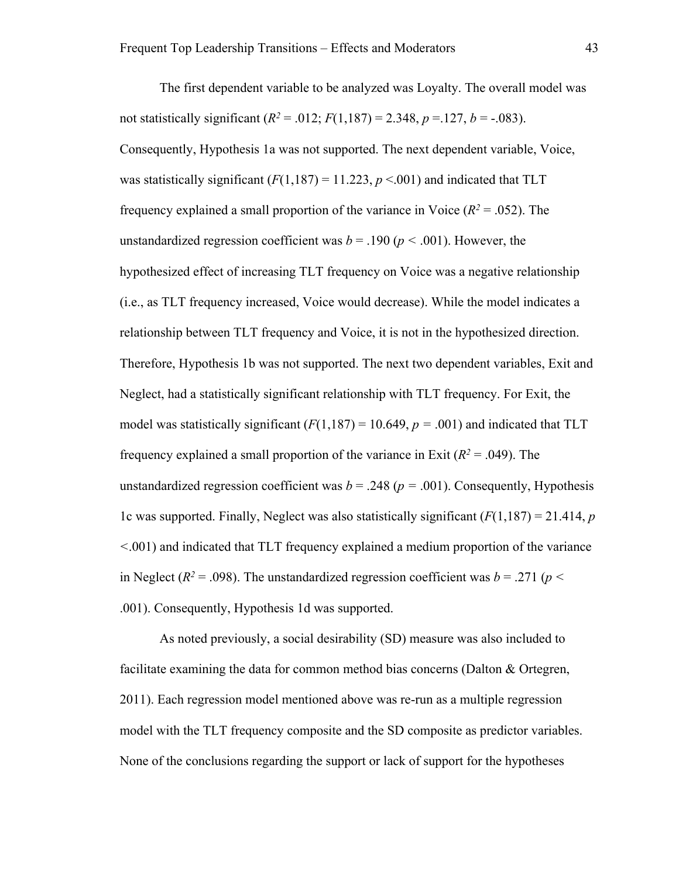The first dependent variable to be analyzed was Loyalty. The overall model was not statistically significant  $(R^2 = .012; F(1,187) = 2.348, p = .127, b = .083)$ . Consequently, Hypothesis 1a was not supported. The next dependent variable, Voice, was statistically significant  $(F(1,187) = 11.223, p < .001)$  and indicated that TLT frequency explained a small proportion of the variance in Voice  $(R^2 = .052)$ . The unstandardized regression coefficient was  $b = .190 (p < .001)$ . However, the hypothesized effect of increasing TLT frequency on Voice was a negative relationship (i.e., as TLT frequency increased, Voice would decrease). While the model indicates a relationship between TLT frequency and Voice, it is not in the hypothesized direction. Therefore, Hypothesis 1b was not supported. The next two dependent variables, Exit and Neglect, had a statistically significant relationship with TLT frequency. For Exit, the model was statistically significant  $(F(1,187) = 10.649, p = .001)$  and indicated that TLT frequency explained a small proportion of the variance in Exit  $(R^2 = .049)$ . The unstandardized regression coefficient was  $b = .248$  ( $p = .001$ ). Consequently, Hypothesis 1c was supported. Finally, Neglect was also statistically significant (*F*(1,187) = 21.414, *p <*.001) and indicated that TLT frequency explained a medium proportion of the variance in Neglect ( $R^2$  = .098). The unstandardized regression coefficient was  $b = .271$  ( $p <$ .001). Consequently, Hypothesis 1d was supported.

As noted previously, a social desirability (SD) measure was also included to facilitate examining the data for common method bias concerns (Dalton & Ortegren, 2011). Each regression model mentioned above was re-run as a multiple regression model with the TLT frequency composite and the SD composite as predictor variables. None of the conclusions regarding the support or lack of support for the hypotheses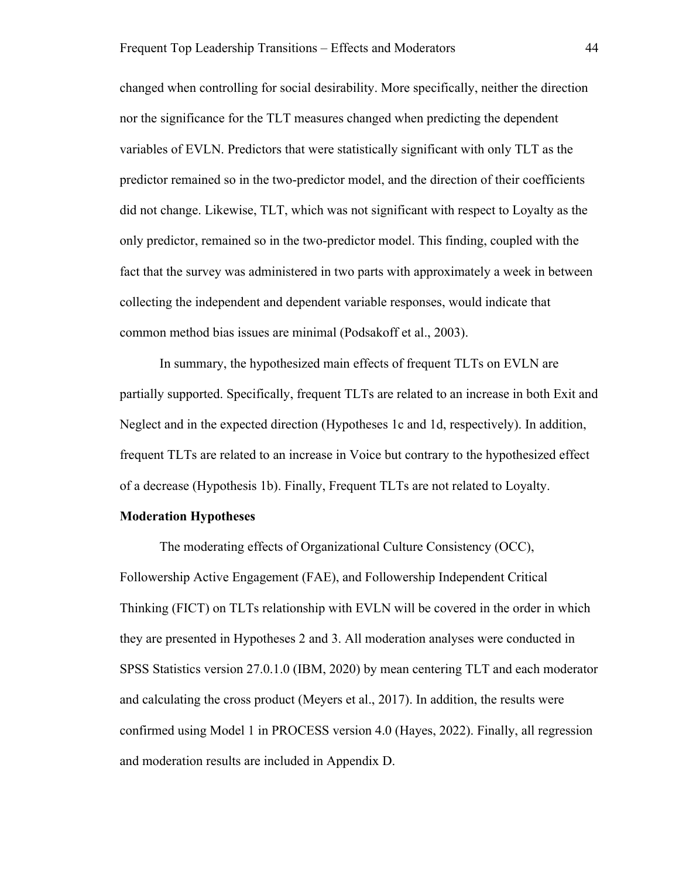changed when controlling for social desirability. More specifically, neither the direction nor the significance for the TLT measures changed when predicting the dependent variables of EVLN. Predictors that were statistically significant with only TLT as the predictor remained so in the two-predictor model, and the direction of their coefficients did not change. Likewise, TLT, which was not significant with respect to Loyalty as the only predictor, remained so in the two-predictor model. This finding, coupled with the fact that the survey was administered in two parts with approximately a week in between collecting the independent and dependent variable responses, would indicate that common method bias issues are minimal (Podsakoff et al., 2003).

In summary, the hypothesized main effects of frequent TLTs on EVLN are partially supported. Specifically, frequent TLTs are related to an increase in both Exit and Neglect and in the expected direction (Hypotheses 1c and 1d, respectively). In addition, frequent TLTs are related to an increase in Voice but contrary to the hypothesized effect of a decrease (Hypothesis 1b). Finally, Frequent TLTs are not related to Loyalty.

## **Moderation Hypotheses**

The moderating effects of Organizational Culture Consistency (OCC), Followership Active Engagement (FAE), and Followership Independent Critical Thinking (FICT) on TLTs relationship with EVLN will be covered in the order in which they are presented in Hypotheses 2 and 3. All moderation analyses were conducted in SPSS Statistics version 27.0.1.0 (IBM, 2020) by mean centering TLT and each moderator and calculating the cross product (Meyers et al., 2017). In addition, the results were confirmed using Model 1 in PROCESS version 4.0 (Hayes, 2022). Finally, all regression and moderation results are included in Appendix D.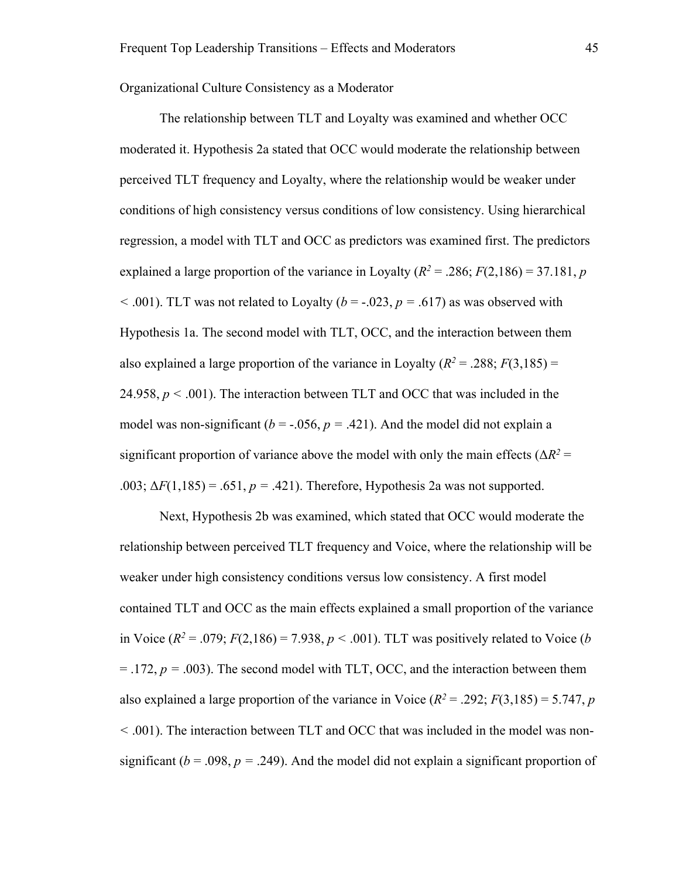Organizational Culture Consistency as a Moderator

The relationship between TLT and Loyalty was examined and whether OCC moderated it. Hypothesis 2a stated that OCC would moderate the relationship between perceived TLT frequency and Loyalty, where the relationship would be weaker under conditions of high consistency versus conditions of low consistency. Using hierarchical regression, a model with TLT and OCC as predictors was examined first. The predictors explained a large proportion of the variance in Loyalty ( $R^2 = .286$ ;  $F(2,186) = 37.181$ , *p*  $<$  0.01). TLT was not related to Loyalty ( $b = -0.023$ ,  $p = 0.617$ ) as was observed with Hypothesis 1a. The second model with TLT, OCC, and the interaction between them also explained a large proportion of the variance in Loyalty  $(R^2 = .288; F(3,185)) =$ 24.958,  $p < .001$ ). The interaction between TLT and OCC that was included in the model was non-significant ( $b = -0.056$ ,  $p = 0.421$ ). And the model did not explain a significant proportion of variance above the model with only the main effects ( $\Delta R^2$  = .003;  $\Delta F(1,185) = .651, p = .421$ ). Therefore, Hypothesis 2a was not supported.

Next, Hypothesis 2b was examined, which stated that OCC would moderate the relationship between perceived TLT frequency and Voice, where the relationship will be weaker under high consistency conditions versus low consistency. A first model contained TLT and OCC as the main effects explained a small proportion of the variance in Voice  $(R^2 = .079; F(2,186) = 7.938, p < .001)$ . TLT was positively related to Voice (*b*)  $=$  .172,  $p = .003$ ). The second model with TLT, OCC, and the interaction between them also explained a large proportion of the variance in Voice  $(R^2 = .292; F(3,185) = 5.747, p$ *<* .001). The interaction between TLT and OCC that was included in the model was nonsignificant ( $b = .098$ ,  $p = .249$ ). And the model did not explain a significant proportion of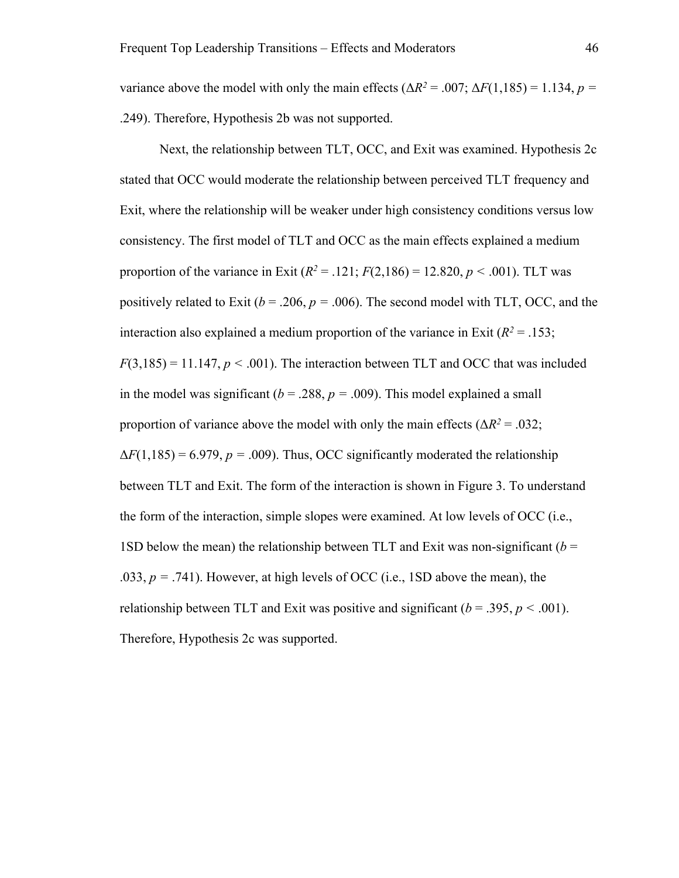variance above the model with only the main effects ( $\Delta R^2 = .007$ ;  $\Delta F(1,185) = 1.134$ ,  $p =$ .249). Therefore, Hypothesis 2b was not supported.

Next, the relationship between TLT, OCC, and Exit was examined. Hypothesis 2c stated that OCC would moderate the relationship between perceived TLT frequency and Exit, where the relationship will be weaker under high consistency conditions versus low consistency. The first model of TLT and OCC as the main effects explained a medium proportion of the variance in Exit  $(R^2 = .121; F(2,186) = 12.820, p < .001)$ . TLT was positively related to Exit ( $b = .206$ ,  $p = .006$ ). The second model with TLT, OCC, and the interaction also explained a medium proportion of the variance in Exit  $(R^2 = .153;$  $F(3,185) = 11.147, p < .001$ ). The interaction between TLT and OCC that was included in the model was significant ( $b = .288$ ,  $p = .009$ ). This model explained a small proportion of variance above the model with only the main effects ( $\Delta R^2 = .032$ ;  $\Delta F(1,185) = 6.979$ ,  $p = .009$ ). Thus, OCC significantly moderated the relationship between TLT and Exit. The form of the interaction is shown in Figure 3. To understand the form of the interaction, simple slopes were examined. At low levels of OCC (i.e., 1SD below the mean) the relationship between TLT and Exit was non-significant ( $b =$ .033,  $p = .741$ ). However, at high levels of OCC (i.e., 1SD above the mean), the relationship between TLT and Exit was positive and significant  $(b = .395, p < .001)$ . Therefore, Hypothesis 2c was supported.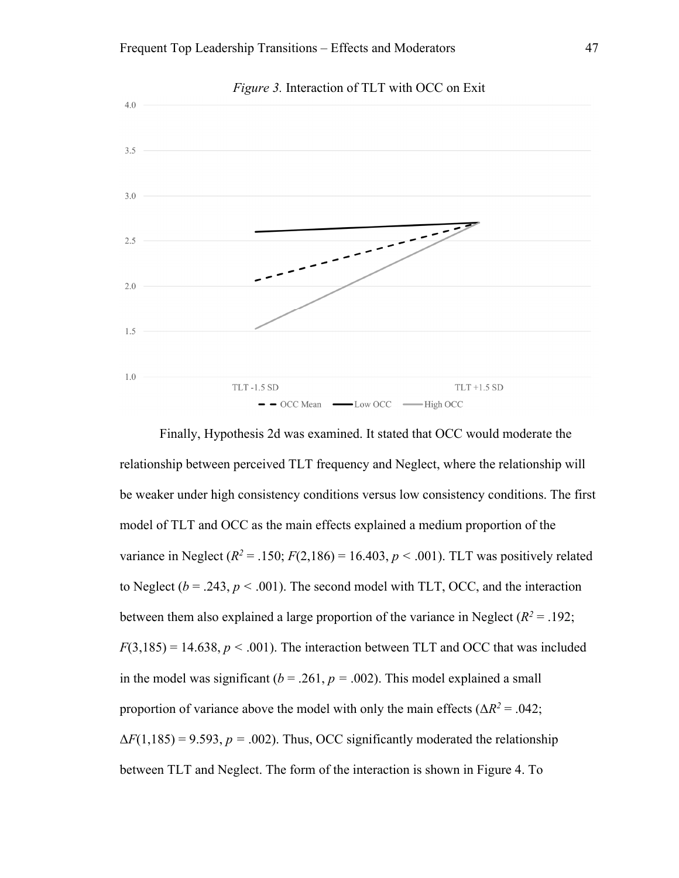

Finally, Hypothesis 2d was examined. It stated that OCC would moderate the relationship between perceived TLT frequency and Neglect, where the relationship will be weaker under high consistency conditions versus low consistency conditions. The first model of TLT and OCC as the main effects explained a medium proportion of the variance in Neglect  $(R^2 = .150; F(2,186) = 16.403, p < .001)$ . TLT was positively related to Neglect ( $b = .243$ ,  $p < .001$ ). The second model with TLT, OCC, and the interaction between them also explained a large proportion of the variance in Neglect  $(R^2 = .192;$  $F(3,185) = 14.638, p < .001$ . The interaction between TLT and OCC that was included in the model was significant ( $b = .261$ ,  $p = .002$ ). This model explained a small proportion of variance above the model with only the main effects ( $\Delta R^2 = .042$ ;  $\Delta F(1,185) = 9.593, p = .002$ ). Thus, OCC significantly moderated the relationship between TLT and Neglect. The form of the interaction is shown in Figure 4. To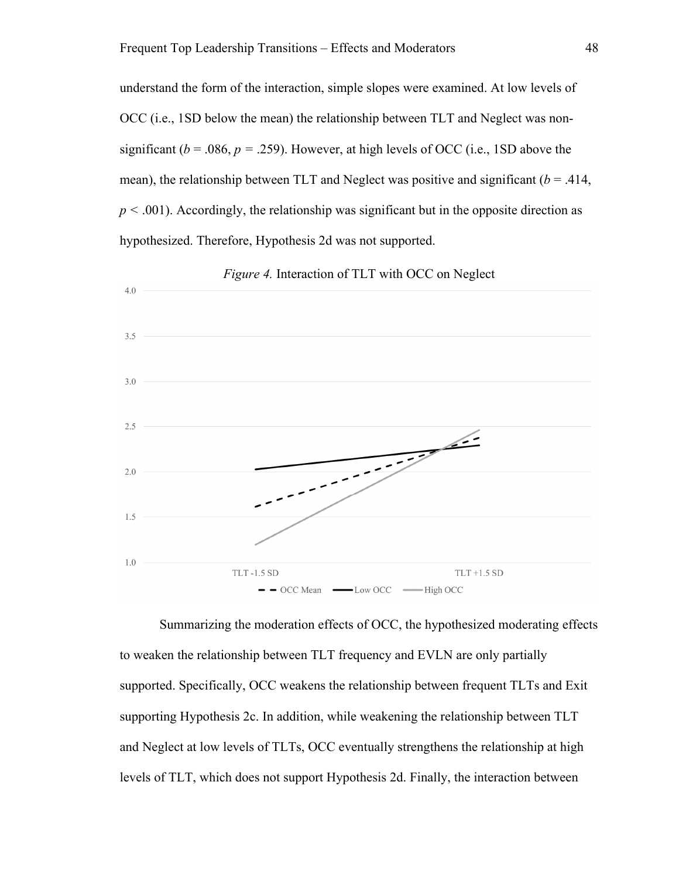understand the form of the interaction, simple slopes were examined. At low levels of OCC (i.e., 1SD below the mean) the relationship between TLT and Neglect was nonsignificant ( $b = .086$ ,  $p = .259$ ). However, at high levels of OCC (i.e., 1SD above the mean), the relationship between TLT and Neglect was positive and significant  $(b = .414, )$ *p <* .001). Accordingly, the relationship was significant but in the opposite direction as hypothesized. Therefore, Hypothesis 2d was not supported.



*Figure 4.* Interaction of TLT with OCC on Neglect

Summarizing the moderation effects of OCC, the hypothesized moderating effects to weaken the relationship between TLT frequency and EVLN are only partially supported. Specifically, OCC weakens the relationship between frequent TLTs and Exit supporting Hypothesis 2c. In addition, while weakening the relationship between TLT and Neglect at low levels of TLTs, OCC eventually strengthens the relationship at high levels of TLT, which does not support Hypothesis 2d. Finally, the interaction between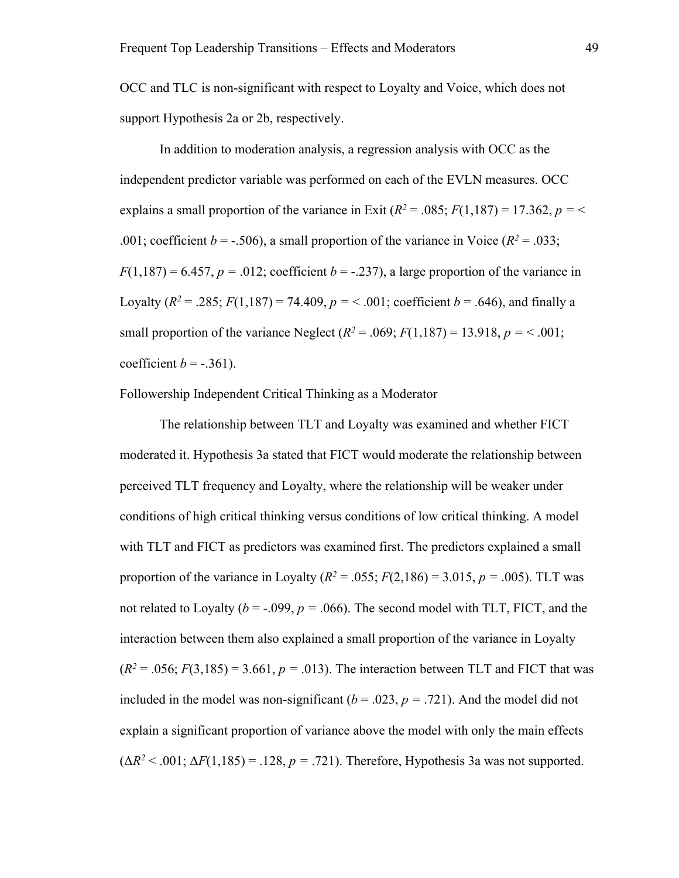OCC and TLC is non-significant with respect to Loyalty and Voice, which does not support Hypothesis 2a or 2b, respectively.

In addition to moderation analysis, a regression analysis with OCC as the independent predictor variable was performed on each of the EVLN measures. OCC explains a small proportion of the variance in Exit  $(R^2 = .085; F(1,187) = 17.362, p = \leq 17.362$ .001; coefficient  $b = -.506$ ), a small proportion of the variance in Voice ( $R^2 = .033$ ;  $F(1,187) = 6.457$ ,  $p = .012$ ; coefficient  $b = -.237$ ), a large proportion of the variance in Loyalty ( $R^2 = .285$ ;  $F(1,187) = 74.409$ ,  $p = < .001$ ; coefficient  $b = .646$ ), and finally a small proportion of the variance Neglect  $(R^2 = .069; F(1,187) = 13.918, p = 0.001;$ coefficient  $b = -.361$ ).

Followership Independent Critical Thinking as a Moderator

The relationship between TLT and Loyalty was examined and whether FICT moderated it. Hypothesis 3a stated that FICT would moderate the relationship between perceived TLT frequency and Loyalty, where the relationship will be weaker under conditions of high critical thinking versus conditions of low critical thinking. A model with TLT and FICT as predictors was examined first. The predictors explained a small proportion of the variance in Loyalty ( $R^2 = .055$ ;  $F(2,186) = 3.015$ ,  $p = .005$ ). TLT was not related to Loyalty ( $b = -.099$ ,  $p = .066$ ). The second model with TLT, FICT, and the interaction between them also explained a small proportion of the variance in Loyalty  $(R^2 = .056; F(3,185) = 3.661, p = .013)$ . The interaction between TLT and FICT that was included in the model was non-significant  $(b = .023, p = .721)$ . And the model did not explain a significant proportion of variance above the model with only the main effects  $(\Delta R^2 < .001; \Delta F(1,185) = .128, p = .721)$ . Therefore, Hypothesis 3a was not supported.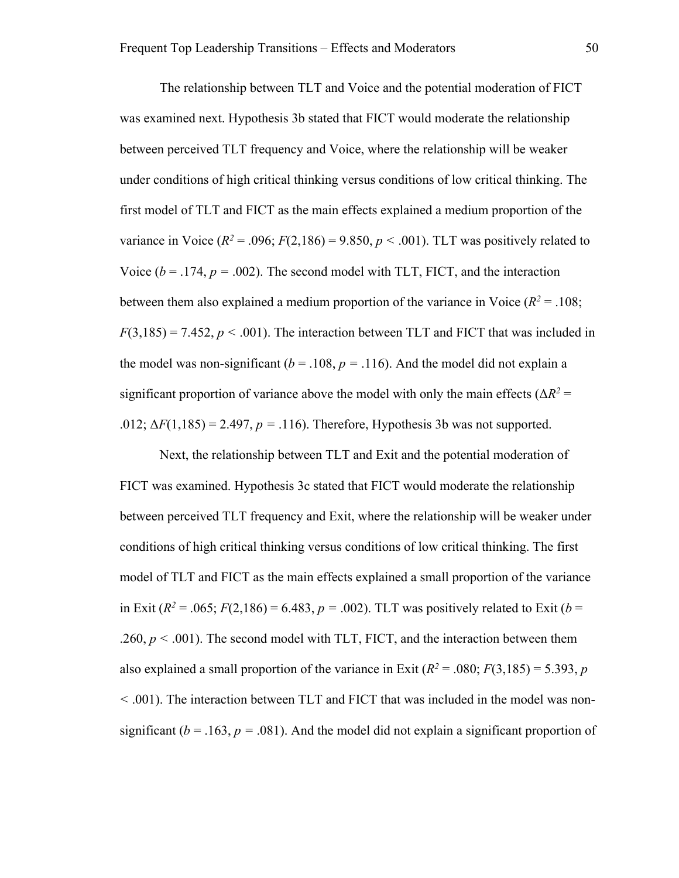The relationship between TLT and Voice and the potential moderation of FICT was examined next. Hypothesis 3b stated that FICT would moderate the relationship between perceived TLT frequency and Voice, where the relationship will be weaker under conditions of high critical thinking versus conditions of low critical thinking. The first model of TLT and FICT as the main effects explained a medium proportion of the variance in Voice  $(R^2 = .096; F(2,186) = 9.850, p < .001)$ . TLT was positively related to Voice  $(b = .174, p = .002)$ . The second model with TLT, FICT, and the interaction between them also explained a medium proportion of the variance in Voice  $(R^2 = .108)$ ;  $F(3,185) = 7.452, p < .001$ ). The interaction between TLT and FICT that was included in the model was non-significant ( $b = 0.108$ ,  $p = 0.116$ ). And the model did not explain a significant proportion of variance above the model with only the main effects ( $\Delta R^2$  = .012;  $\Delta F(1,185) = 2.497$ ,  $p = .116$ ). Therefore, Hypothesis 3b was not supported.

Next, the relationship between TLT and Exit and the potential moderation of FICT was examined. Hypothesis 3c stated that FICT would moderate the relationship between perceived TLT frequency and Exit, where the relationship will be weaker under conditions of high critical thinking versus conditions of low critical thinking. The first model of TLT and FICT as the main effects explained a small proportion of the variance in Exit ( $R^2 = .065$ ;  $F(2,186) = 6.483$ ,  $p = .002$ ). TLT was positively related to Exit ( $b =$  $.260, p < .001$ ). The second model with TLT, FICT, and the interaction between them also explained a small proportion of the variance in Exit  $(R^2 = .080; F(3,185) = 5.393, p$ *<* .001). The interaction between TLT and FICT that was included in the model was nonsignificant ( $b = .163$ ,  $p = .081$ ). And the model did not explain a significant proportion of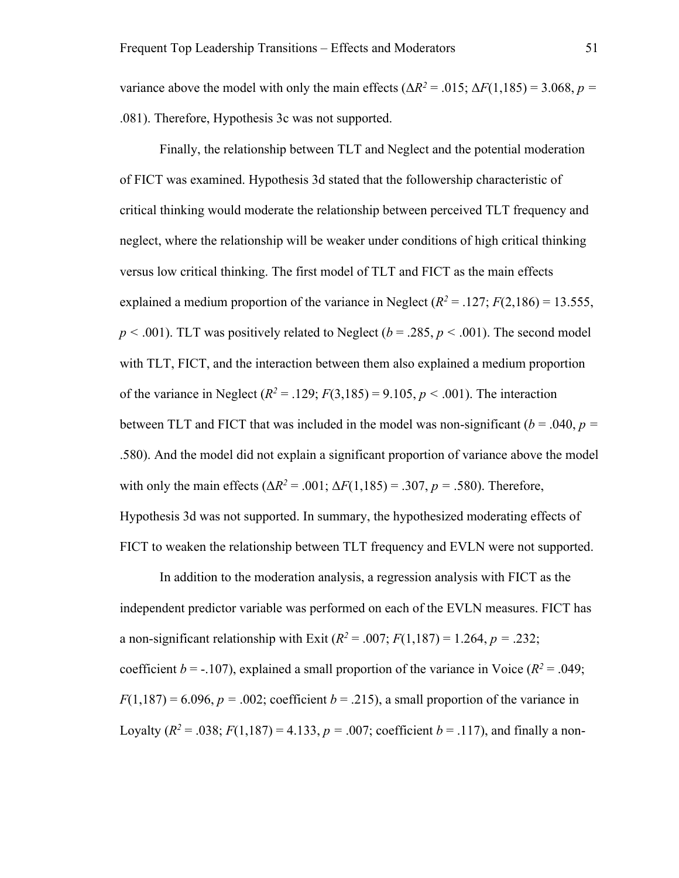variance above the model with only the main effects ( $\Delta R^2 = .015$ ;  $\Delta F(1,185) = 3.068$ ,  $p =$ .081). Therefore, Hypothesis 3c was not supported.

Finally, the relationship between TLT and Neglect and the potential moderation of FICT was examined. Hypothesis 3d stated that the followership characteristic of critical thinking would moderate the relationship between perceived TLT frequency and neglect, where the relationship will be weaker under conditions of high critical thinking versus low critical thinking. The first model of TLT and FICT as the main effects explained a medium proportion of the variance in Neglect  $(R^2 = .127; F(2,186) = 13.555$ ,  $p < .001$ ). TLT was positively related to Neglect ( $b = .285$ ,  $p < .001$ ). The second model with TLT, FICT, and the interaction between them also explained a medium proportion of the variance in Neglect  $(R^2 = .129; F(3,185) = 9.105, p < .001)$ . The interaction between TLT and FICT that was included in the model was non-significant  $(b = .040, p = 0.040)$ .580). And the model did not explain a significant proportion of variance above the model with only the main effects ( $ΔR^2 = .001$ ;  $ΔF(1,185) = .307$ ,  $p = .580$ ). Therefore, Hypothesis 3d was not supported. In summary, the hypothesized moderating effects of FICT to weaken the relationship between TLT frequency and EVLN were not supported.

In addition to the moderation analysis, a regression analysis with FICT as the independent predictor variable was performed on each of the EVLN measures. FICT has a non-significant relationship with Exit  $(R^2 = .007; F(1,187) = 1.264, p = .232;$ coefficient  $b = -107$ ), explained a small proportion of the variance in Voice ( $R^2 = .049$ ;  $F(1,187) = 6.096$ ,  $p = .002$ ; coefficient  $b = .215$ ), a small proportion of the variance in Loyalty ( $R^2 = .038$ ;  $F(1,187) = 4.133$ ,  $p = .007$ ; coefficient  $b = .117$ ), and finally a non-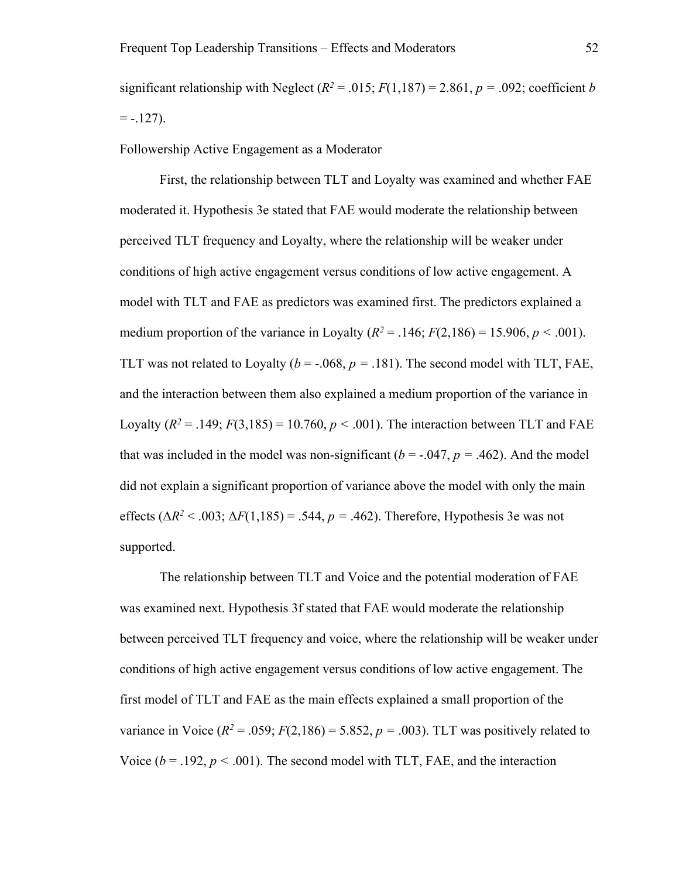significant relationship with Neglect ( $R^2 = .015$ ;  $F(1,187) = 2.861$ ,  $p = .092$ ; coefficient *b*  $= -.127$ ).

Followership Active Engagement as a Moderator

First, the relationship between TLT and Loyalty was examined and whether FAE moderated it. Hypothesis 3e stated that FAE would moderate the relationship between perceived TLT frequency and Loyalty, where the relationship will be weaker under conditions of high active engagement versus conditions of low active engagement. A model with TLT and FAE as predictors was examined first. The predictors explained a medium proportion of the variance in Loyalty ( $R^2 = .146$ ;  $F(2,186) = 15.906, p < .001$ ). TLT was not related to Loyalty ( $b = -.068$ ,  $p = .181$ ). The second model with TLT, FAE, and the interaction between them also explained a medium proportion of the variance in Loyalty  $(R^2 = .149; F(3,185) = 10.760, p < .001)$ . The interaction between TLT and FAE that was included in the model was non-significant ( $b = -0.047$ ,  $p = 0.462$ ). And the model did not explain a significant proportion of variance above the model with only the main effects  $(\Delta R^2 < .003; \Delta F(1,185) = .544, p = .462)$ . Therefore, Hypothesis 3e was not supported.

The relationship between TLT and Voice and the potential moderation of FAE was examined next. Hypothesis 3f stated that FAE would moderate the relationship between perceived TLT frequency and voice, where the relationship will be weaker under conditions of high active engagement versus conditions of low active engagement. The first model of TLT and FAE as the main effects explained a small proportion of the variance in Voice  $(R^2 = .059; F(2,186) = 5.852, p = .003)$ . TLT was positively related to Voice  $(b = .192, p < .001)$ . The second model with TLT, FAE, and the interaction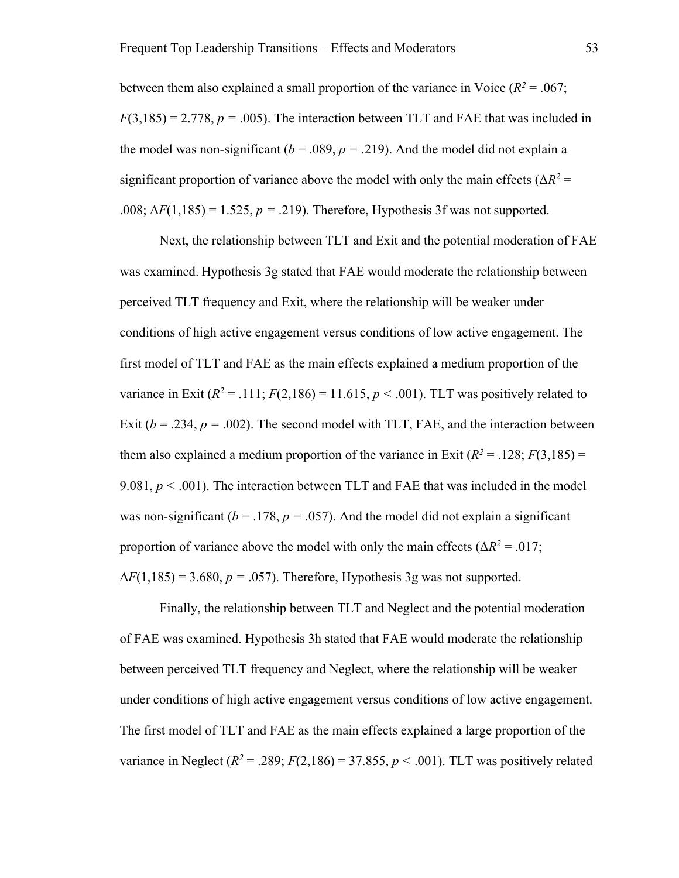between them also explained a small proportion of the variance in Voice ( $R^2 = .067$ ;  $F(3,185) = 2.778$ ,  $p = .005$ ). The interaction between TLT and FAE that was included in the model was non-significant ( $b = .089$ ,  $p = .219$ ). And the model did not explain a significant proportion of variance above the model with only the main effects ( $\Delta R^2$  = .008;  $\Delta F(1,185) = 1.525$ ,  $p = .219$ ). Therefore, Hypothesis 3f was not supported.

Next, the relationship between TLT and Exit and the potential moderation of FAE was examined. Hypothesis 3g stated that FAE would moderate the relationship between perceived TLT frequency and Exit, where the relationship will be weaker under conditions of high active engagement versus conditions of low active engagement. The first model of TLT and FAE as the main effects explained a medium proportion of the variance in Exit  $(R^2 = .111; F(2,186) = 11.615, p < .001)$ . TLT was positively related to Exit ( $b = .234$ ,  $p = .002$ ). The second model with TLT, FAE, and the interaction between them also explained a medium proportion of the variance in Exit  $(R^2 = .128; F(3,185)) =$ 9.081, *p <* .001). The interaction between TLT and FAE that was included in the model was non-significant ( $b = 0.178$ ,  $p = 0.057$ ). And the model did not explain a significant proportion of variance above the model with only the main effects ( $\Delta R^2 = .017$ ;  $\Delta F(1,185) = 3.680, p = .057$ . Therefore, Hypothesis 3g was not supported.

Finally, the relationship between TLT and Neglect and the potential moderation of FAE was examined. Hypothesis 3h stated that FAE would moderate the relationship between perceived TLT frequency and Neglect, where the relationship will be weaker under conditions of high active engagement versus conditions of low active engagement. The first model of TLT and FAE as the main effects explained a large proportion of the variance in Neglect  $(R^2 = .289; F(2,186) = 37.855, p < .001)$ . TLT was positively related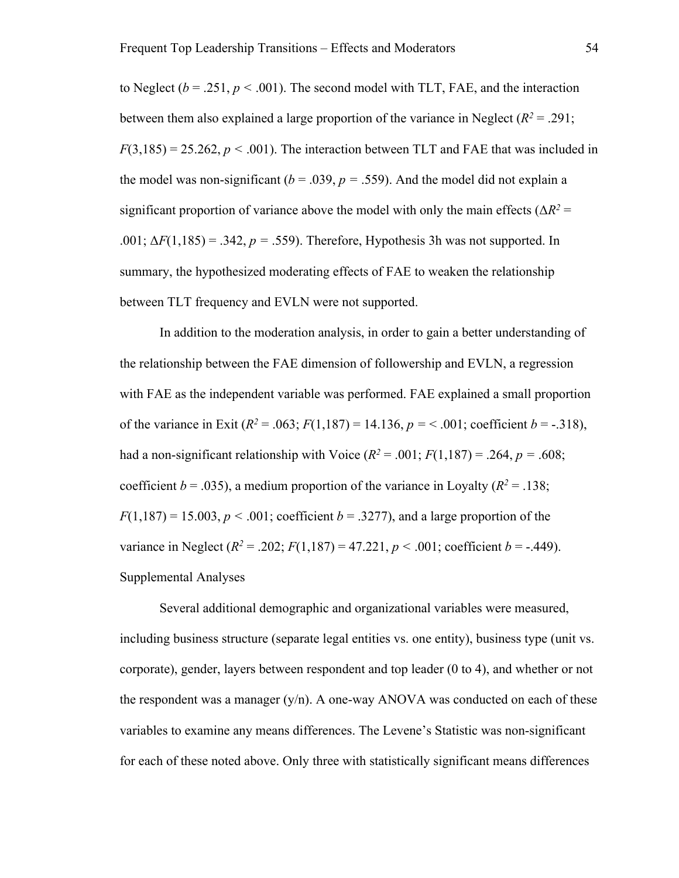to Neglect  $(b = .251, p < .001)$ . The second model with TLT, FAE, and the interaction between them also explained a large proportion of the variance in Neglect  $(R^2 = .291)$ ;  $F(3,185) = 25.262, p < .001$ . The interaction between TLT and FAE that was included in the model was non-significant ( $b = .039$ ,  $p = .559$ ). And the model did not explain a significant proportion of variance above the model with only the main effects ( $\Delta R^2$  = .001;  $\Delta F(1,185) = .342$ ,  $p = .559$ ). Therefore, Hypothesis 3h was not supported. In summary, the hypothesized moderating effects of FAE to weaken the relationship between TLT frequency and EVLN were not supported.

In addition to the moderation analysis, in order to gain a better understanding of the relationship between the FAE dimension of followership and EVLN, a regression with FAE as the independent variable was performed. FAE explained a small proportion of the variance in Exit  $(R^2 = .063; F(1,187) = 14.136, p = < .001$ ; coefficient  $b = -.318$ ), had a non-significant relationship with Voice  $(R^2 = .001; F(1,187) = .264, p = .608;$ coefficient  $b = .035$ ), a medium proportion of the variance in Loyalty ( $R^2 = .138$ ;  $F(1,187) = 15.003$ ,  $p < .001$ ; coefficient  $b = .3277$ ), and a large proportion of the variance in Neglect  $(R^2 = .202; F(1,187) = 47.221, p < .001$ ; coefficient  $b = -.449$ ). Supplemental Analyses

Several additional demographic and organizational variables were measured, including business structure (separate legal entities vs. one entity), business type (unit vs. corporate), gender, layers between respondent and top leader (0 to 4), and whether or not the respondent was a manager  $(y/n)$ . A one-way ANOVA was conducted on each of these variables to examine any means differences. The Levene's Statistic was non-significant for each of these noted above. Only three with statistically significant means differences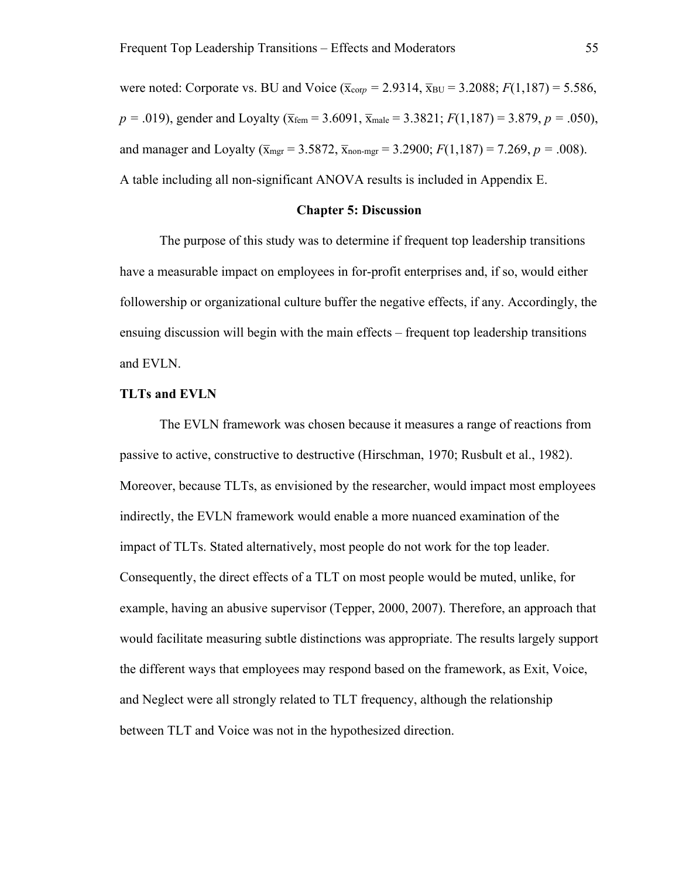were noted: Corporate vs. BU and Voice ( $\bar{x}_{\text{corp}} = 2.9314, \bar{x}_{\text{BU}} = 3.2088; F(1,187) = 5.586$ ,  $p = .019$ ), gender and Loyalty ( $\bar{x}_{fem} = 3.6091$ ,  $\bar{x}_{male} = 3.3821$ ;  $F(1,187) = 3.879$ ,  $p = .050$ ), and manager and Loyalty ( $\bar{x}_{\text{mer}} = 3.5872$ ,  $\bar{x}_{\text{non-mer}} = 3.2900$ ;  $F(1,187) = 7.269$ ,  $p = .008$ ). A table including all non-significant ANOVA results is included in Appendix E.

#### **Chapter 5: Discussion**

The purpose of this study was to determine if frequent top leadership transitions have a measurable impact on employees in for-profit enterprises and, if so, would either followership or organizational culture buffer the negative effects, if any. Accordingly, the ensuing discussion will begin with the main effects – frequent top leadership transitions and EVLN.

#### **TLTs and EVLN**

The EVLN framework was chosen because it measures a range of reactions from passive to active, constructive to destructive (Hirschman, 1970; Rusbult et al., 1982). Moreover, because TLTs, as envisioned by the researcher, would impact most employees indirectly, the EVLN framework would enable a more nuanced examination of the impact of TLTs. Stated alternatively, most people do not work for the top leader. Consequently, the direct effects of a TLT on most people would be muted, unlike, for example, having an abusive supervisor (Tepper, 2000, 2007). Therefore, an approach that would facilitate measuring subtle distinctions was appropriate. The results largely support the different ways that employees may respond based on the framework, as Exit, Voice, and Neglect were all strongly related to TLT frequency, although the relationship between TLT and Voice was not in the hypothesized direction.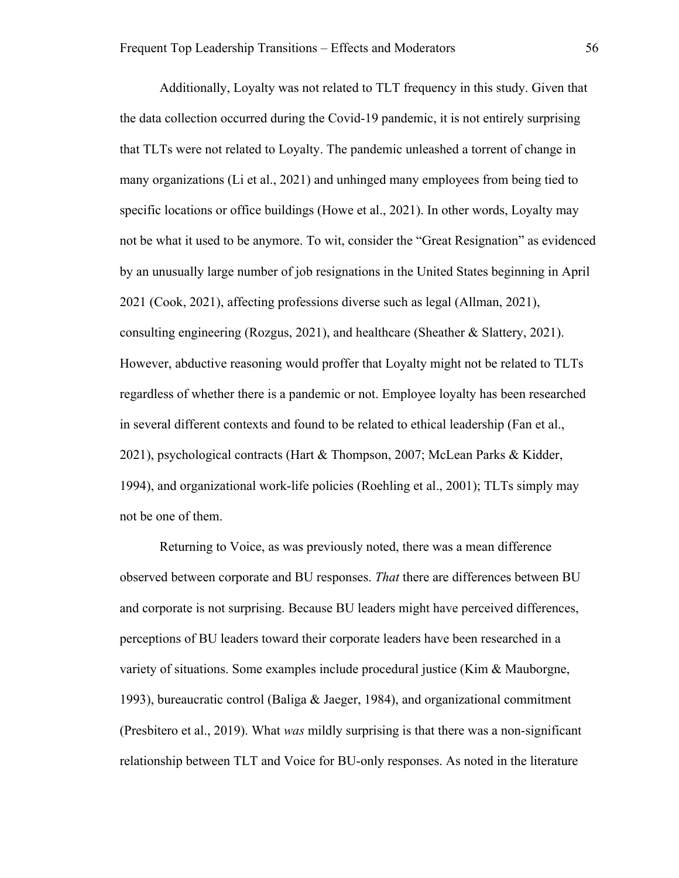Additionally, Loyalty was not related to TLT frequency in this study. Given that the data collection occurred during the Covid-19 pandemic, it is not entirely surprising that TLTs were not related to Loyalty. The pandemic unleashed a torrent of change in many organizations (Li et al., 2021) and unhinged many employees from being tied to specific locations or office buildings (Howe et al., 2021). In other words, Loyalty may not be what it used to be anymore. To wit, consider the "Great Resignation" as evidenced by an unusually large number of job resignations in the United States beginning in April 2021 (Cook, 2021), affecting professions diverse such as legal (Allman, 2021), consulting engineering (Rozgus, 2021), and healthcare (Sheather & Slattery, 2021). However, abductive reasoning would proffer that Loyalty might not be related to TLTs regardless of whether there is a pandemic or not. Employee loyalty has been researched in several different contexts and found to be related to ethical leadership (Fan et al., 2021), psychological contracts (Hart & Thompson, 2007; McLean Parks & Kidder, 1994), and organizational work-life policies (Roehling et al., 2001); TLTs simply may not be one of them.

Returning to Voice, as was previously noted, there was a mean difference observed between corporate and BU responses. *That* there are differences between BU and corporate is not surprising. Because BU leaders might have perceived differences, perceptions of BU leaders toward their corporate leaders have been researched in a variety of situations. Some examples include procedural justice (Kim & Mauborgne, 1993), bureaucratic control (Baliga & Jaeger, 1984), and organizational commitment (Presbitero et al., 2019). What *was* mildly surprising is that there was a non-significant relationship between TLT and Voice for BU-only responses. As noted in the literature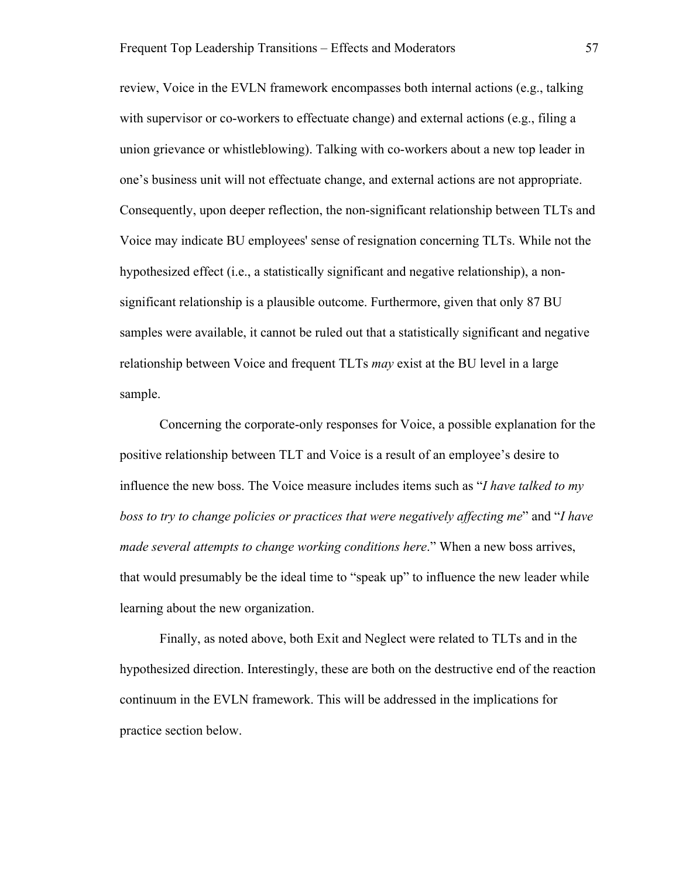review, Voice in the EVLN framework encompasses both internal actions (e.g., talking with supervisor or co-workers to effectuate change) and external actions (e.g., filing a union grievance or whistleblowing). Talking with co-workers about a new top leader in one's business unit will not effectuate change, and external actions are not appropriate. Consequently, upon deeper reflection, the non-significant relationship between TLTs and Voice may indicate BU employees' sense of resignation concerning TLTs. While not the hypothesized effect (i.e., a statistically significant and negative relationship), a nonsignificant relationship is a plausible outcome. Furthermore, given that only 87 BU samples were available, it cannot be ruled out that a statistically significant and negative relationship between Voice and frequent TLTs *may* exist at the BU level in a large sample.

Concerning the corporate-only responses for Voice, a possible explanation for the positive relationship between TLT and Voice is a result of an employee's desire to influence the new boss. The Voice measure includes items such as "*I have talked to my boss to try to change policies or practices that were negatively affecting me*" and "*I have made several attempts to change working conditions here*." When a new boss arrives, that would presumably be the ideal time to "speak up" to influence the new leader while learning about the new organization.

Finally, as noted above, both Exit and Neglect were related to TLTs and in the hypothesized direction. Interestingly, these are both on the destructive end of the reaction continuum in the EVLN framework. This will be addressed in the implications for practice section below.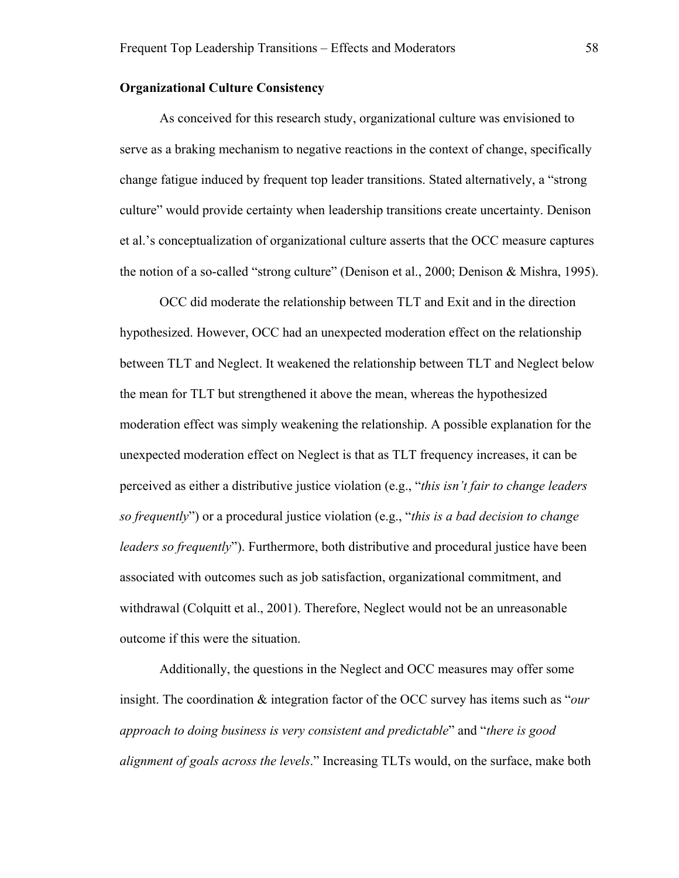## **Organizational Culture Consistency**

As conceived for this research study, organizational culture was envisioned to serve as a braking mechanism to negative reactions in the context of change, specifically change fatigue induced by frequent top leader transitions. Stated alternatively, a "strong culture" would provide certainty when leadership transitions create uncertainty. Denison et al.'s conceptualization of organizational culture asserts that the OCC measure captures the notion of a so-called "strong culture" (Denison et al., 2000; Denison & Mishra, 1995).

OCC did moderate the relationship between TLT and Exit and in the direction hypothesized. However, OCC had an unexpected moderation effect on the relationship between TLT and Neglect. It weakened the relationship between TLT and Neglect below the mean for TLT but strengthened it above the mean, whereas the hypothesized moderation effect was simply weakening the relationship. A possible explanation for the unexpected moderation effect on Neglect is that as TLT frequency increases, it can be perceived as either a distributive justice violation (e.g., "*this isn't fair to change leaders so frequently*") or a procedural justice violation (e.g., "*this is a bad decision to change leaders so frequently*"). Furthermore, both distributive and procedural justice have been associated with outcomes such as job satisfaction, organizational commitment, and withdrawal (Colquitt et al., 2001). Therefore, Neglect would not be an unreasonable outcome if this were the situation.

Additionally, the questions in the Neglect and OCC measures may offer some insight. The coordination & integration factor of the OCC survey has items such as "*our approach to doing business is very consistent and predictable*" and "*there is good alignment of goals across the levels*." Increasing TLTs would, on the surface, make both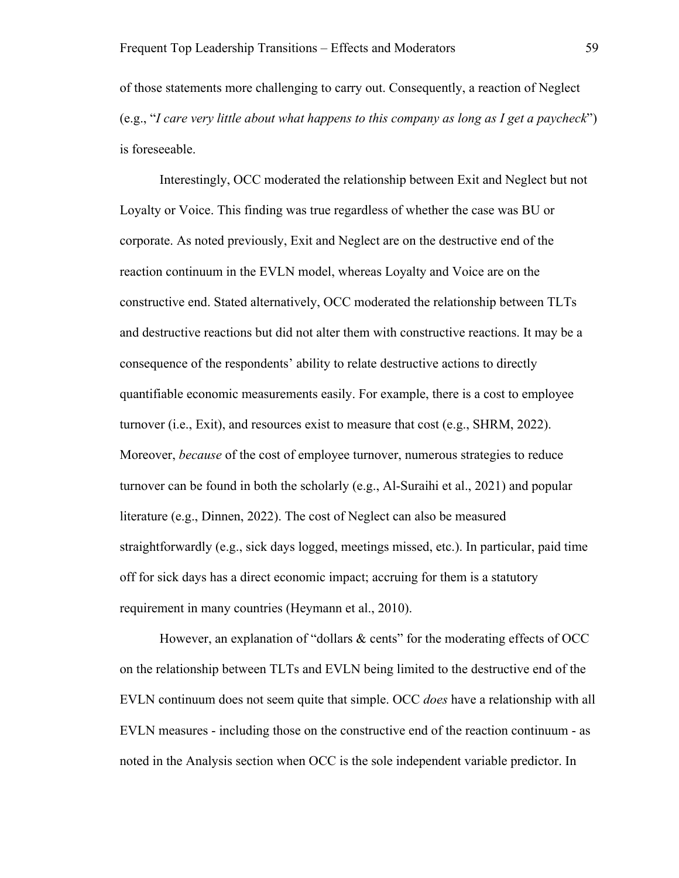of those statements more challenging to carry out. Consequently, a reaction of Neglect (e.g., "*I care very little about what happens to this company as long as I get a paycheck*") is foreseeable.

Interestingly, OCC moderated the relationship between Exit and Neglect but not Loyalty or Voice. This finding was true regardless of whether the case was BU or corporate. As noted previously, Exit and Neglect are on the destructive end of the reaction continuum in the EVLN model, whereas Loyalty and Voice are on the constructive end. Stated alternatively, OCC moderated the relationship between TLTs and destructive reactions but did not alter them with constructive reactions. It may be a consequence of the respondents' ability to relate destructive actions to directly quantifiable economic measurements easily. For example, there is a cost to employee turnover (i.e., Exit), and resources exist to measure that cost (e.g., SHRM, 2022). Moreover, *because* of the cost of employee turnover, numerous strategies to reduce turnover can be found in both the scholarly (e.g., Al-Suraihi et al., 2021) and popular literature (e.g., Dinnen, 2022). The cost of Neglect can also be measured straightforwardly (e.g., sick days logged, meetings missed, etc.). In particular, paid time off for sick days has a direct economic impact; accruing for them is a statutory requirement in many countries (Heymann et al., 2010).

However, an explanation of "dollars & cents" for the moderating effects of OCC on the relationship between TLTs and EVLN being limited to the destructive end of the EVLN continuum does not seem quite that simple. OCC *does* have a relationship with all EVLN measures - including those on the constructive end of the reaction continuum - as noted in the Analysis section when OCC is the sole independent variable predictor. In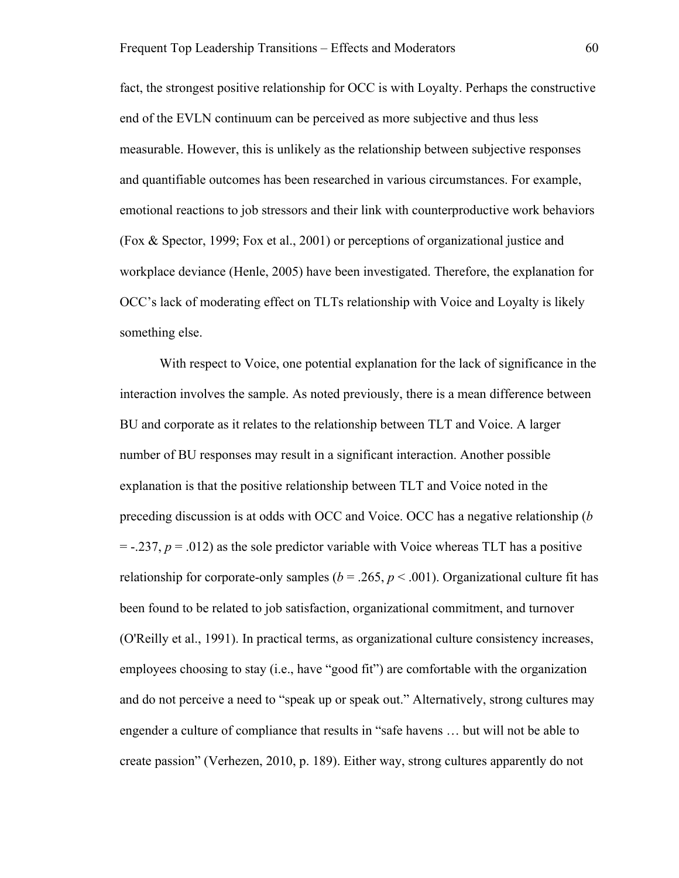fact, the strongest positive relationship for OCC is with Loyalty. Perhaps the constructive end of the EVLN continuum can be perceived as more subjective and thus less measurable. However, this is unlikely as the relationship between subjective responses and quantifiable outcomes has been researched in various circumstances. For example, emotional reactions to job stressors and their link with counterproductive work behaviors (Fox & Spector, 1999; Fox et al., 2001) or perceptions of organizational justice and workplace deviance (Henle, 2005) have been investigated. Therefore, the explanation for OCC's lack of moderating effect on TLTs relationship with Voice and Loyalty is likely something else.

With respect to Voice, one potential explanation for the lack of significance in the interaction involves the sample. As noted previously, there is a mean difference between BU and corporate as it relates to the relationship between TLT and Voice. A larger number of BU responses may result in a significant interaction. Another possible explanation is that the positive relationship between TLT and Voice noted in the preceding discussion is at odds with OCC and Voice. OCC has a negative relationship (*b*  $=$  -.237,  $p = .012$ ) as the sole predictor variable with Voice whereas TLT has a positive relationship for corporate-only samples ( $b = .265$ ,  $p < .001$ ). Organizational culture fit has been found to be related to job satisfaction, organizational commitment, and turnover (O'Reilly et al., 1991). In practical terms, as organizational culture consistency increases, employees choosing to stay (i.e., have "good fit") are comfortable with the organization and do not perceive a need to "speak up or speak out." Alternatively, strong cultures may engender a culture of compliance that results in "safe havens … but will not be able to create passion" (Verhezen, 2010, p. 189). Either way, strong cultures apparently do not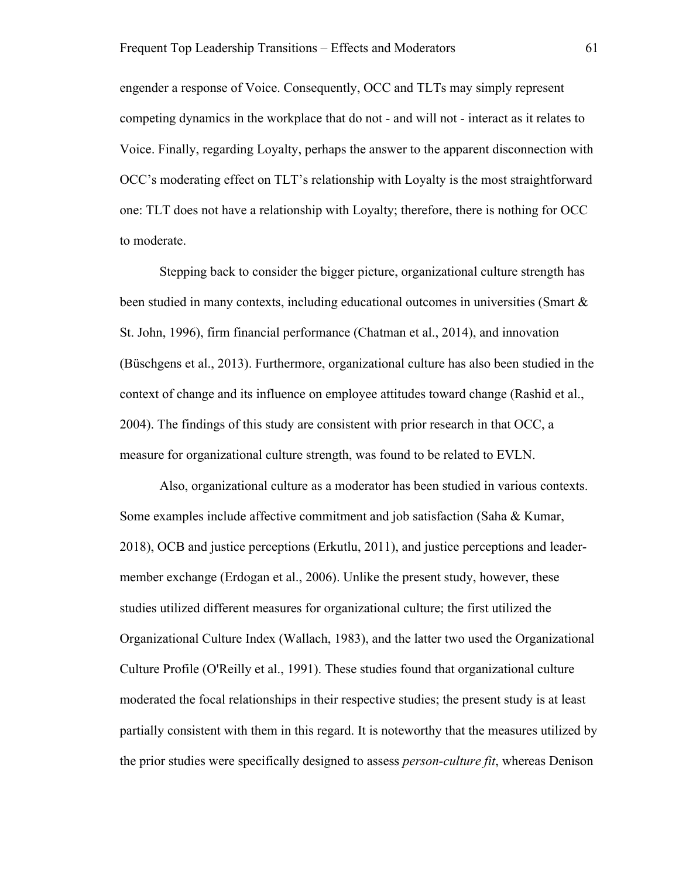engender a response of Voice. Consequently, OCC and TLTs may simply represent competing dynamics in the workplace that do not - and will not - interact as it relates to Voice. Finally, regarding Loyalty, perhaps the answer to the apparent disconnection with OCC's moderating effect on TLT's relationship with Loyalty is the most straightforward one: TLT does not have a relationship with Loyalty; therefore, there is nothing for OCC to moderate.

Stepping back to consider the bigger picture, organizational culture strength has been studied in many contexts, including educational outcomes in universities (Smart & St. John, 1996), firm financial performance (Chatman et al., 2014), and innovation (Büschgens et al., 2013). Furthermore, organizational culture has also been studied in the context of change and its influence on employee attitudes toward change (Rashid et al., 2004). The findings of this study are consistent with prior research in that OCC, a measure for organizational culture strength, was found to be related to EVLN.

Also, organizational culture as a moderator has been studied in various contexts. Some examples include affective commitment and job satisfaction (Saha & Kumar, 2018), OCB and justice perceptions (Erkutlu, 2011), and justice perceptions and leadermember exchange (Erdogan et al., 2006). Unlike the present study, however, these studies utilized different measures for organizational culture; the first utilized the Organizational Culture Index (Wallach, 1983), and the latter two used the Organizational Culture Profile (O'Reilly et al., 1991). These studies found that organizational culture moderated the focal relationships in their respective studies; the present study is at least partially consistent with them in this regard. It is noteworthy that the measures utilized by the prior studies were specifically designed to assess *person-culture fit*, whereas Denison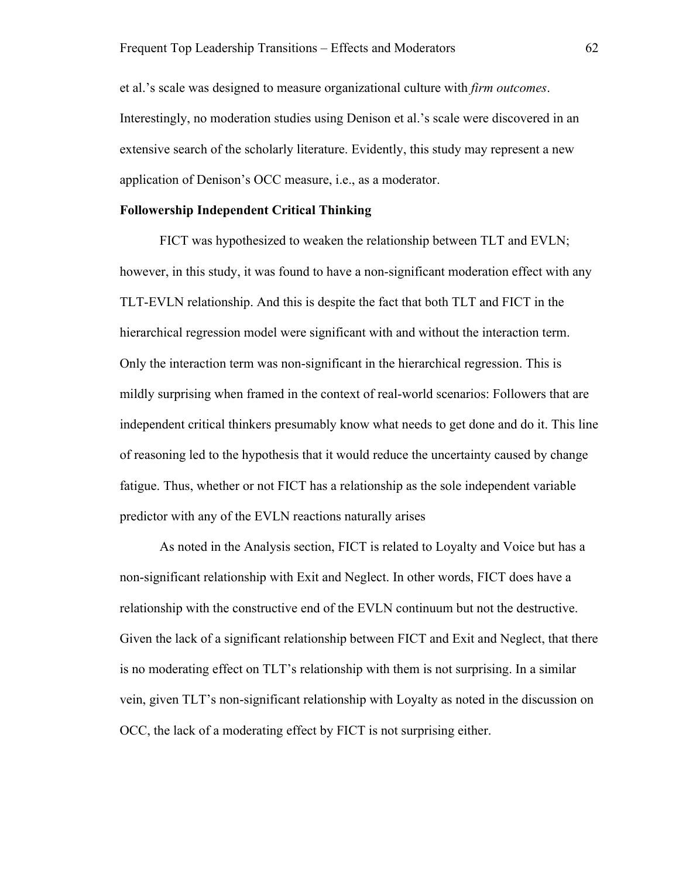et al.'s scale was designed to measure organizational culture with *firm outcomes*. Interestingly, no moderation studies using Denison et al.'s scale were discovered in an extensive search of the scholarly literature. Evidently, this study may represent a new application of Denison's OCC measure, i.e., as a moderator.

#### **Followership Independent Critical Thinking**

FICT was hypothesized to weaken the relationship between TLT and EVLN; however, in this study, it was found to have a non-significant moderation effect with any TLT-EVLN relationship. And this is despite the fact that both TLT and FICT in the hierarchical regression model were significant with and without the interaction term. Only the interaction term was non-significant in the hierarchical regression. This is mildly surprising when framed in the context of real-world scenarios: Followers that are independent critical thinkers presumably know what needs to get done and do it. This line of reasoning led to the hypothesis that it would reduce the uncertainty caused by change fatigue. Thus, whether or not FICT has a relationship as the sole independent variable predictor with any of the EVLN reactions naturally arises

As noted in the Analysis section, FICT is related to Loyalty and Voice but has a non-significant relationship with Exit and Neglect. In other words, FICT does have a relationship with the constructive end of the EVLN continuum but not the destructive. Given the lack of a significant relationship between FICT and Exit and Neglect, that there is no moderating effect on TLT's relationship with them is not surprising. In a similar vein, given TLT's non-significant relationship with Loyalty as noted in the discussion on OCC, the lack of a moderating effect by FICT is not surprising either.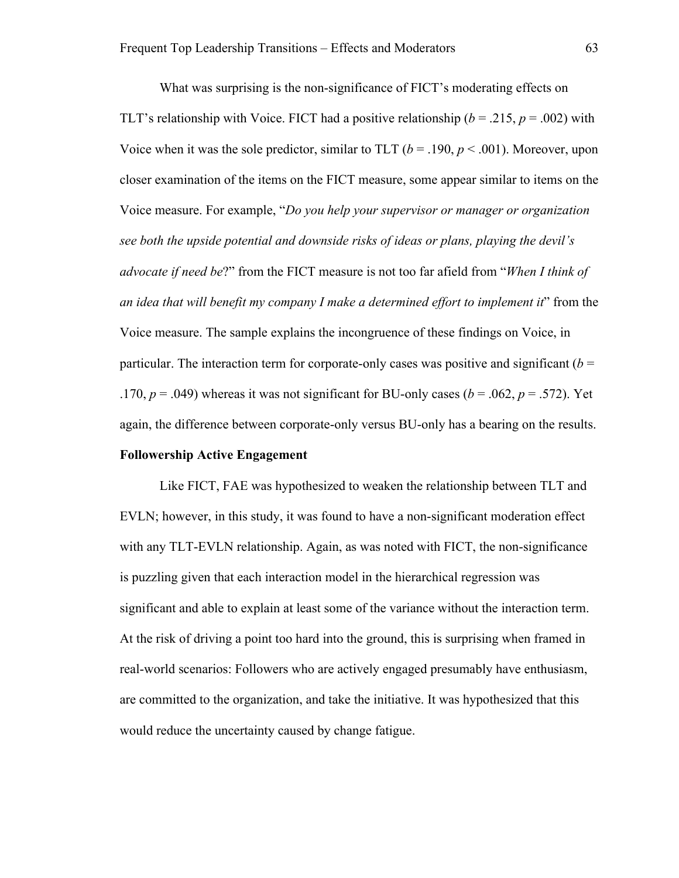What was surprising is the non-significance of FICT's moderating effects on TLT's relationship with Voice. FICT had a positive relationship ( $b = .215$ ,  $p = .002$ ) with Voice when it was the sole predictor, similar to TLT  $(b = .190, p < .001)$ . Moreover, upon closer examination of the items on the FICT measure, some appear similar to items on the Voice measure. For example, "*Do you help your supervisor or manager or organization see both the upside potential and downside risks of ideas or plans, playing the devil's advocate if need be*?" from the FICT measure is not too far afield from "*When I think of an idea that will benefit my company I make a determined effort to implement it*" from the Voice measure. The sample explains the incongruence of these findings on Voice, in particular. The interaction term for corporate-only cases was positive and significant  $(b =$ .170,  $p = .049$ ) whereas it was not significant for BU-only cases ( $b = .062$ ,  $p = .572$ ). Yet again, the difference between corporate-only versus BU-only has a bearing on the results.

# **Followership Active Engagement**

Like FICT, FAE was hypothesized to weaken the relationship between TLT and EVLN; however, in this study, it was found to have a non-significant moderation effect with any TLT-EVLN relationship. Again, as was noted with FICT, the non-significance is puzzling given that each interaction model in the hierarchical regression was significant and able to explain at least some of the variance without the interaction term. At the risk of driving a point too hard into the ground, this is surprising when framed in real-world scenarios: Followers who are actively engaged presumably have enthusiasm, are committed to the organization, and take the initiative. It was hypothesized that this would reduce the uncertainty caused by change fatigue.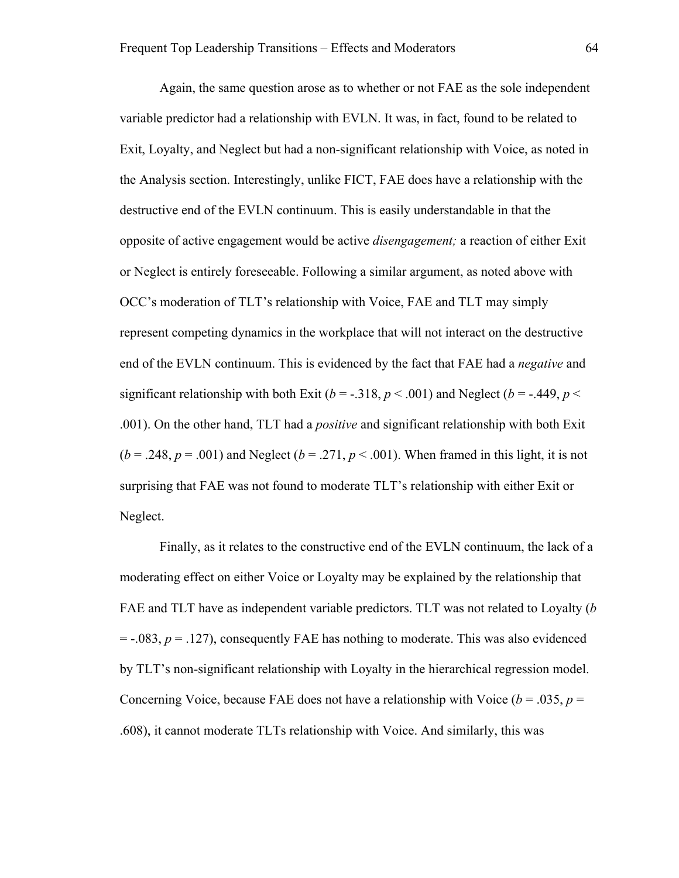Again, the same question arose as to whether or not FAE as the sole independent variable predictor had a relationship with EVLN. It was, in fact, found to be related to Exit, Loyalty, and Neglect but had a non-significant relationship with Voice, as noted in the Analysis section. Interestingly, unlike FICT, FAE does have a relationship with the destructive end of the EVLN continuum. This is easily understandable in that the opposite of active engagement would be active *disengagement;* a reaction of either Exit or Neglect is entirely foreseeable. Following a similar argument, as noted above with OCC's moderation of TLT's relationship with Voice, FAE and TLT may simply represent competing dynamics in the workplace that will not interact on the destructive end of the EVLN continuum. This is evidenced by the fact that FAE had a *negative* and significant relationship with both Exit ( $b = -0.318$ ,  $p < 0.001$ ) and Neglect ( $b = -0.449$ ,  $p < 0.01$ ) .001). On the other hand, TLT had a *positive* and significant relationship with both Exit  $(b = .248, p = .001)$  and Neglect  $(b = .271, p < .001)$ . When framed in this light, it is not surprising that FAE was not found to moderate TLT's relationship with either Exit or Neglect.

Finally, as it relates to the constructive end of the EVLN continuum, the lack of a moderating effect on either Voice or Loyalty may be explained by the relationship that FAE and TLT have as independent variable predictors. TLT was not related to Loyalty (*b*  $=$  -.083,  $p = .127$ ), consequently FAE has nothing to moderate. This was also evidenced by TLT's non-significant relationship with Loyalty in the hierarchical regression model. Concerning Voice, because FAE does not have a relationship with Voice ( $b = .035$ ,  $p =$ .608), it cannot moderate TLTs relationship with Voice. And similarly, this was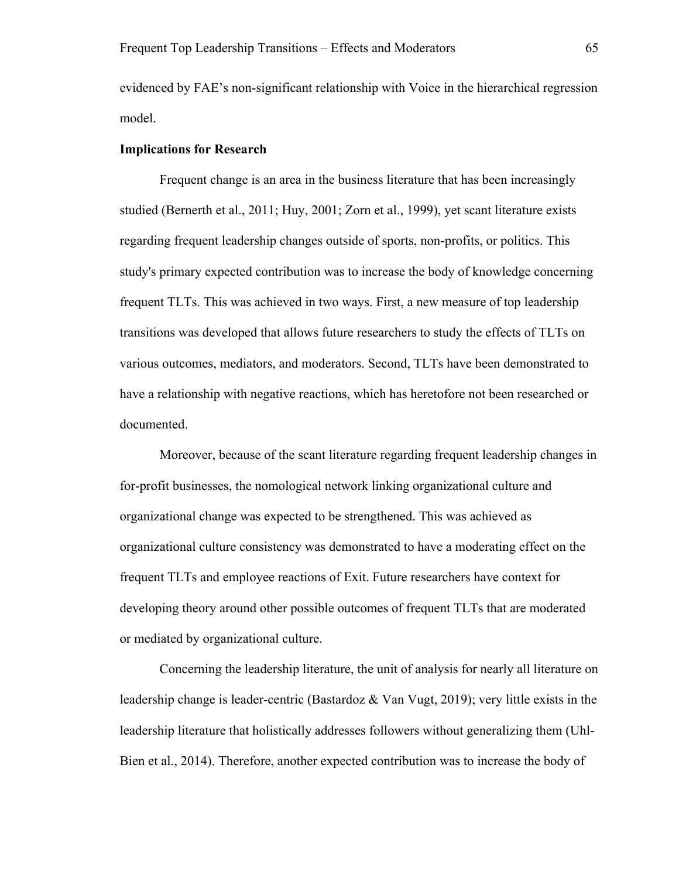evidenced by FAE's non-significant relationship with Voice in the hierarchical regression model.

## **Implications for Research**

Frequent change is an area in the business literature that has been increasingly studied (Bernerth et al., 2011; Huy, 2001; Zorn et al., 1999), yet scant literature exists regarding frequent leadership changes outside of sports, non-profits, or politics. This study's primary expected contribution was to increase the body of knowledge concerning frequent TLTs. This was achieved in two ways. First, a new measure of top leadership transitions was developed that allows future researchers to study the effects of TLTs on various outcomes, mediators, and moderators. Second, TLTs have been demonstrated to have a relationship with negative reactions, which has heretofore not been researched or documented.

Moreover, because of the scant literature regarding frequent leadership changes in for-profit businesses, the nomological network linking organizational culture and organizational change was expected to be strengthened. This was achieved as organizational culture consistency was demonstrated to have a moderating effect on the frequent TLTs and employee reactions of Exit. Future researchers have context for developing theory around other possible outcomes of frequent TLTs that are moderated or mediated by organizational culture.

Concerning the leadership literature, the unit of analysis for nearly all literature on leadership change is leader-centric (Bastardoz & Van Vugt, 2019); very little exists in the leadership literature that holistically addresses followers without generalizing them (Uhl-Bien et al., 2014). Therefore, another expected contribution was to increase the body of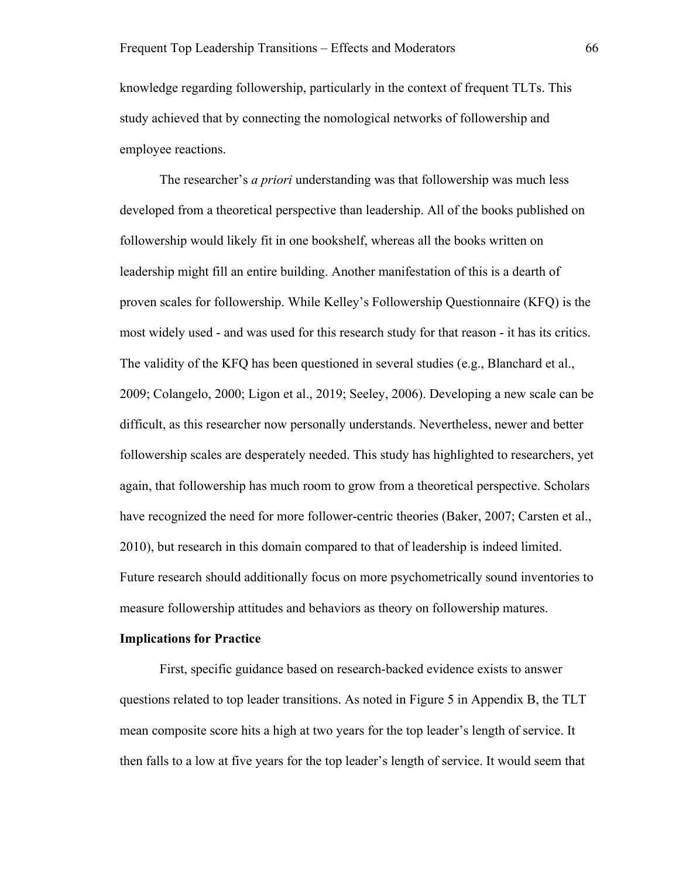knowledge regarding followership, particularly in the context of frequent TLTs. This study achieved that by connecting the nomological networks of followership and employee reactions.

The researcher's *a priori* understanding was that followership was much less developed from a theoretical perspective than leadership. All of the books published on followership would likely fit in one bookshelf, whereas all the books written on leadership might fill an entire building. Another manifestation of this is a dearth of proven scales for followership. While Kelley's Followership Questionnaire (KFQ) is the most widely used - and was used for this research study for that reason - it has its critics. The validity of the KFQ has been questioned in several studies (e.g., Blanchard et al., 2009; Colangelo, 2000; Ligon et al., 2019; Seeley, 2006). Developing a new scale can be difficult, as this researcher now personally understands. Nevertheless, newer and better followership scales are desperately needed. This study has highlighted to researchers, yet again, that followership has much room to grow from a theoretical perspective. Scholars have recognized the need for more follower-centric theories (Baker, 2007; Carsten et al., 2010), but research in this domain compared to that of leadership is indeed limited. Future research should additionally focus on more psychometrically sound inventories to measure followership attitudes and behaviors as theory on followership matures.

#### **Implications for Practice**

First, specific guidance based on research-backed evidence exists to answer questions related to top leader transitions. As noted in Figure 5 in Appendix B, the TLT mean composite score hits a high at two years for the top leader's length of service. It then falls to a low at five years for the top leader's length of service. It would seem that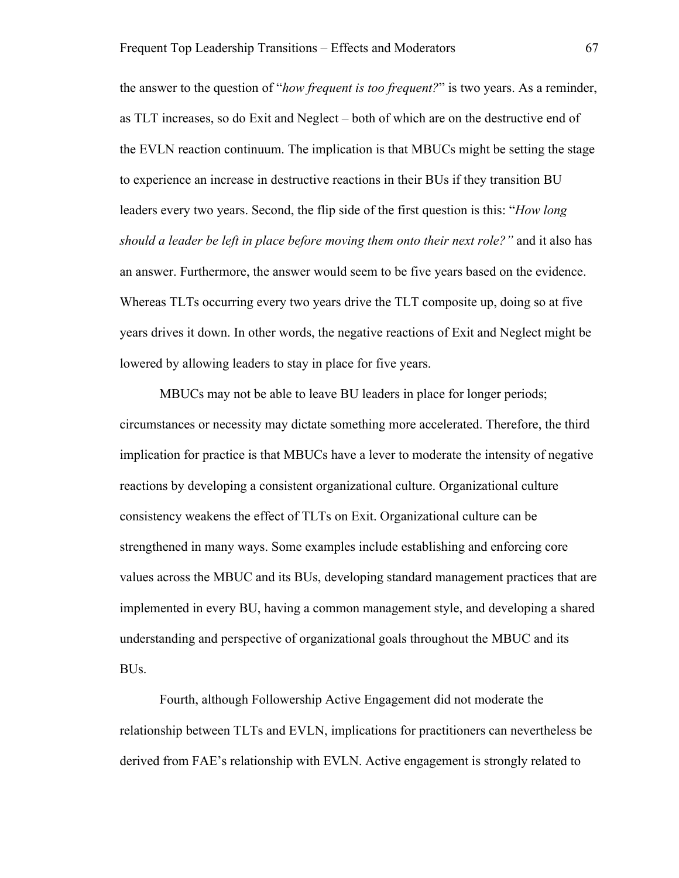the answer to the question of "*how frequent is too frequent?*" is two years. As a reminder, as TLT increases, so do Exit and Neglect – both of which are on the destructive end of the EVLN reaction continuum. The implication is that MBUCs might be setting the stage to experience an increase in destructive reactions in their BUs if they transition BU leaders every two years. Second, the flip side of the first question is this: "*How long should a leader be left in place before moving them onto their next role?"* and it also has an answer. Furthermore, the answer would seem to be five years based on the evidence. Whereas TLTs occurring every two years drive the TLT composite up, doing so at five years drives it down. In other words, the negative reactions of Exit and Neglect might be lowered by allowing leaders to stay in place for five years.

MBUCs may not be able to leave BU leaders in place for longer periods; circumstances or necessity may dictate something more accelerated. Therefore, the third implication for practice is that MBUCs have a lever to moderate the intensity of negative reactions by developing a consistent organizational culture. Organizational culture consistency weakens the effect of TLTs on Exit. Organizational culture can be strengthened in many ways. Some examples include establishing and enforcing core values across the MBUC and its BUs, developing standard management practices that are implemented in every BU, having a common management style, and developing a shared understanding and perspective of organizational goals throughout the MBUC and its BUs.

Fourth, although Followership Active Engagement did not moderate the relationship between TLTs and EVLN, implications for practitioners can nevertheless be derived from FAE's relationship with EVLN. Active engagement is strongly related to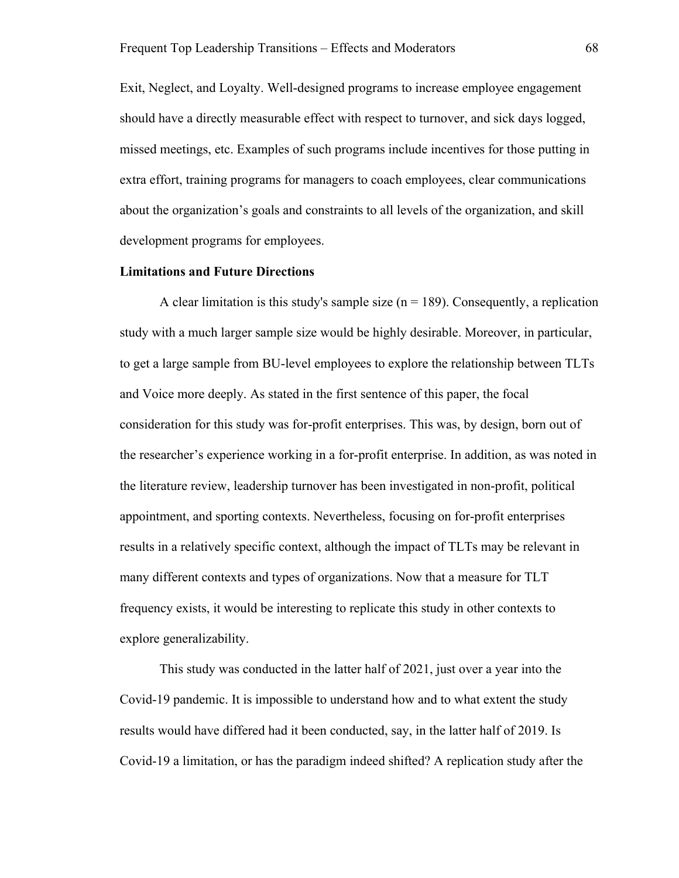Exit, Neglect, and Loyalty. Well-designed programs to increase employee engagement should have a directly measurable effect with respect to turnover, and sick days logged, missed meetings, etc. Examples of such programs include incentives for those putting in extra effort, training programs for managers to coach employees, clear communications about the organization's goals and constraints to all levels of the organization, and skill development programs for employees.

### **Limitations and Future Directions**

A clear limitation is this study's sample size  $(n = 189)$ . Consequently, a replication study with a much larger sample size would be highly desirable. Moreover, in particular, to get a large sample from BU-level employees to explore the relationship between TLTs and Voice more deeply. As stated in the first sentence of this paper, the focal consideration for this study was for-profit enterprises. This was, by design, born out of the researcher's experience working in a for-profit enterprise. In addition, as was noted in the literature review, leadership turnover has been investigated in non-profit, political appointment, and sporting contexts. Nevertheless, focusing on for-profit enterprises results in a relatively specific context, although the impact of TLTs may be relevant in many different contexts and types of organizations. Now that a measure for TLT frequency exists, it would be interesting to replicate this study in other contexts to explore generalizability.

This study was conducted in the latter half of 2021, just over a year into the Covid-19 pandemic. It is impossible to understand how and to what extent the study results would have differed had it been conducted, say, in the latter half of 2019. Is Covid-19 a limitation, or has the paradigm indeed shifted? A replication study after the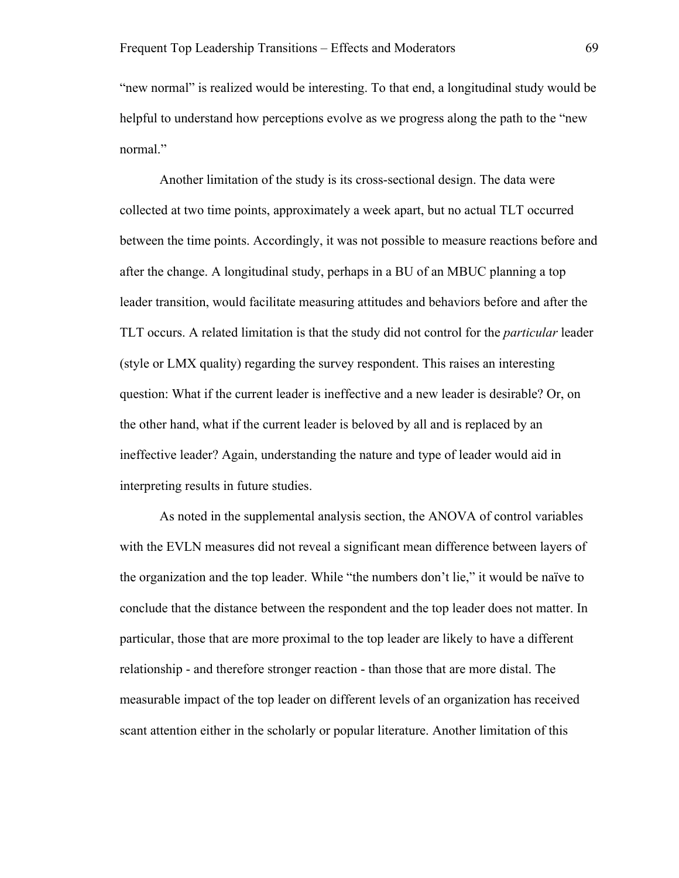"new normal" is realized would be interesting. To that end, a longitudinal study would be helpful to understand how perceptions evolve as we progress along the path to the "new normal."

Another limitation of the study is its cross-sectional design. The data were collected at two time points, approximately a week apart, but no actual TLT occurred between the time points. Accordingly, it was not possible to measure reactions before and after the change. A longitudinal study, perhaps in a BU of an MBUC planning a top leader transition, would facilitate measuring attitudes and behaviors before and after the TLT occurs. A related limitation is that the study did not control for the *particular* leader (style or LMX quality) regarding the survey respondent. This raises an interesting question: What if the current leader is ineffective and a new leader is desirable? Or, on the other hand, what if the current leader is beloved by all and is replaced by an ineffective leader? Again, understanding the nature and type of leader would aid in interpreting results in future studies.

As noted in the supplemental analysis section, the ANOVA of control variables with the EVLN measures did not reveal a significant mean difference between layers of the organization and the top leader. While "the numbers don't lie," it would be naïve to conclude that the distance between the respondent and the top leader does not matter. In particular, those that are more proximal to the top leader are likely to have a different relationship - and therefore stronger reaction - than those that are more distal. The measurable impact of the top leader on different levels of an organization has received scant attention either in the scholarly or popular literature. Another limitation of this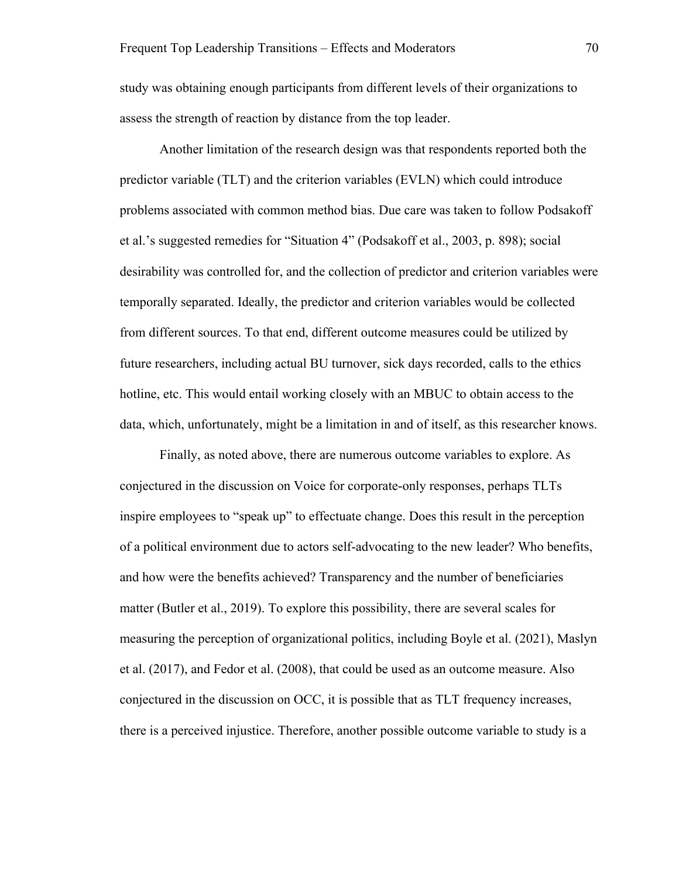study was obtaining enough participants from different levels of their organizations to assess the strength of reaction by distance from the top leader.

Another limitation of the research design was that respondents reported both the predictor variable (TLT) and the criterion variables (EVLN) which could introduce problems associated with common method bias. Due care was taken to follow Podsakoff et al.'s suggested remedies for "Situation 4" (Podsakoff et al., 2003, p. 898); social desirability was controlled for, and the collection of predictor and criterion variables were temporally separated. Ideally, the predictor and criterion variables would be collected from different sources. To that end, different outcome measures could be utilized by future researchers, including actual BU turnover, sick days recorded, calls to the ethics hotline, etc. This would entail working closely with an MBUC to obtain access to the data, which, unfortunately, might be a limitation in and of itself, as this researcher knows.

Finally, as noted above, there are numerous outcome variables to explore. As conjectured in the discussion on Voice for corporate-only responses, perhaps TLTs inspire employees to "speak up" to effectuate change. Does this result in the perception of a political environment due to actors self-advocating to the new leader? Who benefits, and how were the benefits achieved? Transparency and the number of beneficiaries matter (Butler et al., 2019). To explore this possibility, there are several scales for measuring the perception of organizational politics, including Boyle et al. (2021), Maslyn et al. (2017), and Fedor et al. (2008), that could be used as an outcome measure. Also conjectured in the discussion on OCC, it is possible that as TLT frequency increases, there is a perceived injustice. Therefore, another possible outcome variable to study is a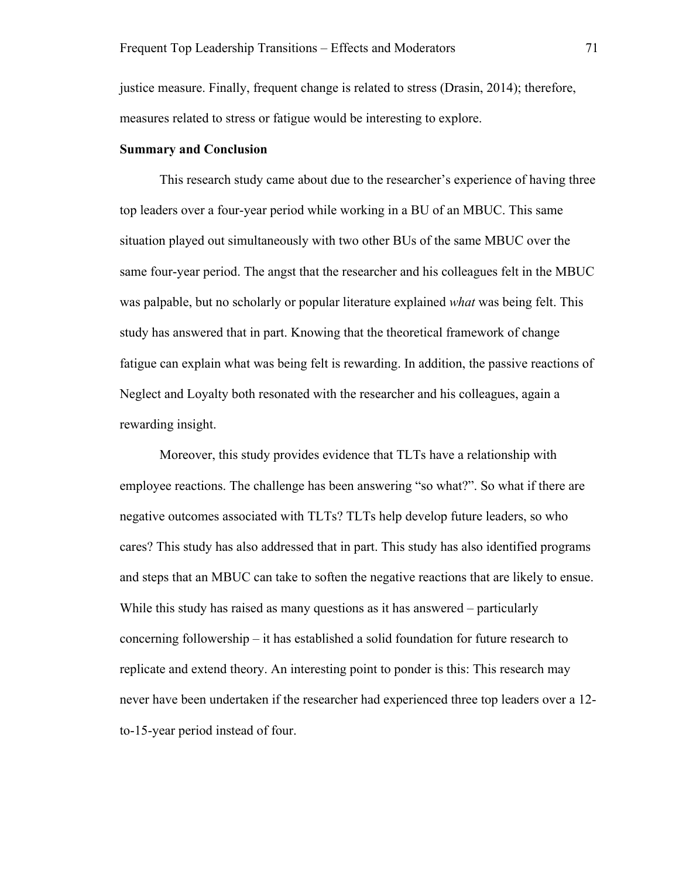justice measure. Finally, frequent change is related to stress (Drasin, 2014); therefore, measures related to stress or fatigue would be interesting to explore.

## **Summary and Conclusion**

This research study came about due to the researcher's experience of having three top leaders over a four-year period while working in a BU of an MBUC. This same situation played out simultaneously with two other BUs of the same MBUC over the same four-year period. The angst that the researcher and his colleagues felt in the MBUC was palpable, but no scholarly or popular literature explained *what* was being felt. This study has answered that in part. Knowing that the theoretical framework of change fatigue can explain what was being felt is rewarding. In addition, the passive reactions of Neglect and Loyalty both resonated with the researcher and his colleagues, again a rewarding insight.

Moreover, this study provides evidence that TLTs have a relationship with employee reactions. The challenge has been answering "so what?". So what if there are negative outcomes associated with TLTs? TLTs help develop future leaders, so who cares? This study has also addressed that in part. This study has also identified programs and steps that an MBUC can take to soften the negative reactions that are likely to ensue. While this study has raised as many questions as it has answered – particularly concerning followership – it has established a solid foundation for future research to replicate and extend theory. An interesting point to ponder is this: This research may never have been undertaken if the researcher had experienced three top leaders over a 12 to-15-year period instead of four.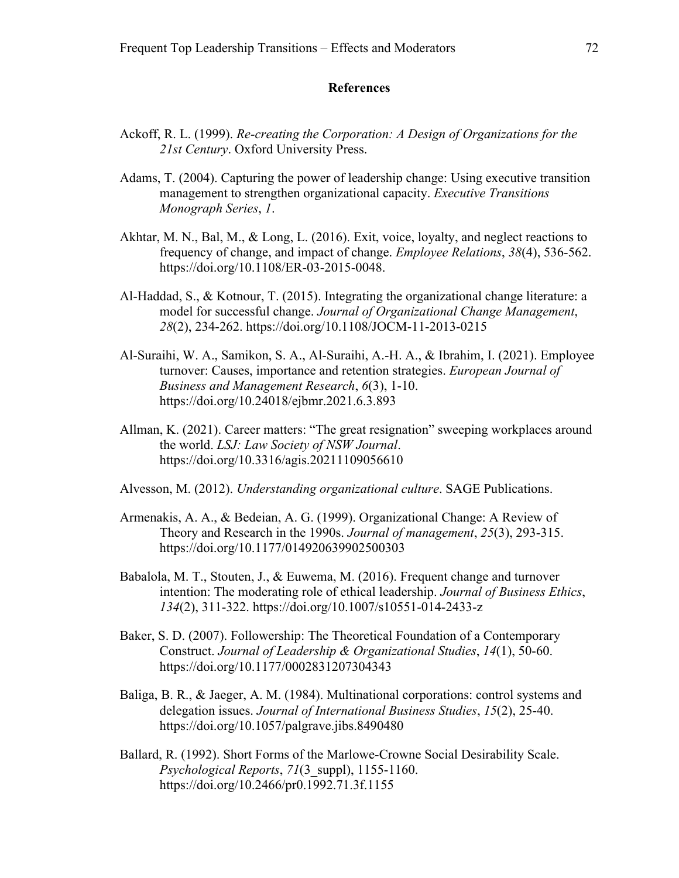#### **References**

- Ackoff, R. L. (1999). *Re-creating the Corporation: A Design of Organizations for the 21st Century*. Oxford University Press.
- Adams, T. (2004). Capturing the power of leadership change: Using executive transition management to strengthen organizational capacity. *Executive Transitions Monograph Series*, *1*.
- Akhtar, M. N., Bal, M., & Long, L. (2016). Exit, voice, loyalty, and neglect reactions to frequency of change, and impact of change. *Employee Relations*, *38*(4), 536-562. https://doi.org/10.1108/ER-03-2015-0048.
- Al-Haddad, S., & Kotnour, T. (2015). Integrating the organizational change literature: a model for successful change. *Journal of Organizational Change Management*, *28*(2), 234-262. https://doi.org/10.1108/JOCM-11-2013-0215
- Al-Suraihi, W. A., Samikon, S. A., Al-Suraihi, A.-H. A., & Ibrahim, I. (2021). Employee turnover: Causes, importance and retention strategies. *European Journal of Business and Management Research*, *6*(3), 1-10. https://doi.org/10.24018/ejbmr.2021.6.3.893
- Allman, K. (2021). Career matters: "The great resignation" sweeping workplaces around the world. *LSJ: Law Society of NSW Journal*. https://doi.org/10.3316/agis.20211109056610
- Alvesson, M. (2012). *Understanding organizational culture*. SAGE Publications.
- Armenakis, A. A., & Bedeian, A. G. (1999). Organizational Change: A Review of Theory and Research in the 1990s. *Journal of management*, *25*(3), 293-315. https://doi.org/10.1177/014920639902500303
- Babalola, M. T., Stouten, J., & Euwema, M. (2016). Frequent change and turnover intention: The moderating role of ethical leadership. *Journal of Business Ethics*, *134*(2), 311-322. https://doi.org/10.1007/s10551-014-2433-z
- Baker, S. D. (2007). Followership: The Theoretical Foundation of a Contemporary Construct. *Journal of Leadership & Organizational Studies*, *14*(1), 50-60. https://doi.org/10.1177/0002831207304343
- Baliga, B. R., & Jaeger, A. M. (1984). Multinational corporations: control systems and delegation issues. *Journal of International Business Studies*, *15*(2), 25-40. https://doi.org/10.1057/palgrave.jibs.8490480
- Ballard, R. (1992). Short Forms of the Marlowe-Crowne Social Desirability Scale. *Psychological Reports*, *71*(3\_suppl), 1155-1160. https://doi.org/10.2466/pr0.1992.71.3f.1155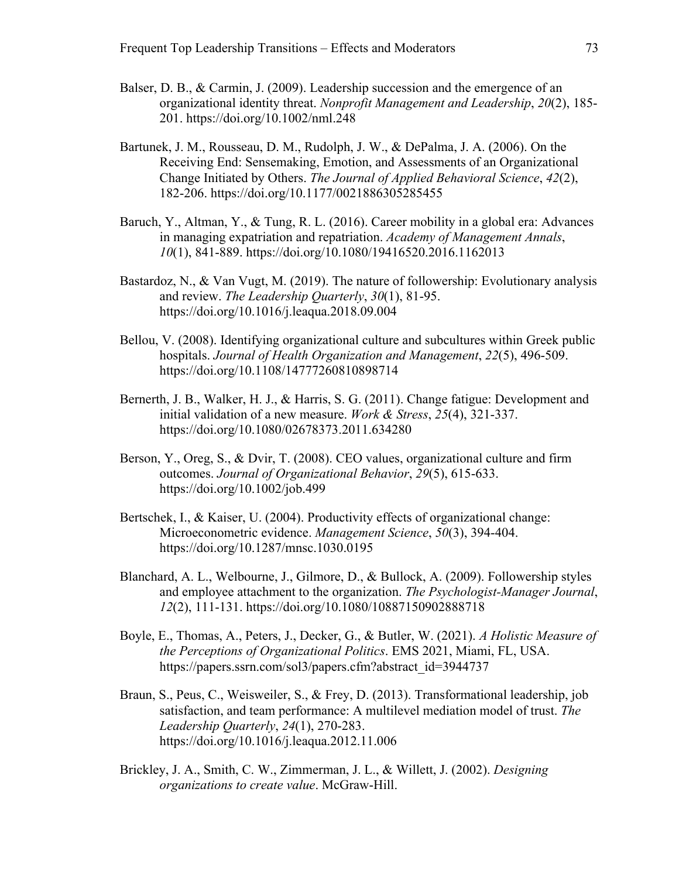- Balser, D. B., & Carmin, J. (2009). Leadership succession and the emergence of an organizational identity threat. *Nonprofit Management and Leadership*, *20*(2), 185- 201. https://doi.org/10.1002/nml.248
- Bartunek, J. M., Rousseau, D. M., Rudolph, J. W., & DePalma, J. A. (2006). On the Receiving End: Sensemaking, Emotion, and Assessments of an Organizational Change Initiated by Others. *The Journal of Applied Behavioral Science*, *42*(2), 182-206. https://doi.org/10.1177/0021886305285455
- Baruch, Y., Altman, Y., & Tung, R. L. (2016). Career mobility in a global era: Advances in managing expatriation and repatriation. *Academy of Management Annals*, *10*(1), 841-889. https://doi.org/10.1080/19416520.2016.1162013
- Bastardoz, N., & Van Vugt, M. (2019). The nature of followership: Evolutionary analysis and review. *The Leadership Quarterly*, *30*(1), 81-95. https://doi.org/10.1016/j.leaqua.2018.09.004
- Bellou, V. (2008). Identifying organizational culture and subcultures within Greek public hospitals. *Journal of Health Organization and Management*, *22*(5), 496-509. https://doi.org/10.1108/14777260810898714
- Bernerth, J. B., Walker, H. J., & Harris, S. G. (2011). Change fatigue: Development and initial validation of a new measure. *Work & Stress*, *25*(4), 321-337. https://doi.org/10.1080/02678373.2011.634280
- Berson, Y., Oreg, S., & Dvir, T. (2008). CEO values, organizational culture and firm outcomes. *Journal of Organizational Behavior*, *29*(5), 615-633. https://doi.org/10.1002/job.499
- Bertschek, I., & Kaiser, U. (2004). Productivity effects of organizational change: Microeconometric evidence. *Management Science*, *50*(3), 394-404. https://doi.org/10.1287/mnsc.1030.0195
- Blanchard, A. L., Welbourne, J., Gilmore, D., & Bullock, A. (2009). Followership styles and employee attachment to the organization. *The Psychologist-Manager Journal*, *12*(2), 111-131. https://doi.org/10.1080/10887150902888718
- Boyle, E., Thomas, A., Peters, J., Decker, G., & Butler, W. (2021). *A Holistic Measure of the Perceptions of Organizational Politics*. EMS 2021, Miami, FL, USA. https://papers.ssrn.com/sol3/papers.cfm?abstract\_id=3944737
- Braun, S., Peus, C., Weisweiler, S., & Frey, D. (2013). Transformational leadership, job satisfaction, and team performance: A multilevel mediation model of trust. *The Leadership Quarterly*, *24*(1), 270-283. https://doi.org/10.1016/j.leaqua.2012.11.006
- Brickley, J. A., Smith, C. W., Zimmerman, J. L., & Willett, J. (2002). *Designing organizations to create value*. McGraw-Hill.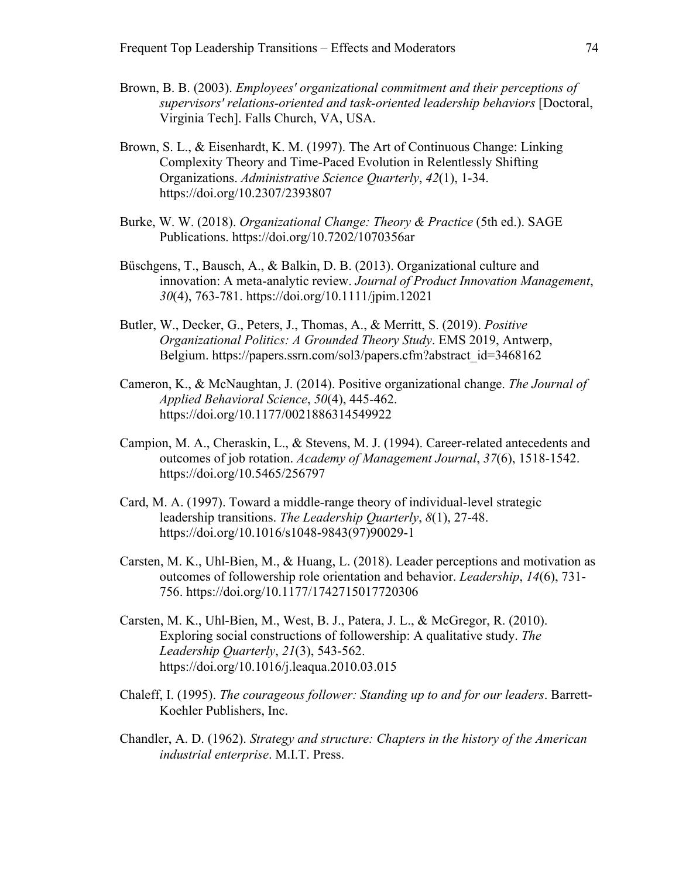- Brown, B. B. (2003). *Employees' organizational commitment and their perceptions of supervisors' relations-oriented and task-oriented leadership behaviors* [Doctoral, Virginia Tech]. Falls Church, VA, USA.
- Brown, S. L., & Eisenhardt, K. M. (1997). The Art of Continuous Change: Linking Complexity Theory and Time-Paced Evolution in Relentlessly Shifting Organizations. *Administrative Science Quarterly*, *42*(1), 1-34. https://doi.org/10.2307/2393807
- Burke, W. W. (2018). *Organizational Change: Theory & Practice* (5th ed.). SAGE Publications. https://doi.org/10.7202/1070356ar
- Büschgens, T., Bausch, A., & Balkin, D. B. (2013). Organizational culture and innovation: A meta‐analytic review. *Journal of Product Innovation Management*, *30*(4), 763-781. https://doi.org/10.1111/jpim.12021
- Butler, W., Decker, G., Peters, J., Thomas, A., & Merritt, S. (2019). *Positive Organizational Politics: A Grounded Theory Study*. EMS 2019, Antwerp, Belgium. https://papers.ssrn.com/sol3/papers.cfm?abstract\_id=3468162
- Cameron, K., & McNaughtan, J. (2014). Positive organizational change. *The Journal of Applied Behavioral Science*, *50*(4), 445-462. https://doi.org/10.1177/0021886314549922
- Campion, M. A., Cheraskin, L., & Stevens, M. J. (1994). Career-related antecedents and outcomes of job rotation. *Academy of Management Journal*, *37*(6), 1518-1542. https://doi.org/10.5465/256797
- Card, M. A. (1997). Toward a middle-range theory of individual-level strategic leadership transitions. *The Leadership Quarterly*, *8*(1), 27-48. https://doi.org/10.1016/s1048-9843(97)90029-1
- Carsten, M. K., Uhl-Bien, M., & Huang, L. (2018). Leader perceptions and motivation as outcomes of followership role orientation and behavior. *Leadership*, *14*(6), 731- 756. https://doi.org/10.1177/1742715017720306
- Carsten, M. K., Uhl-Bien, M., West, B. J., Patera, J. L., & McGregor, R. (2010). Exploring social constructions of followership: A qualitative study. *The Leadership Quarterly*, *21*(3), 543-562. https://doi.org/10.1016/j.leaqua.2010.03.015
- Chaleff, I. (1995). *The courageous follower: Standing up to and for our leaders*. Barrett-Koehler Publishers, Inc.
- Chandler, A. D. (1962). *Strategy and structure: Chapters in the history of the American industrial enterprise*. M.I.T. Press.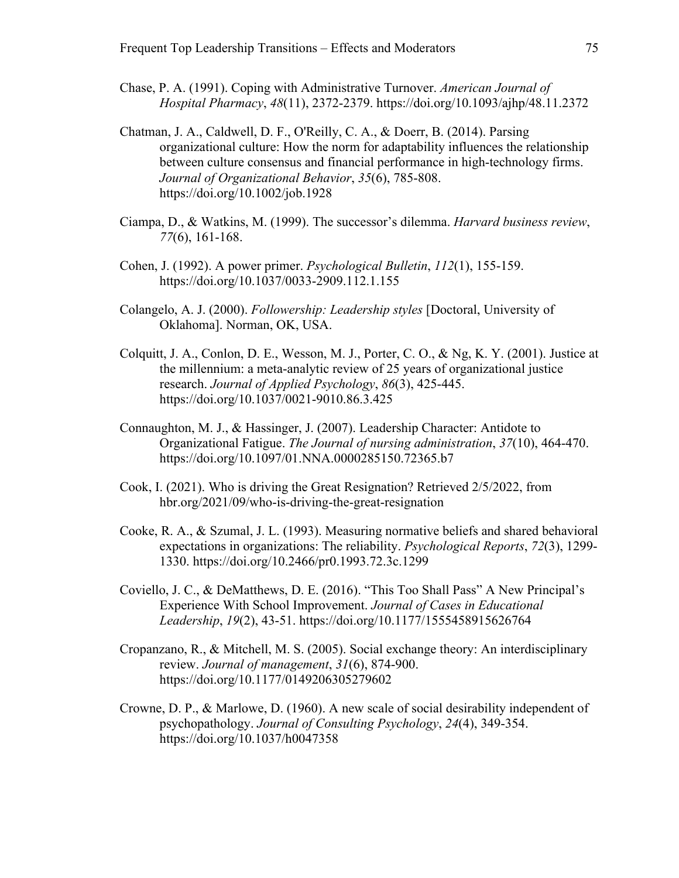- Chase, P. A. (1991). Coping with Administrative Turnover. *American Journal of Hospital Pharmacy*, *48*(11), 2372-2379. https://doi.org/10.1093/ajhp/48.11.2372
- Chatman, J. A., Caldwell, D. F., O'Reilly, C. A., & Doerr, B. (2014). Parsing organizational culture: How the norm for adaptability influences the relationship between culture consensus and financial performance in high‐technology firms. *Journal of Organizational Behavior*, *35*(6), 785-808. https://doi.org/10.1002/job.1928
- Ciampa, D., & Watkins, M. (1999). The successor's dilemma. *Harvard business review*, *77*(6), 161-168.
- Cohen, J. (1992). A power primer. *Psychological Bulletin*, *112*(1), 155-159. https://doi.org/10.1037/0033-2909.112.1.155
- Colangelo, A. J. (2000). *Followership: Leadership styles* [Doctoral, University of Oklahoma]. Norman, OK, USA.
- Colquitt, J. A., Conlon, D. E., Wesson, M. J., Porter, C. O., & Ng, K. Y. (2001). Justice at the millennium: a meta-analytic review of 25 years of organizational justice research. *Journal of Applied Psychology*, *86*(3), 425-445. https://doi.org/10.1037/0021-9010.86.3.425
- Connaughton, M. J., & Hassinger, J. (2007). Leadership Character: Antidote to Organizational Fatigue. *The Journal of nursing administration*, *37*(10), 464-470. https://doi.org/10.1097/01.NNA.0000285150.72365.b7
- Cook, I. (2021). Who is driving the Great Resignation? Retrieved 2/5/2022, from hbr.org/2021/09/who-is-driving-the-great-resignation
- Cooke, R. A., & Szumal, J. L. (1993). Measuring normative beliefs and shared behavioral expectations in organizations: The reliability. *Psychological Reports*, *72*(3), 1299- 1330. https://doi.org/10.2466/pr0.1993.72.3c.1299
- Coviello, J. C., & DeMatthews, D. E. (2016). "This Too Shall Pass" A New Principal's Experience With School Improvement. *Journal of Cases in Educational Leadership*, *19*(2), 43-51. https://doi.org/10.1177/1555458915626764
- Cropanzano, R., & Mitchell, M. S. (2005). Social exchange theory: An interdisciplinary review. *Journal of management*, *31*(6), 874-900. https://doi.org/10.1177/0149206305279602
- Crowne, D. P., & Marlowe, D. (1960). A new scale of social desirability independent of psychopathology. *Journal of Consulting Psychology*, *24*(4), 349-354. https://doi.org/10.1037/h0047358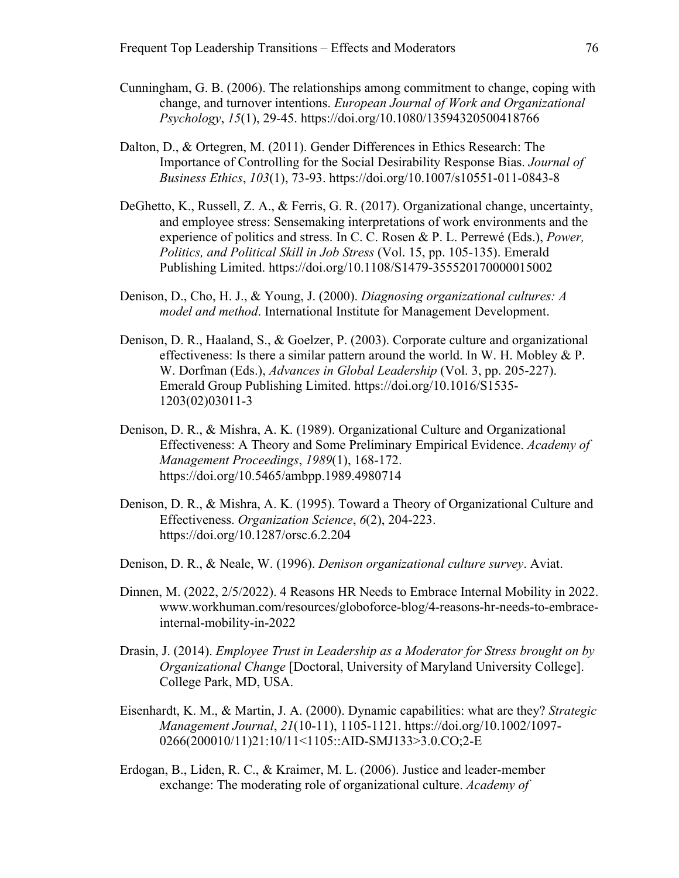- Cunningham, G. B. (2006). The relationships among commitment to change, coping with change, and turnover intentions. *European Journal of Work and Organizational Psychology*, *15*(1), 29-45. https://doi.org/10.1080/13594320500418766
- Dalton, D., & Ortegren, M. (2011). Gender Differences in Ethics Research: The Importance of Controlling for the Social Desirability Response Bias. *Journal of Business Ethics*, *103*(1), 73-93. https://doi.org/10.1007/s10551-011-0843-8
- DeGhetto, K., Russell, Z. A., & Ferris, G. R. (2017). Organizational change, uncertainty, and employee stress: Sensemaking interpretations of work environments and the experience of politics and stress. In C. C. Rosen & P. L. Perrewé (Eds.), *Power, Politics, and Political Skill in Job Stress* (Vol. 15, pp. 105-135). Emerald Publishing Limited. https://doi.org/10.1108/S1479-355520170000015002
- Denison, D., Cho, H. J., & Young, J. (2000). *Diagnosing organizational cultures: A model and method*. International Institute for Management Development.
- Denison, D. R., Haaland, S., & Goelzer, P. (2003). Corporate culture and organizational effectiveness: Is there a similar pattern around the world. In W. H. Mobley & P. W. Dorfman (Eds.), *Advances in Global Leadership* (Vol. 3, pp. 205-227). Emerald Group Publishing Limited. https://doi.org/10.1016/S1535- 1203(02)03011-3
- Denison, D. R., & Mishra, A. K. (1989). Organizational Culture and Organizational Effectiveness: A Theory and Some Preliminary Empirical Evidence. *Academy of Management Proceedings*, *1989*(1), 168-172. https://doi.org/10.5465/ambpp.1989.4980714
- Denison, D. R., & Mishra, A. K. (1995). Toward a Theory of Organizational Culture and Effectiveness. *Organization Science*, *6*(2), 204-223. https://doi.org/10.1287/orsc.6.2.204
- Denison, D. R., & Neale, W. (1996). *Denison organizational culture survey*. Aviat.
- Dinnen, M. (2022, 2/5/2022). 4 Reasons HR Needs to Embrace Internal Mobility in 2022. www.workhuman.com/resources/globoforce-blog/4-reasons-hr-needs-to-embraceinternal-mobility-in-2022
- Drasin, J. (2014). *Employee Trust in Leadership as a Moderator for Stress brought on by Organizational Change* [Doctoral, University of Maryland University College]. College Park, MD, USA.
- Eisenhardt, K. M., & Martin, J. A. (2000). Dynamic capabilities: what are they? *Strategic Management Journal*, *21*(10‐11), 1105-1121. https://doi.org/10.1002/1097- 0266(200010/11)21:10/11<1105::AID-SMJ133>3.0.CO;2-E
- Erdogan, B., Liden, R. C., & Kraimer, M. L. (2006). Justice and leader-member exchange: The moderating role of organizational culture. *Academy of*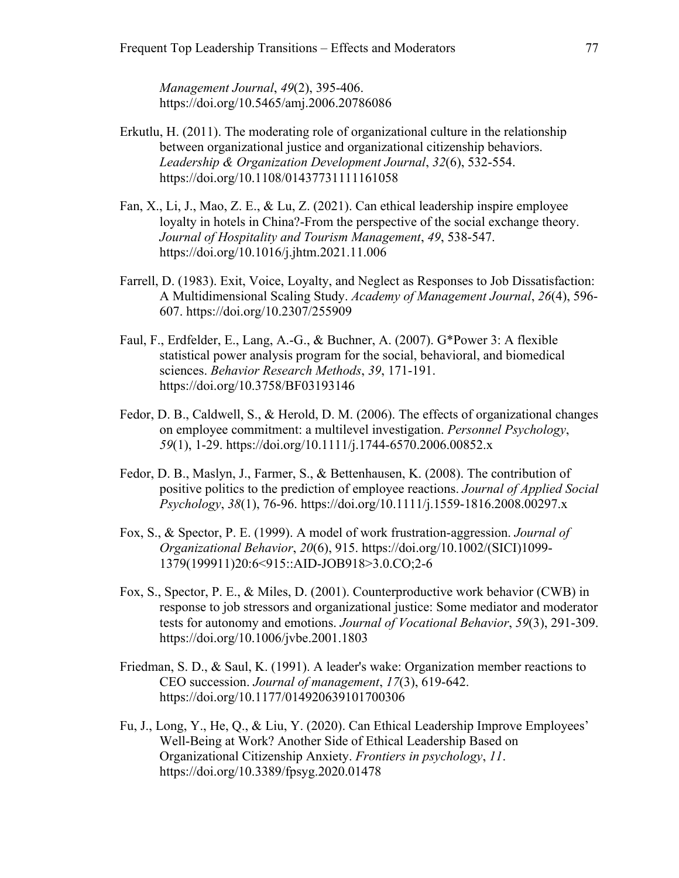*Management Journal*, *49*(2), 395-406. https://doi.org/10.5465/amj.2006.20786086

- Erkutlu, H. (2011). The moderating role of organizational culture in the relationship between organizational justice and organizational citizenship behaviors. *Leadership & Organization Development Journal*, *32*(6), 532-554. https://doi.org/10.1108/01437731111161058
- Fan, X., Li, J., Mao, Z. E., & Lu, Z. (2021). Can ethical leadership inspire employee loyalty in hotels in China?-From the perspective of the social exchange theory. *Journal of Hospitality and Tourism Management*, *49*, 538-547. https://doi.org/10.1016/j.jhtm.2021.11.006
- Farrell, D. (1983). Exit, Voice, Loyalty, and Neglect as Responses to Job Dissatisfaction: A Multidimensional Scaling Study. *Academy of Management Journal*, *26*(4), 596- 607. https://doi.org/10.2307/255909
- Faul, F., Erdfelder, E., Lang, A.-G., & Buchner, A. (2007). G\*Power 3: A flexible statistical power analysis program for the social, behavioral, and biomedical sciences. *Behavior Research Methods*, *39*, 171-191. https://doi.org/10.3758/BF03193146
- Fedor, D. B., Caldwell, S., & Herold, D. M. (2006). The effects of organizational changes on employee commitment: a multilevel investigation. *Personnel Psychology*, *59*(1), 1-29. https://doi.org/10.1111/j.1744-6570.2006.00852.x
- Fedor, D. B., Maslyn, J., Farmer, S., & Bettenhausen, K. (2008). The contribution of positive politics to the prediction of employee reactions. *Journal of Applied Social Psychology*, *38*(1), 76-96. https://doi.org/10.1111/j.1559-1816.2008.00297.x
- Fox, S., & Spector, P. E. (1999). A model of work frustration-aggression. *Journal of Organizational Behavior*, *20*(6), 915. https://doi.org/10.1002/(SICI)1099- 1379(199911)20:6<915::AID-JOB918>3.0.CO;2-6
- Fox, S., Spector, P. E., & Miles, D. (2001). Counterproductive work behavior (CWB) in response to job stressors and organizational justice: Some mediator and moderator tests for autonomy and emotions. *Journal of Vocational Behavior*, *59*(3), 291-309. https://doi.org/10.1006/jvbe.2001.1803
- Friedman, S. D., & Saul, K. (1991). A leader's wake: Organization member reactions to CEO succession. *Journal of management*, *17*(3), 619-642. https://doi.org/10.1177/014920639101700306
- Fu, J., Long, Y., He, Q., & Liu, Y. (2020). Can Ethical Leadership Improve Employees' Well-Being at Work? Another Side of Ethical Leadership Based on Organizational Citizenship Anxiety. *Frontiers in psychology*, *11*. https://doi.org/10.3389/fpsyg.2020.01478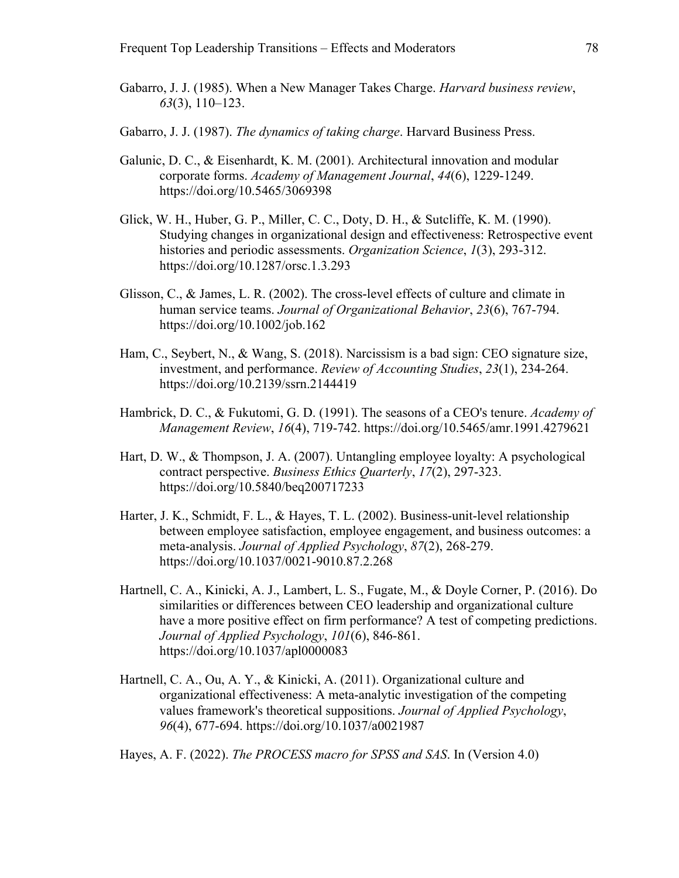- Gabarro, J. J. (1985). When a New Manager Takes Charge. *Harvard business review*, *63*(3), 110–123.
- Gabarro, J. J. (1987). *The dynamics of taking charge*. Harvard Business Press.
- Galunic, D. C., & Eisenhardt, K. M. (2001). Architectural innovation and modular corporate forms. *Academy of Management Journal*, *44*(6), 1229-1249. https://doi.org/10.5465/3069398
- Glick, W. H., Huber, G. P., Miller, C. C., Doty, D. H., & Sutcliffe, K. M. (1990). Studying changes in organizational design and effectiveness: Retrospective event histories and periodic assessments. *Organization Science*, *1*(3), 293-312. https://doi.org/10.1287/orsc.1.3.293
- Glisson, C., & James, L. R. (2002). The cross-level effects of culture and climate in human service teams. *Journal of Organizational Behavior*, *23*(6), 767-794. https://doi.org/10.1002/job.162
- Ham, C., Seybert, N., & Wang, S. (2018). Narcissism is a bad sign: CEO signature size, investment, and performance. *Review of Accounting Studies*, *23*(1), 234-264. https://doi.org/10.2139/ssrn.2144419
- Hambrick, D. C., & Fukutomi, G. D. (1991). The seasons of a CEO's tenure. *Academy of Management Review*, *16*(4), 719-742. https://doi.org/10.5465/amr.1991.4279621
- Hart, D. W., & Thompson, J. A. (2007). Untangling employee loyalty: A psychological contract perspective. *Business Ethics Quarterly*, *17*(2), 297-323. https://doi.org/10.5840/beq200717233
- Harter, J. K., Schmidt, F. L., & Hayes, T. L. (2002). Business-unit-level relationship between employee satisfaction, employee engagement, and business outcomes: a meta-analysis. *Journal of Applied Psychology*, *87*(2), 268-279. https://doi.org/10.1037/0021-9010.87.2.268
- Hartnell, C. A., Kinicki, A. J., Lambert, L. S., Fugate, M., & Doyle Corner, P. (2016). Do similarities or differences between CEO leadership and organizational culture have a more positive effect on firm performance? A test of competing predictions. *Journal of Applied Psychology*, *101*(6), 846-861. https://doi.org/10.1037/apl0000083
- Hartnell, C. A., Ou, A. Y., & Kinicki, A. (2011). Organizational culture and organizational effectiveness: A meta-analytic investigation of the competing values framework's theoretical suppositions. *Journal of Applied Psychology*, *96*(4), 677-694. https://doi.org/10.1037/a0021987

Hayes, A. F. (2022). *The PROCESS macro for SPSS and SAS*. In (Version 4.0)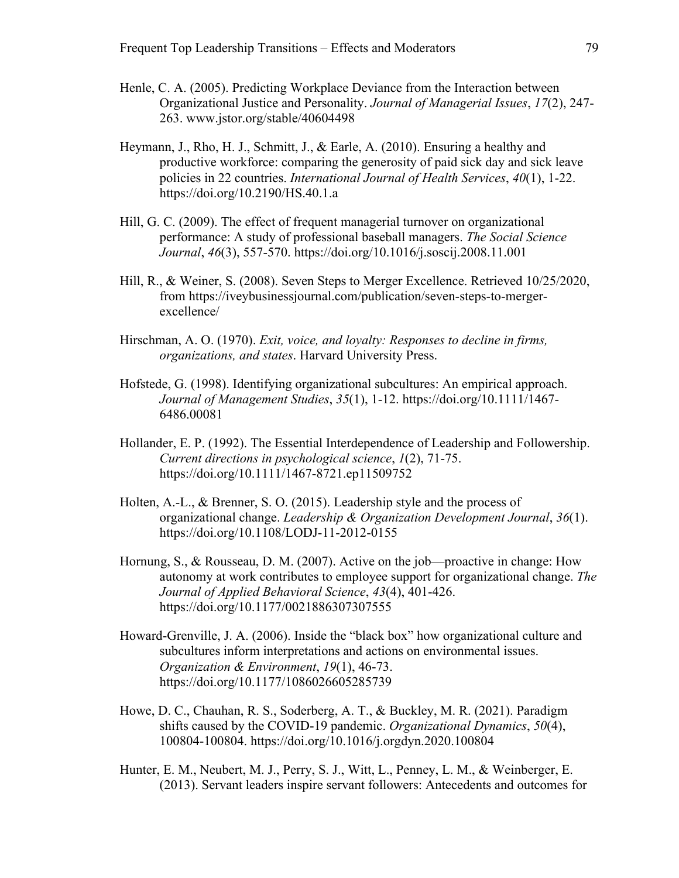- Henle, C. A. (2005). Predicting Workplace Deviance from the Interaction between Organizational Justice and Personality. *Journal of Managerial Issues*, *17*(2), 247- 263. www.jstor.org/stable/40604498
- Heymann, J., Rho, H. J., Schmitt, J., & Earle, A. (2010). Ensuring a healthy and productive workforce: comparing the generosity of paid sick day and sick leave policies in 22 countries. *International Journal of Health Services*, *40*(1), 1-22. https://doi.org/10.2190/HS.40.1.a
- Hill, G. C. (2009). The effect of frequent managerial turnover on organizational performance: A study of professional baseball managers. *The Social Science Journal*, *46*(3), 557-570. https://doi.org/10.1016/j.soscij.2008.11.001
- Hill, R., & Weiner, S. (2008). Seven Steps to Merger Excellence. Retrieved 10/25/2020, from https://iveybusinessjournal.com/publication/seven-steps-to-mergerexcellence/
- Hirschman, A. O. (1970). *Exit, voice, and loyalty: Responses to decline in firms, organizations, and states*. Harvard University Press.
- Hofstede, G. (1998). Identifying organizational subcultures: An empirical approach. *Journal of Management Studies*, *35*(1), 1-12. https://doi.org/10.1111/1467- 6486.00081
- Hollander, E. P. (1992). The Essential Interdependence of Leadership and Followership. *Current directions in psychological science*, *1*(2), 71-75. https://doi.org/10.1111/1467-8721.ep11509752
- Holten, A.-L., & Brenner, S. O. (2015). Leadership style and the process of organizational change. *Leadership & Organization Development Journal*, *36*(1). https://doi.org/10.1108/LODJ-11-2012-0155
- Hornung, S., & Rousseau, D. M. (2007). Active on the job—proactive in change: How autonomy at work contributes to employee support for organizational change. *The Journal of Applied Behavioral Science*, *43*(4), 401-426. https://doi.org/10.1177/0021886307307555
- Howard-Grenville, J. A. (2006). Inside the "black box" how organizational culture and subcultures inform interpretations and actions on environmental issues. *Organization & Environment*, *19*(1), 46-73. https://doi.org/10.1177/1086026605285739
- Howe, D. C., Chauhan, R. S., Soderberg, A. T., & Buckley, M. R. (2021). Paradigm shifts caused by the COVID-19 pandemic. *Organizational Dynamics*, *50*(4), 100804-100804. https://doi.org/10.1016/j.orgdyn.2020.100804
- Hunter, E. M., Neubert, M. J., Perry, S. J., Witt, L., Penney, L. M., & Weinberger, E. (2013). Servant leaders inspire servant followers: Antecedents and outcomes for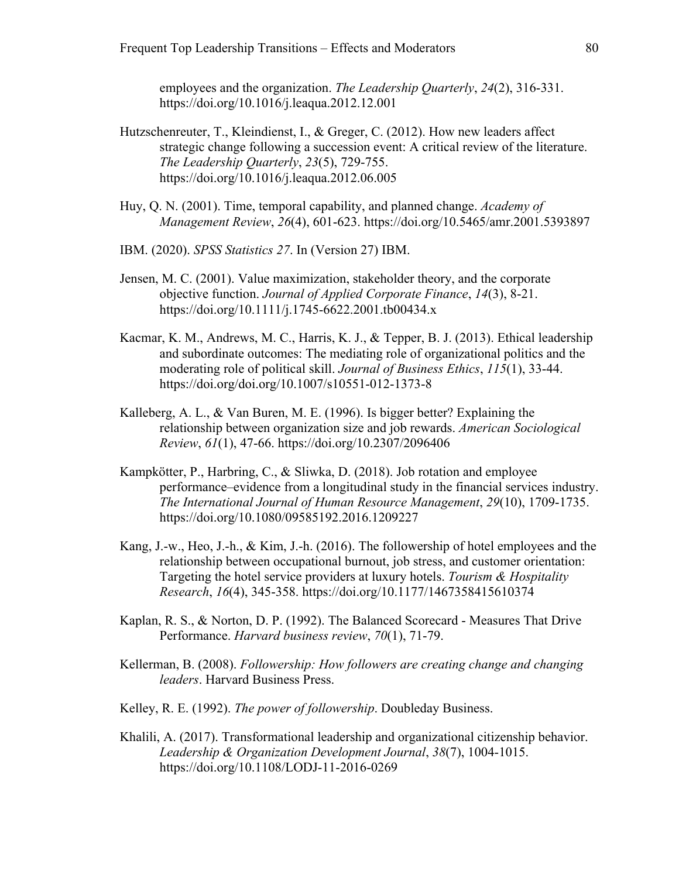employees and the organization. *The Leadership Quarterly*, *24*(2), 316-331. https://doi.org/10.1016/j.leaqua.2012.12.001

- Hutzschenreuter, T., Kleindienst, I., & Greger, C. (2012). How new leaders affect strategic change following a succession event: A critical review of the literature. *The Leadership Quarterly*, *23*(5), 729-755. https://doi.org/10.1016/j.leaqua.2012.06.005
- Huy, Q. N. (2001). Time, temporal capability, and planned change. *Academy of Management Review*, *26*(4), 601-623. https://doi.org/10.5465/amr.2001.5393897
- IBM. (2020). *SPSS Statistics 27*. In (Version 27) IBM.
- Jensen, M. C. (2001). Value maximization, stakeholder theory, and the corporate objective function. *Journal of Applied Corporate Finance*, *14*(3), 8-21. https://doi.org/10.1111/j.1745-6622.2001.tb00434.x
- Kacmar, K. M., Andrews, M. C., Harris, K. J., & Tepper, B. J. (2013). Ethical leadership and subordinate outcomes: The mediating role of organizational politics and the moderating role of political skill. *Journal of Business Ethics*, *115*(1), 33-44. https://doi.org/doi.org/10.1007/s10551-012-1373-8
- Kalleberg, A. L., & Van Buren, M. E. (1996). Is bigger better? Explaining the relationship between organization size and job rewards. *American Sociological Review*, *61*(1), 47-66. https://doi.org/10.2307/2096406
- Kampkötter, P., Harbring, C., & Sliwka, D. (2018). Job rotation and employee performance–evidence from a longitudinal study in the financial services industry. *The International Journal of Human Resource Management*, *29*(10), 1709-1735. https://doi.org/10.1080/09585192.2016.1209227
- Kang, J.-w., Heo, J.-h., & Kim, J.-h. (2016). The followership of hotel employees and the relationship between occupational burnout, job stress, and customer orientation: Targeting the hotel service providers at luxury hotels. *Tourism & Hospitality Research*, *16*(4), 345-358. https://doi.org/10.1177/1467358415610374
- Kaplan, R. S., & Norton, D. P. (1992). The Balanced Scorecard Measures That Drive Performance. *Harvard business review*, *70*(1), 71-79.
- Kellerman, B. (2008). *Followership: How followers are creating change and changing leaders*. Harvard Business Press.
- Kelley, R. E. (1992). *The power of followership*. Doubleday Business.
- Khalili, A. (2017). Transformational leadership and organizational citizenship behavior. *Leadership & Organization Development Journal*, *38*(7), 1004-1015. https://doi.org/10.1108/LODJ-11-2016-0269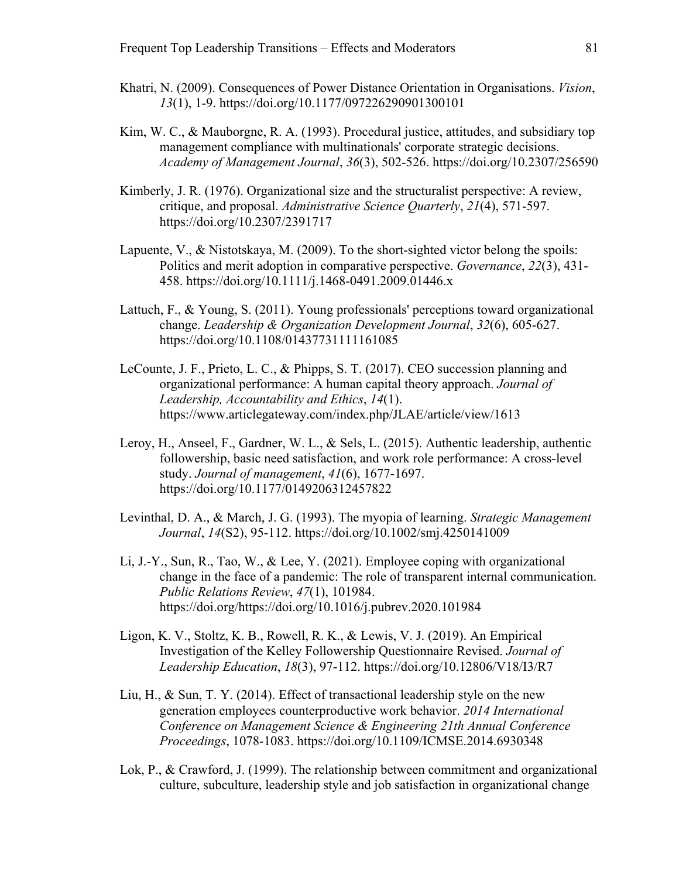- Khatri, N. (2009). Consequences of Power Distance Orientation in Organisations. *Vision*, *13*(1), 1-9. https://doi.org/10.1177/097226290901300101
- Kim, W. C., & Mauborgne, R. A. (1993). Procedural justice, attitudes, and subsidiary top management compliance with multinationals' corporate strategic decisions. *Academy of Management Journal*, *36*(3), 502-526. https://doi.org/10.2307/256590
- Kimberly, J. R. (1976). Organizational size and the structuralist perspective: A review, critique, and proposal. *Administrative Science Quarterly*, *21*(4), 571-597. https://doi.org/10.2307/2391717
- Lapuente, V., & Nistotskaya, M. (2009). To the short-sighted victor belong the spoils: Politics and merit adoption in comparative perspective. *Governance*, *22*(3), 431- 458. https://doi.org/10.1111/j.1468-0491.2009.01446.x
- Lattuch, F., & Young, S. (2011). Young professionals' perceptions toward organizational change. *Leadership & Organization Development Journal*, *32*(6), 605-627. https://doi.org/10.1108/01437731111161085
- LeCounte, J. F., Prieto, L. C., & Phipps, S. T. (2017). CEO succession planning and organizational performance: A human capital theory approach. *Journal of Leadership, Accountability and Ethics*, *14*(1). https://www.articlegateway.com/index.php/JLAE/article/view/1613
- Leroy, H., Anseel, F., Gardner, W. L., & Sels, L. (2015). Authentic leadership, authentic followership, basic need satisfaction, and work role performance: A cross-level study. *Journal of management*, *41*(6), 1677-1697. https://doi.org/10.1177/0149206312457822
- Levinthal, D. A., & March, J. G. (1993). The myopia of learning. *Strategic Management Journal*, *14*(S2), 95-112. https://doi.org/10.1002/smj.4250141009
- Li, J.-Y., Sun, R., Tao, W., & Lee, Y. (2021). Employee coping with organizational change in the face of a pandemic: The role of transparent internal communication. *Public Relations Review*, *47*(1), 101984. https://doi.org/https://doi.org/10.1016/j.pubrev.2020.101984
- Ligon, K. V., Stoltz, K. B., Rowell, R. K., & Lewis, V. J. (2019). An Empirical Investigation of the Kelley Followership Questionnaire Revised. *Journal of Leadership Education*, *18*(3), 97-112. https://doi.org/10.12806/V18/I3/R7
- Liu, H., & Sun, T. Y. (2014). Effect of transactional leadership style on the new generation employees counterproductive work behavior. *2014 International Conference on Management Science & Engineering 21th Annual Conference Proceedings*, 1078-1083. https://doi.org/10.1109/ICMSE.2014.6930348
- Lok, P., & Crawford, J. (1999). The relationship between commitment and organizational culture, subculture, leadership style and job satisfaction in organizational change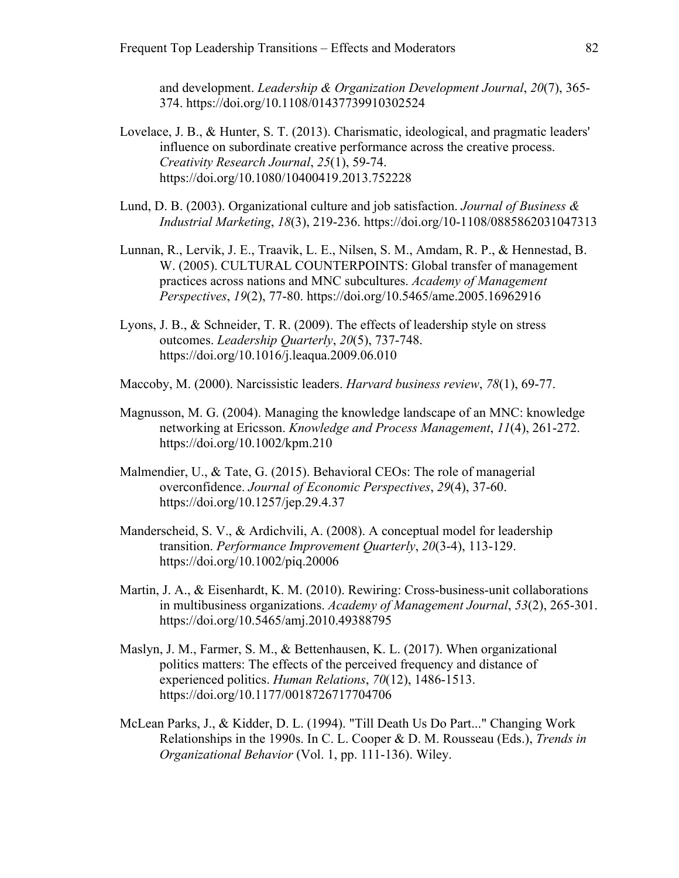and development. *Leadership & Organization Development Journal*, *20*(7), 365- 374. https://doi.org/10.1108/01437739910302524

- Lovelace, J. B., & Hunter, S. T. (2013). Charismatic, ideological, and pragmatic leaders' influence on subordinate creative performance across the creative process. *Creativity Research Journal*, *25*(1), 59-74. https://doi.org/10.1080/10400419.2013.752228
- Lund, D. B. (2003). Organizational culture and job satisfaction. *Journal of Business & Industrial Marketing*, *18*(3), 219-236. https://doi.org/10-1108/0885862031047313
- Lunnan, R., Lervik, J. E., Traavik, L. E., Nilsen, S. M., Amdam, R. P., & Hennestad, B. W. (2005). CULTURAL COUNTERPOINTS: Global transfer of management practices across nations and MNC subcultures. *Academy of Management Perspectives*, *19*(2), 77-80. https://doi.org/10.5465/ame.2005.16962916
- Lyons, J. B., & Schneider, T. R. (2009). The effects of leadership style on stress outcomes. *Leadership Quarterly*, *20*(5), 737-748. https://doi.org/10.1016/j.leaqua.2009.06.010
- Maccoby, M. (2000). Narcissistic leaders. *Harvard business review*, *78*(1), 69-77.
- Magnusson, M. G. (2004). Managing the knowledge landscape of an MNC: knowledge networking at Ericsson. *Knowledge and Process Management*, *11*(4), 261-272. https://doi.org/10.1002/kpm.210
- Malmendier, U., & Tate, G. (2015). Behavioral CEOs: The role of managerial overconfidence. *Journal of Economic Perspectives*, *29*(4), 37-60. https://doi.org/10.1257/jep.29.4.37
- Manderscheid, S. V., & Ardichvili, A. (2008). A conceptual model for leadership transition. *Performance Improvement Quarterly*, *20*(3‐4), 113-129. https://doi.org/10.1002/piq.20006
- Martin, J. A., & Eisenhardt, K. M. (2010). Rewiring: Cross-business-unit collaborations in multibusiness organizations. *Academy of Management Journal*, *53*(2), 265-301. https://doi.org/10.5465/amj.2010.49388795
- Maslyn, J. M., Farmer, S. M., & Bettenhausen, K. L. (2017). When organizational politics matters: The effects of the perceived frequency and distance of experienced politics. *Human Relations*, *70*(12), 1486-1513. https://doi.org/10.1177/0018726717704706
- McLean Parks, J., & Kidder, D. L. (1994). "Till Death Us Do Part..." Changing Work Relationships in the 1990s. In C. L. Cooper & D. M. Rousseau (Eds.), *Trends in Organizational Behavior* (Vol. 1, pp. 111-136). Wiley.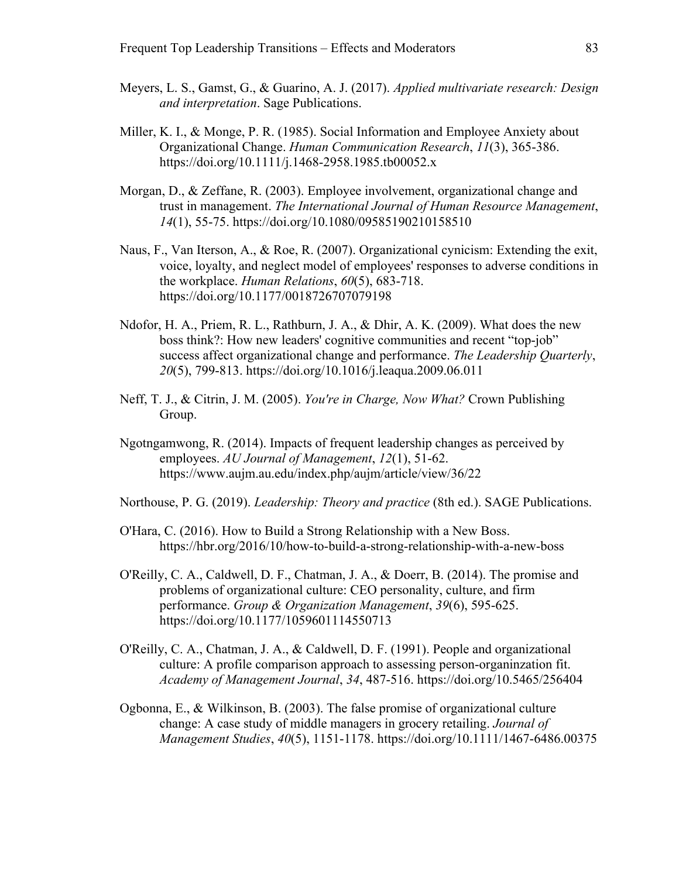- Meyers, L. S., Gamst, G., & Guarino, A. J. (2017). *Applied multivariate research: Design and interpretation*. Sage Publications.
- Miller, K. I., & Monge, P. R. (1985). Social Information and Employee Anxiety about Organizational Change. *Human Communication Research*, *11*(3), 365-386. https://doi.org/10.1111/j.1468-2958.1985.tb00052.x
- Morgan, D., & Zeffane, R. (2003). Employee involvement, organizational change and trust in management. *The International Journal of Human Resource Management*, *14*(1), 55-75. https://doi.org/10.1080/09585190210158510
- Naus, F., Van Iterson, A., & Roe, R. (2007). Organizational cynicism: Extending the exit, voice, loyalty, and neglect model of employees' responses to adverse conditions in the workplace. *Human Relations*, *60*(5), 683-718. https://doi.org/10.1177/0018726707079198
- Ndofor, H. A., Priem, R. L., Rathburn, J. A., & Dhir, A. K. (2009). What does the new boss think?: How new leaders' cognitive communities and recent "top-job" success affect organizational change and performance. *The Leadership Quarterly*, *20*(5), 799-813. https://doi.org/10.1016/j.leaqua.2009.06.011
- Neff, T. J., & Citrin, J. M. (2005). *You're in Charge, Now What?* Crown Publishing Group.
- Ngotngamwong, R. (2014). Impacts of frequent leadership changes as perceived by employees. *AU Journal of Management*, *12*(1), 51-62. https://www.aujm.au.edu/index.php/aujm/article/view/36/22
- Northouse, P. G. (2019). *Leadership: Theory and practice* (8th ed.). SAGE Publications.
- O'Hara, C. (2016). How to Build a Strong Relationship with a New Boss. https://hbr.org/2016/10/how-to-build-a-strong-relationship-with-a-new-boss
- O'Reilly, C. A., Caldwell, D. F., Chatman, J. A., & Doerr, B. (2014). The promise and problems of organizational culture: CEO personality, culture, and firm performance. *Group & Organization Management*, *39*(6), 595-625. https://doi.org/10.1177/1059601114550713
- O'Reilly, C. A., Chatman, J. A., & Caldwell, D. F. (1991). People and organizational culture: A profile comparison approach to assessing person-organinzation fit. *Academy of Management Journal*, *34*, 487-516. https://doi.org/10.5465/256404
- Ogbonna, E., & Wilkinson, B. (2003). The false promise of organizational culture change: A case study of middle managers in grocery retailing. *Journal of Management Studies*, *40*(5), 1151-1178. https://doi.org/10.1111/1467-6486.00375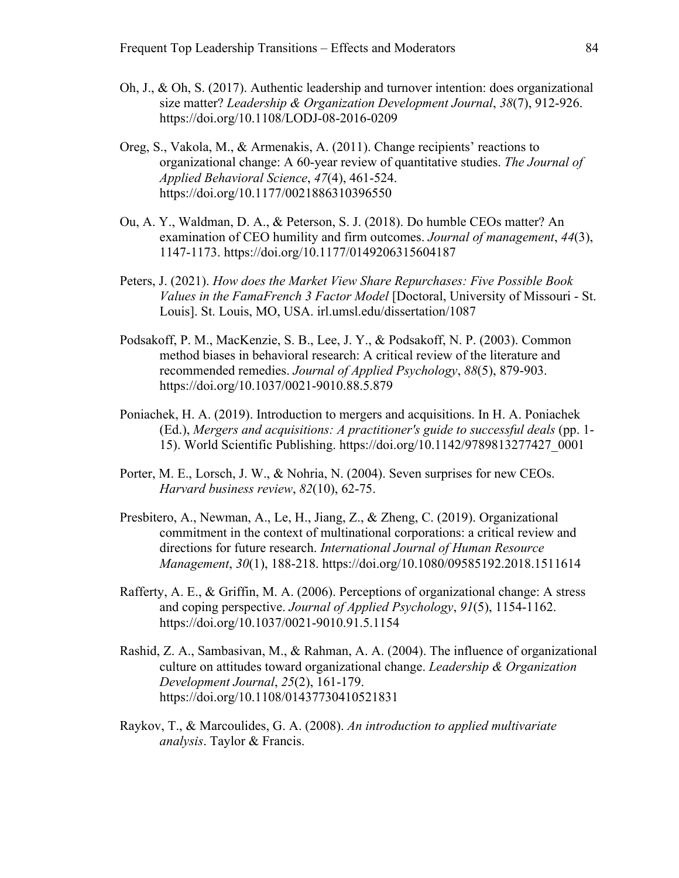- Oh, J., & Oh, S. (2017). Authentic leadership and turnover intention: does organizational size matter? *Leadership & Organization Development Journal*, *38*(7), 912-926. https://doi.org/10.1108/LODJ-08-2016-0209
- Oreg, S., Vakola, M., & Armenakis, A. (2011). Change recipients' reactions to organizational change: A 60-year review of quantitative studies. *The Journal of Applied Behavioral Science*, *47*(4), 461-524. https://doi.org/10.1177/0021886310396550
- Ou, A. Y., Waldman, D. A., & Peterson, S. J. (2018). Do humble CEOs matter? An examination of CEO humility and firm outcomes. *Journal of management*, *44*(3), 1147-1173. https://doi.org/10.1177/0149206315604187
- Peters, J. (2021). *How does the Market View Share Repurchases: Five Possible Book Values in the FamaFrench 3 Factor Model* [Doctoral, University of Missouri - St. Louis]. St. Louis, MO, USA. irl.umsl.edu/dissertation/1087
- Podsakoff, P. M., MacKenzie, S. B., Lee, J. Y., & Podsakoff, N. P. (2003). Common method biases in behavioral research: A critical review of the literature and recommended remedies. *Journal of Applied Psychology*, *88*(5), 879-903. https://doi.org/10.1037/0021-9010.88.5.879
- Poniachek, H. A. (2019). Introduction to mergers and acquisitions. In H. A. Poniachek (Ed.), *Mergers and acquisitions: A practitioner's guide to successful deals* (pp. 1- 15). World Scientific Publishing. https://doi.org/10.1142/9789813277427\_0001
- Porter, M. E., Lorsch, J. W., & Nohria, N. (2004). Seven surprises for new CEOs. *Harvard business review*, *82*(10), 62-75.
- Presbitero, A., Newman, A., Le, H., Jiang, Z., & Zheng, C. (2019). Organizational commitment in the context of multinational corporations: a critical review and directions for future research. *International Journal of Human Resource Management*, *30*(1), 188-218. https://doi.org/10.1080/09585192.2018.1511614
- Rafferty, A. E., & Griffin, M. A. (2006). Perceptions of organizational change: A stress and coping perspective. *Journal of Applied Psychology*, *91*(5), 1154-1162. https://doi.org/10.1037/0021-9010.91.5.1154
- Rashid, Z. A., Sambasivan, M., & Rahman, A. A. (2004). The influence of organizational culture on attitudes toward organizational change. *Leadership & Organization Development Journal*, *25*(2), 161-179. https://doi.org/10.1108/01437730410521831
- Raykov, T., & Marcoulides, G. A. (2008). *An introduction to applied multivariate analysis*. Taylor & Francis.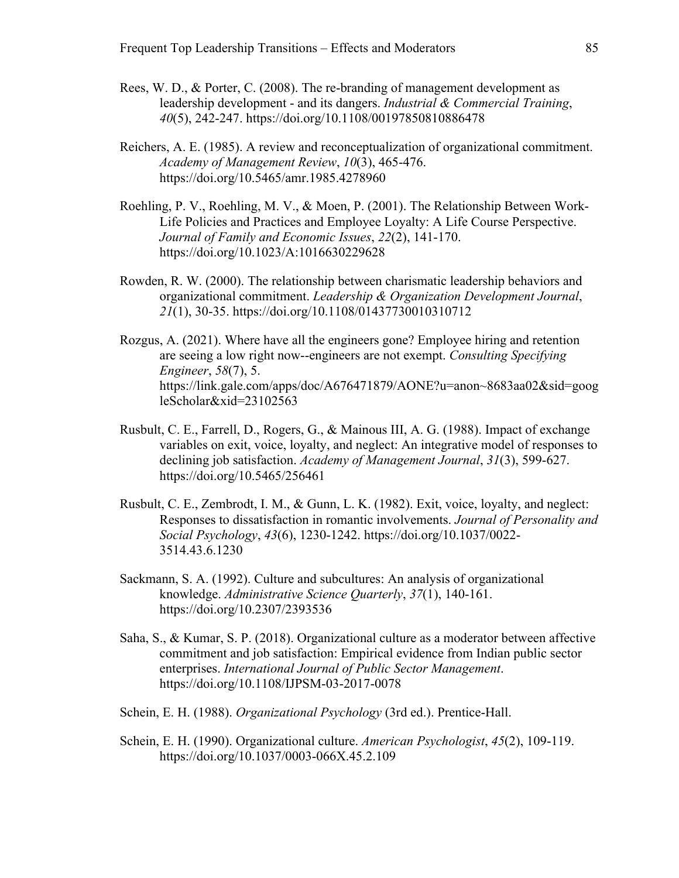- Rees, W. D., & Porter, C. (2008). The re-branding of management development as leadership development - and its dangers. *Industrial & Commercial Training*, *40*(5), 242-247. https://doi.org/10.1108/00197850810886478
- Reichers, A. E. (1985). A review and reconceptualization of organizational commitment. *Academy of Management Review*, *10*(3), 465-476. https://doi.org/10.5465/amr.1985.4278960
- Roehling, P. V., Roehling, M. V., & Moen, P. (2001). The Relationship Between Work-Life Policies and Practices and Employee Loyalty: A Life Course Perspective. *Journal of Family and Economic Issues*, *22*(2), 141-170. https://doi.org/10.1023/A:1016630229628
- Rowden, R. W. (2000). The relationship between charismatic leadership behaviors and organizational commitment. *Leadership & Organization Development Journal*, *21*(1), 30-35. https://doi.org/10.1108/01437730010310712
- Rozgus, A. (2021). Where have all the engineers gone? Employee hiring and retention are seeing a low right now--engineers are not exempt. *Consulting Specifying Engineer*, *58*(7), 5. https://link.gale.com/apps/doc/A676471879/AONE?u=anon~8683aa02&sid=goog leScholar&xid=23102563
- Rusbult, C. E., Farrell, D., Rogers, G., & Mainous III, A. G. (1988). Impact of exchange variables on exit, voice, loyalty, and neglect: An integrative model of responses to declining job satisfaction. *Academy of Management Journal*, *31*(3), 599-627. https://doi.org/10.5465/256461
- Rusbult, C. E., Zembrodt, I. M., & Gunn, L. K. (1982). Exit, voice, loyalty, and neglect: Responses to dissatisfaction in romantic involvements. *Journal of Personality and Social Psychology*, *43*(6), 1230-1242. https://doi.org/10.1037/0022- 3514.43.6.1230
- Sackmann, S. A. (1992). Culture and subcultures: An analysis of organizational knowledge. *Administrative Science Quarterly*, *37*(1), 140-161. https://doi.org/10.2307/2393536
- Saha, S., & Kumar, S. P. (2018). Organizational culture as a moderator between affective commitment and job satisfaction: Empirical evidence from Indian public sector enterprises. *International Journal of Public Sector Management*. https://doi.org/10.1108/IJPSM-03-2017-0078
- Schein, E. H. (1988). *Organizational Psychology* (3rd ed.). Prentice-Hall.
- Schein, E. H. (1990). Organizational culture. *American Psychologist*, *45*(2), 109-119. https://doi.org/10.1037/0003-066X.45.2.109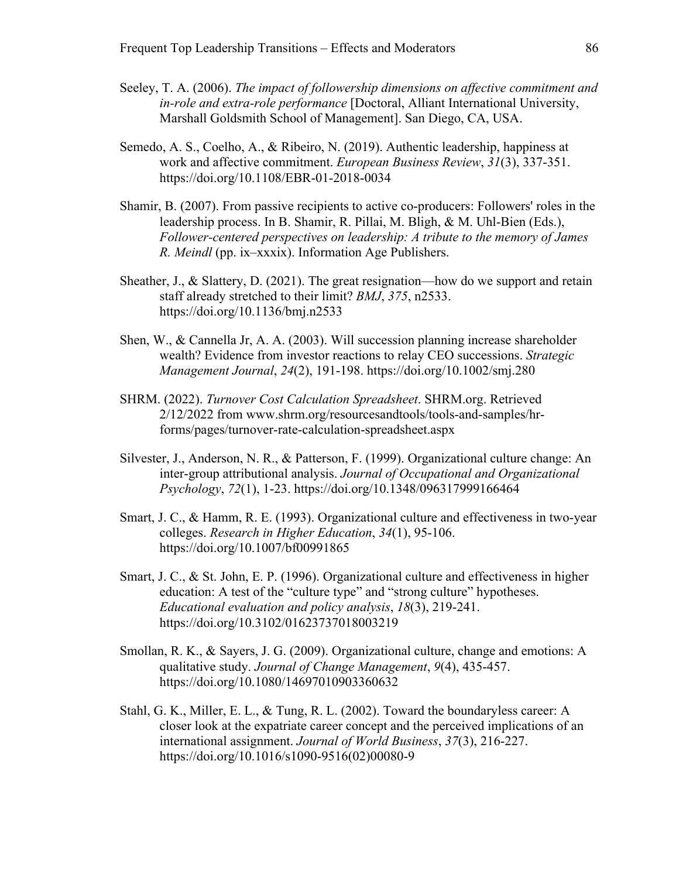- Seeley, T. A. (2006). *The impact of followership dimensions on affective commitment and in-role and extra-role performance* [Doctoral, Alliant International University, Marshall Goldsmith School of Management]. San Diego, CA, USA.
- Semedo, A. S., Coelho, A., & Ribeiro, N. (2019). Authentic leadership, happiness at work and affective commitment. *European Business Review*, *31*(3), 337-351. https://doi.org/10.1108/EBR-01-2018-0034
- Shamir, B. (2007). From passive recipients to active co-producers: Followers' roles in the leadership process. In B. Shamir, R. Pillai, M. Bligh, & M. Uhl-Bien (Eds.), *Follower-centered perspectives on leadership: A tribute to the memory of James R. Meindl* (pp. ix–xxxix). Information Age Publishers.
- Sheather, J., & Slattery, D. (2021). The great resignation—how do we support and retain staff already stretched to their limit? *BMJ*, *375*, n2533. https://doi.org/10.1136/bmj.n2533
- Shen, W., & Cannella Jr, A. A. (2003). Will succession planning increase shareholder wealth? Evidence from investor reactions to relay CEO successions. *Strategic Management Journal*, *24*(2), 191-198. https://doi.org/10.1002/smj.280
- SHRM. (2022). *Turnover Cost Calculation Spreadsheet*. SHRM.org. Retrieved 2/12/2022 from www.shrm.org/resourcesandtools/tools-and-samples/hrforms/pages/turnover-rate-calculation-spreadsheet.aspx
- Silvester, J., Anderson, N. R., & Patterson, F. (1999). Organizational culture change: An inter‐group attributional analysis. *Journal of Occupational and Organizational Psychology*, *72*(1), 1-23. https://doi.org/10.1348/096317999166464
- Smart, J. C., & Hamm, R. E. (1993). Organizational culture and effectiveness in two-year colleges. *Research in Higher Education*, *34*(1), 95-106. https://doi.org/10.1007/bf00991865
- Smart, J. C., & St. John, E. P. (1996). Organizational culture and effectiveness in higher education: A test of the "culture type" and "strong culture" hypotheses. *Educational evaluation and policy analysis*, *18*(3), 219-241. https://doi.org/10.3102/01623737018003219
- Smollan, R. K., & Sayers, J. G. (2009). Organizational culture, change and emotions: A qualitative study. *Journal of Change Management*, *9*(4), 435-457. https://doi.org/10.1080/14697010903360632
- Stahl, G. K., Miller, E. L., & Tung, R. L. (2002). Toward the boundaryless career: A closer look at the expatriate career concept and the perceived implications of an international assignment. *Journal of World Business*, *37*(3), 216-227. https://doi.org/10.1016/s1090-9516(02)00080-9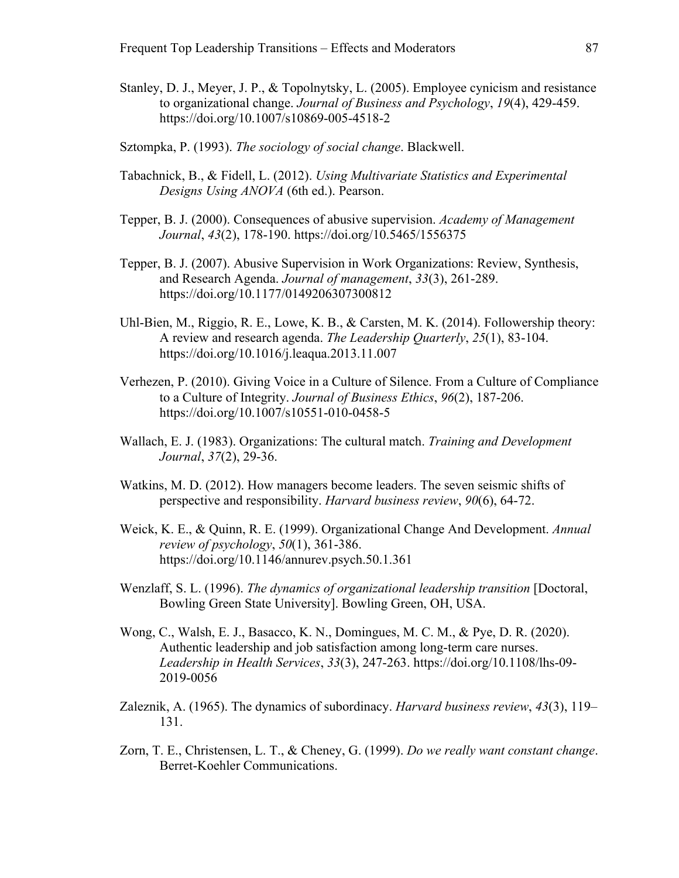- Stanley, D. J., Meyer, J. P., & Topolnytsky, L. (2005). Employee cynicism and resistance to organizational change. *Journal of Business and Psychology*, *19*(4), 429-459. https://doi.org/10.1007/s10869-005-4518-2
- Sztompka, P. (1993). *The sociology of social change*. Blackwell.
- Tabachnick, B., & Fidell, L. (2012). *Using Multivariate Statistics and Experimental Designs Using ANOVA* (6th ed.). Pearson.
- Tepper, B. J. (2000). Consequences of abusive supervision. *Academy of Management Journal*, *43*(2), 178-190. https://doi.org/10.5465/1556375
- Tepper, B. J. (2007). Abusive Supervision in Work Organizations: Review, Synthesis, and Research Agenda. *Journal of management*, *33*(3), 261-289. https://doi.org/10.1177/0149206307300812
- Uhl-Bien, M., Riggio, R. E., Lowe, K. B., & Carsten, M. K. (2014). Followership theory: A review and research agenda. *The Leadership Quarterly*, *25*(1), 83-104. https://doi.org/10.1016/j.leaqua.2013.11.007
- Verhezen, P. (2010). Giving Voice in a Culture of Silence. From a Culture of Compliance to a Culture of Integrity. *Journal of Business Ethics*, *96*(2), 187-206. https://doi.org/10.1007/s10551-010-0458-5
- Wallach, E. J. (1983). Organizations: The cultural match. *Training and Development Journal*, *37*(2), 29-36.
- Watkins, M. D. (2012). How managers become leaders. The seven seismic shifts of perspective and responsibility. *Harvard business review*, *90*(6), 64-72.
- Weick, K. E., & Quinn, R. E. (1999). Organizational Change And Development. *Annual review of psychology*, *50*(1), 361-386. https://doi.org/10.1146/annurev.psych.50.1.361
- Wenzlaff, S. L. (1996). *The dynamics of organizational leadership transition* [Doctoral, Bowling Green State University]. Bowling Green, OH, USA.
- Wong, C., Walsh, E. J., Basacco, K. N., Domingues, M. C. M., & Pye, D. R. (2020). Authentic leadership and job satisfaction among long-term care nurses. *Leadership in Health Services*, *33*(3), 247-263. https://doi.org/10.1108/lhs-09- 2019-0056
- Zaleznik, A. (1965). The dynamics of subordinacy. *Harvard business review*, *43*(3), 119– 131.
- Zorn, T. E., Christensen, L. T., & Cheney, G. (1999). *Do we really want constant change*. Berret-Koehler Communications.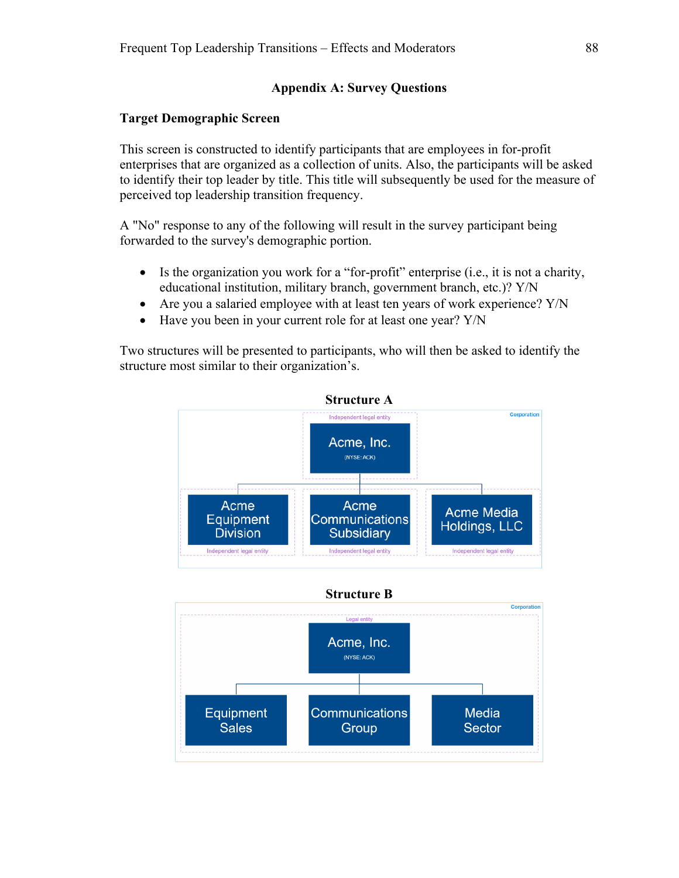# **Appendix A: Survey Questions**

### **Target Demographic Screen**

This screen is constructed to identify participants that are employees in for-profit enterprises that are organized as a collection of units. Also, the participants will be asked to identify their top leader by title. This title will subsequently be used for the measure of perceived top leadership transition frequency.

A "No" response to any of the following will result in the survey participant being forwarded to the survey's demographic portion.

- $\bullet$  Is the organization you work for a "for-profit" enterprise (i.e., it is not a charity, educational institution, military branch, government branch, etc.)? Y/N
- Are you a salaried employee with at least ten years of work experience? Y/N
- Have you been in your current role for at least one year? Y/N

Two structures will be presented to participants, who will then be asked to identify the structure most similar to their organization's.

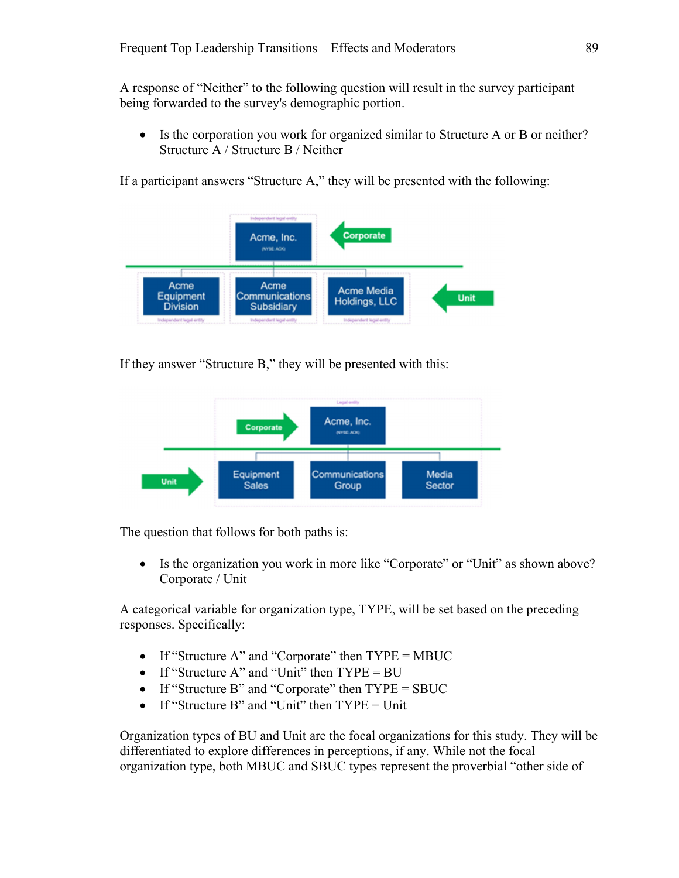A response of "Neither" to the following question will result in the survey participant being forwarded to the survey's demographic portion.

 Is the corporation you work for organized similar to Structure A or B or neither? Structure A / Structure B / Neither

If a participant answers "Structure A," they will be presented with the following:



If they answer "Structure B," they will be presented with this:



The question that follows for both paths is:

• Is the organization you work in more like "Corporate" or "Unit" as shown above? Corporate / Unit

A categorical variable for organization type, TYPE, will be set based on the preceding responses. Specifically:

- If "Structure A" and "Corporate" then  $TYPE = MBUC$
- If "Structure A" and "Unit" then  $TYPE = BU$
- If "Structure B" and "Corporate" then  $TYPE = SBUC$
- If "Structure B" and "Unit" then  $TYPE = Unit$

Organization types of BU and Unit are the focal organizations for this study. They will be differentiated to explore differences in perceptions, if any. While not the focal organization type, both MBUC and SBUC types represent the proverbial "other side of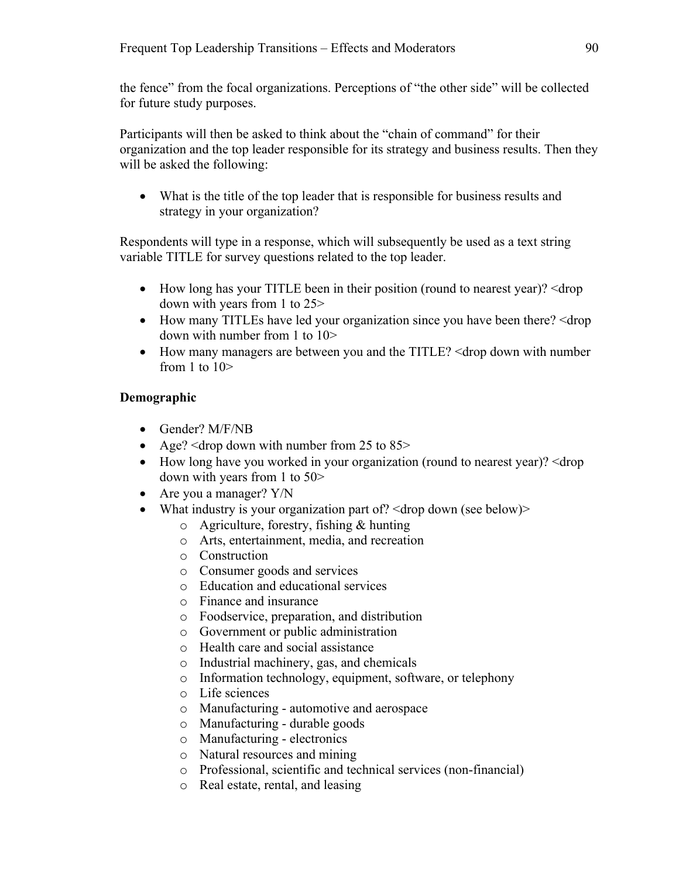the fence" from the focal organizations. Perceptions of "the other side" will be collected for future study purposes.

Participants will then be asked to think about the "chain of command" for their organization and the top leader responsible for its strategy and business results. Then they will be asked the following:

 What is the title of the top leader that is responsible for business results and strategy in your organization?

Respondents will type in a response, which will subsequently be used as a text string variable TITLE for survey questions related to the top leader.

- How long has your TITLE been in their position (round to nearest year)? < drop down with years from 1 to 25>
- How many TITLEs have led your organization since you have been there?  $\leq$  drop down with number from 1 to 10>
- How many managers are between you and the TITLE? <drop down with number from 1 to 10>

# **Demographic**

- Gender? M/F/NB
- Age?  $\langle$  drop down with number from 25 to 85>
- How long have you worked in your organization (round to nearest year)? < drop down with years from 1 to 50>
- Are you a manager? Y/N
- What industry is your organization part of?  $\langle$  drop down (see below) $>$ 
	- o Agriculture, forestry, fishing & hunting
	- o Arts, entertainment, media, and recreation
	- o Construction
	- o Consumer goods and services
	- o Education and educational services
	- o Finance and insurance
	- o Foodservice, preparation, and distribution
	- o Government or public administration
	- o Health care and social assistance
	- o Industrial machinery, gas, and chemicals
	- o Information technology, equipment, software, or telephony
	- o Life sciences
	- o Manufacturing automotive and aerospace
	- o Manufacturing durable goods
	- o Manufacturing electronics
	- o Natural resources and mining
	- o Professional, scientific and technical services (non-financial)
	- o Real estate, rental, and leasing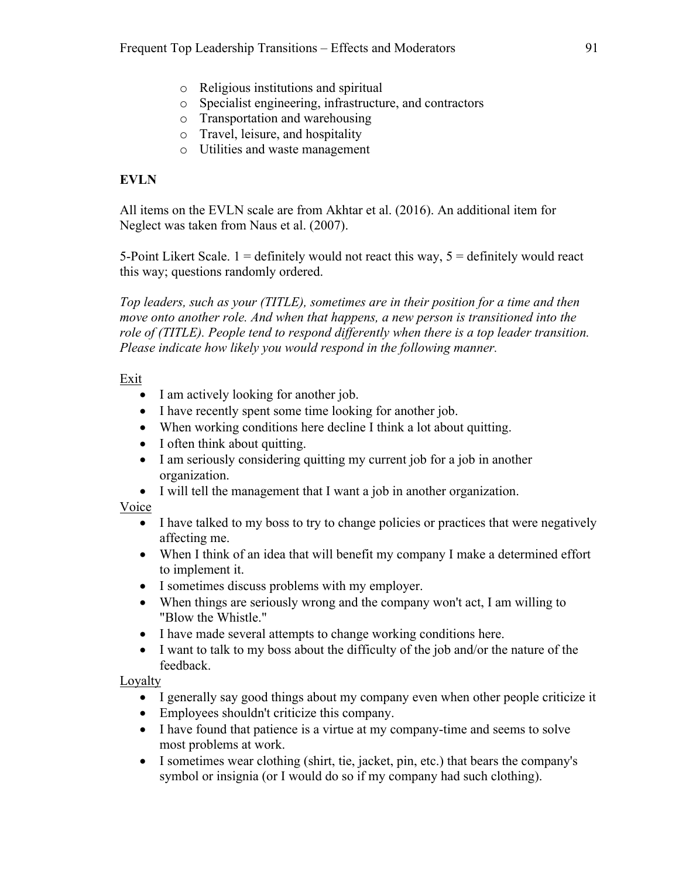- o Religious institutions and spiritual
- o Specialist engineering, infrastructure, and contractors
- o Transportation and warehousing
- o Travel, leisure, and hospitality
- o Utilities and waste management

# **EVLN**

All items on the EVLN scale are from Akhtar et al. (2016). An additional item for Neglect was taken from Naus et al. (2007).

5-Point Likert Scale.  $1 =$  definitely would not react this way,  $5 =$  definitely would react this way; questions randomly ordered.

*Top leaders, such as your (TITLE), sometimes are in their position for a time and then move onto another role. And when that happens, a new person is transitioned into the role of (TITLE). People tend to respond differently when there is a top leader transition. Please indicate how likely you would respond in the following manner.* 

# Exit

- I am actively looking for another job.
- I have recently spent some time looking for another job.
- When working conditions here decline I think a lot about quitting.
- I often think about quitting.
- I am seriously considering quitting my current job for a job in another organization.
- I will tell the management that I want a job in another organization.

# Voice

- I have talked to my boss to try to change policies or practices that were negatively affecting me.
- When I think of an idea that will benefit my company I make a determined effort to implement it.
- I sometimes discuss problems with my employer.
- When things are seriously wrong and the company won't act, I am willing to "Blow the Whistle."
- I have made several attempts to change working conditions here.
- I want to talk to my boss about the difficulty of the job and/or the nature of the feedback.

Loyalty

- I generally say good things about my company even when other people criticize it
- Employees shouldn't criticize this company.
- I have found that patience is a virtue at my company-time and seems to solve most problems at work.
- I sometimes wear clothing (shirt, tie, jacket, pin, etc.) that bears the company's symbol or insignia (or I would do so if my company had such clothing).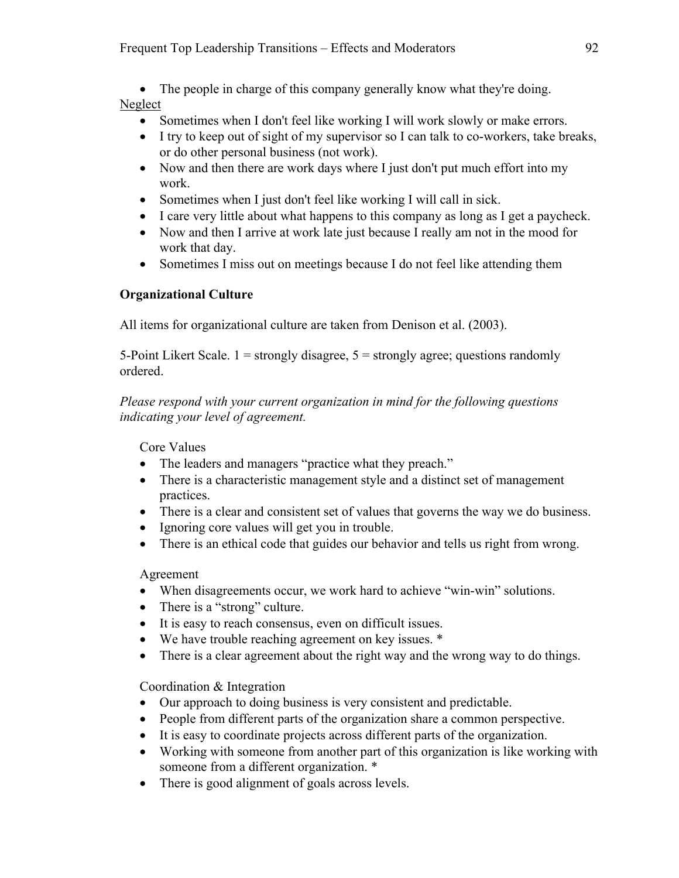• The people in charge of this company generally know what they're doing. Neglect

- Sometimes when I don't feel like working I will work slowly or make errors.
- I try to keep out of sight of my supervisor so I can talk to co-workers, take breaks, or do other personal business (not work).
- Now and then there are work days where I just don't put much effort into my work.
- Sometimes when I just don't feel like working I will call in sick.
- I care very little about what happens to this company as long as I get a paycheck.
- Now and then I arrive at work late just because I really am not in the mood for work that day.
- Sometimes I miss out on meetings because I do not feel like attending them

# **Organizational Culture**

All items for organizational culture are taken from Denison et al. (2003).

5-Point Likert Scale.  $1 =$  strongly disagree,  $5 =$  strongly agree; questions randomly ordered.

*Please respond with your current organization in mind for the following questions indicating your level of agreement.* 

Core Values

- The leaders and managers "practice what they preach."
- There is a characteristic management style and a distinct set of management practices.
- There is a clear and consistent set of values that governs the way we do business.
- Ignoring core values will get you in trouble.
- There is an ethical code that guides our behavior and tells us right from wrong.

Agreement

- When disagreements occur, we work hard to achieve "win-win" solutions.
- There is a "strong" culture.
- It is easy to reach consensus, even on difficult issues.
- We have trouble reaching agreement on key issues. \*
- There is a clear agreement about the right way and the wrong way to do things.

Coordination & Integration

- Our approach to doing business is very consistent and predictable.
- People from different parts of the organization share a common perspective.
- It is easy to coordinate projects across different parts of the organization.
- Working with someone from another part of this organization is like working with someone from a different organization. \*
- There is good alignment of goals across levels.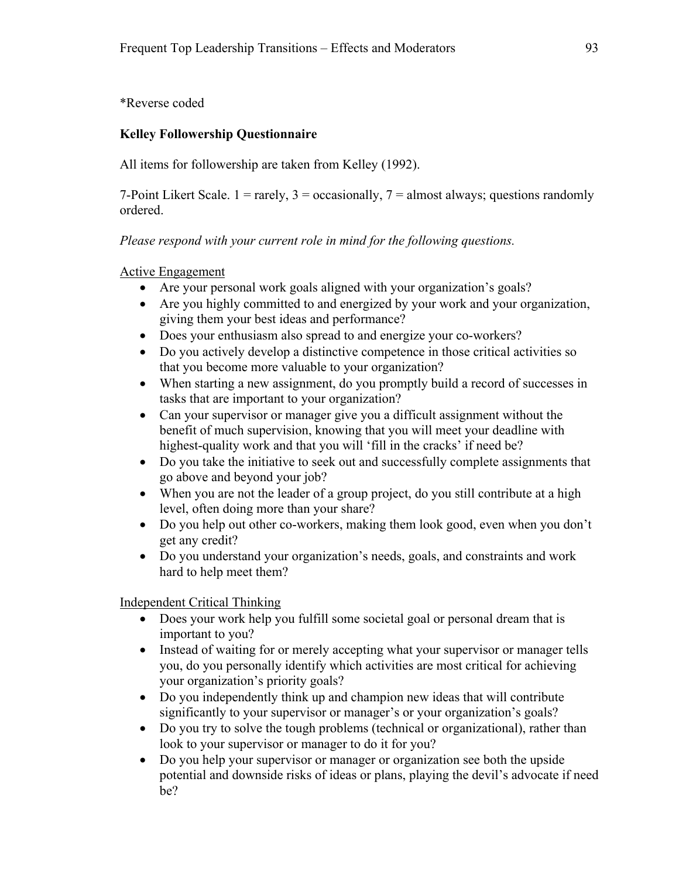\*Reverse coded

# **Kelley Followership Questionnaire**

All items for followership are taken from Kelley (1992).

7-Point Likert Scale.  $1 = \text{rarely}, 3 = \text{occasionally}, 7 = \text{almost always};$  questions randomly ordered.

*Please respond with your current role in mind for the following questions.* 

# Active Engagement

- Are your personal work goals aligned with your organization's goals?
- Are you highly committed to and energized by your work and your organization, giving them your best ideas and performance?
- Does your enthusiasm also spread to and energize your co-workers?
- Do you actively develop a distinctive competence in those critical activities so that you become more valuable to your organization?
- When starting a new assignment, do you promptly build a record of successes in tasks that are important to your organization?
- Can your supervisor or manager give you a difficult assignment without the benefit of much supervision, knowing that you will meet your deadline with highest-quality work and that you will 'fill in the cracks' if need be?
- Do you take the initiative to seek out and successfully complete assignments that go above and beyond your job?
- When you are not the leader of a group project, do you still contribute at a high level, often doing more than your share?
- Do you help out other co-workers, making them look good, even when you don't get any credit?
- Do you understand your organization's needs, goals, and constraints and work hard to help meet them?

Independent Critical Thinking

- Does your work help you fulfill some societal goal or personal dream that is important to you?
- Instead of waiting for or merely accepting what your supervisor or manager tells you, do you personally identify which activities are most critical for achieving your organization's priority goals?
- Do you independently think up and champion new ideas that will contribute significantly to your supervisor or manager's or your organization's goals?
- Do you try to solve the tough problems (technical or organizational), rather than look to your supervisor or manager to do it for you?
- Do you help your supervisor or manager or organization see both the upside potential and downside risks of ideas or plans, playing the devil's advocate if need be?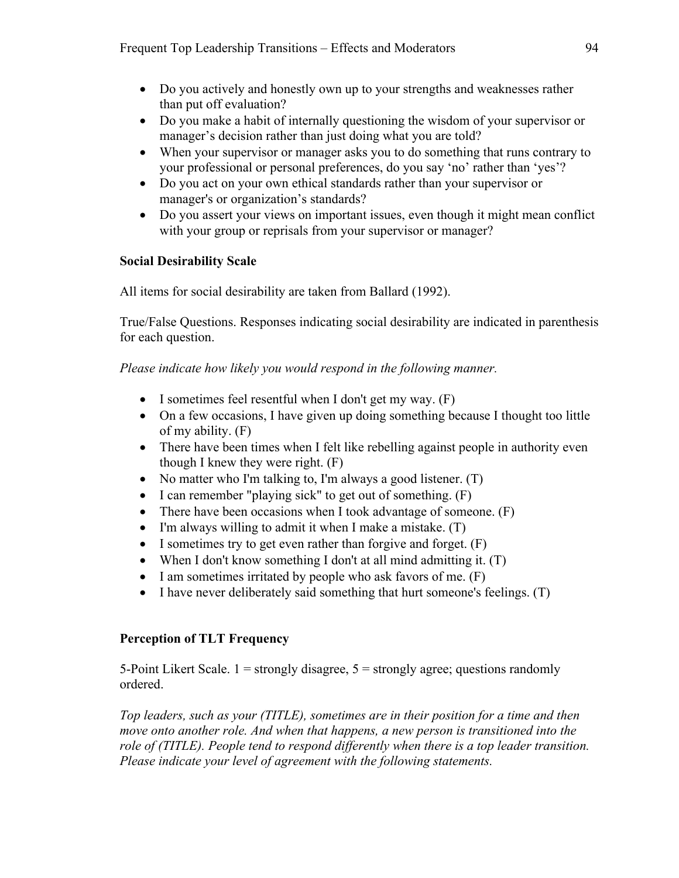- Do you actively and honestly own up to your strengths and weaknesses rather than put off evaluation?
- Do you make a habit of internally questioning the wisdom of your supervisor or manager's decision rather than just doing what you are told?
- When your supervisor or manager asks you to do something that runs contrary to your professional or personal preferences, do you say 'no' rather than 'yes'?
- Do you act on your own ethical standards rather than your supervisor or manager's or organization's standards?
- Do you assert your views on important issues, even though it might mean conflict with your group or reprisals from your supervisor or manager?

# **Social Desirability Scale**

All items for social desirability are taken from Ballard (1992).

True/False Questions. Responses indicating social desirability are indicated in parenthesis for each question.

*Please indicate how likely you would respond in the following manner.* 

- $\bullet$  I sometimes feel resentful when I don't get my way. (F)
- On a few occasions, I have given up doing something because I thought too little of my ability. (F)
- There have been times when I felt like rebelling against people in authority even though I knew they were right. (F)
- No matter who I'm talking to, I'm always a good listener.  $(T)$
- $\bullet$  I can remember "playing sick" to get out of something.  $(F)$
- There have been occasions when I took advantage of someone. (F)
- $\bullet$  I'm always willing to admit it when I make a mistake. (T)
- I sometimes try to get even rather than forgive and forget.  $(F)$
- When I don't know something I don't at all mind admitting it. (T)
- $\bullet$  I am sometimes irritated by people who ask favors of me.  $(F)$
- $\bullet$  I have never deliberately said something that hurt someone's feelings. (T)

### **Perception of TLT Frequency**

5-Point Likert Scale.  $1 =$  strongly disagree,  $5 =$  strongly agree; questions randomly ordered.

*Top leaders, such as your (TITLE), sometimes are in their position for a time and then move onto another role. And when that happens, a new person is transitioned into the role of (TITLE). People tend to respond differently when there is a top leader transition. Please indicate your level of agreement with the following statements.*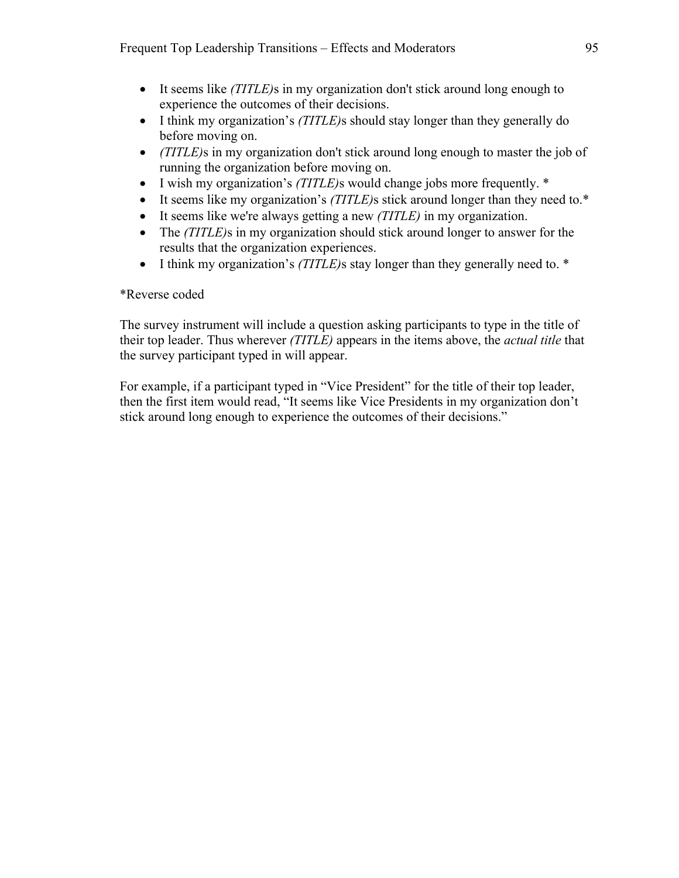- It seems like *(TITLE)*s in my organization don't stick around long enough to experience the outcomes of their decisions.
- I think my organization's *(TITLE)*s should stay longer than they generally do before moving on.
- *(TITLE)*s in my organization don't stick around long enough to master the job of running the organization before moving on.
- I wish my organization's *(TITLE)*s would change jobs more frequently. \*
- It seems like my organization's *(TITLE)*s stick around longer than they need to.\*
- It seems like we're always getting a new *(TITLE)* in my organization.
- The *(TITLE)*s in my organization should stick around longer to answer for the results that the organization experiences.
- I think my organization's *(TITLE)*s stay longer than they generally need to. \*

# \*Reverse coded

The survey instrument will include a question asking participants to type in the title of their top leader. Thus wherever *(TITLE)* appears in the items above, the *actual title* that the survey participant typed in will appear.

For example, if a participant typed in "Vice President" for the title of their top leader, then the first item would read, "It seems like Vice Presidents in my organization don't stick around long enough to experience the outcomes of their decisions."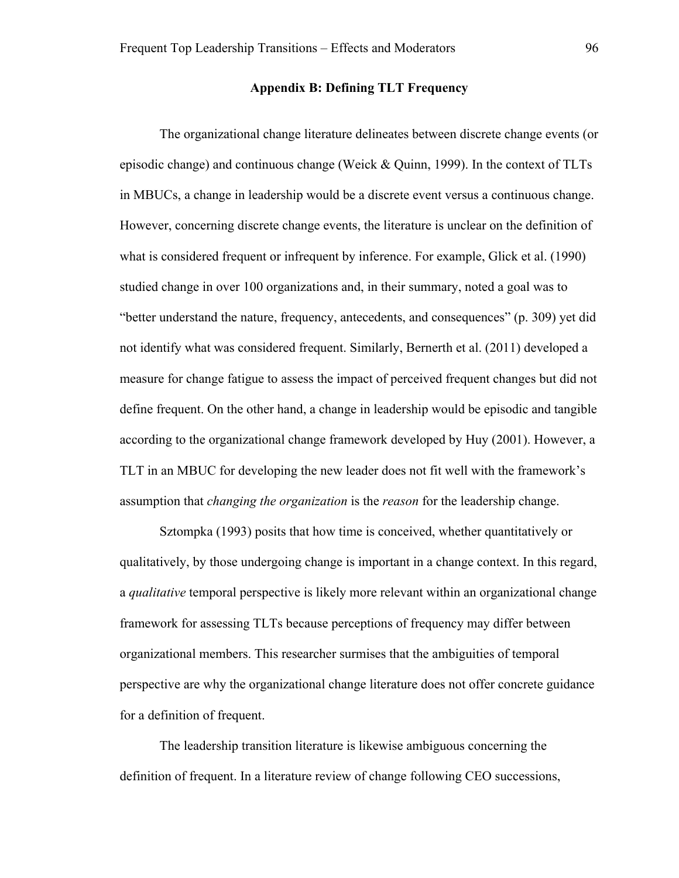#### **Appendix B: Defining TLT Frequency**

The organizational change literature delineates between discrete change events (or episodic change) and continuous change (Weick & Quinn, 1999). In the context of TLTs in MBUCs, a change in leadership would be a discrete event versus a continuous change. However, concerning discrete change events, the literature is unclear on the definition of what is considered frequent or infrequent by inference. For example, Glick et al. (1990) studied change in over 100 organizations and, in their summary, noted a goal was to "better understand the nature, frequency, antecedents, and consequences" (p. 309) yet did not identify what was considered frequent. Similarly, Bernerth et al. (2011) developed a measure for change fatigue to assess the impact of perceived frequent changes but did not define frequent. On the other hand, a change in leadership would be episodic and tangible according to the organizational change framework developed by Huy (2001). However, a TLT in an MBUC for developing the new leader does not fit well with the framework's assumption that *changing the organization* is the *reason* for the leadership change.

Sztompka (1993) posits that how time is conceived, whether quantitatively or qualitatively, by those undergoing change is important in a change context. In this regard, a *qualitative* temporal perspective is likely more relevant within an organizational change framework for assessing TLTs because perceptions of frequency may differ between organizational members. This researcher surmises that the ambiguities of temporal perspective are why the organizational change literature does not offer concrete guidance for a definition of frequent.

The leadership transition literature is likewise ambiguous concerning the definition of frequent. In a literature review of change following CEO successions,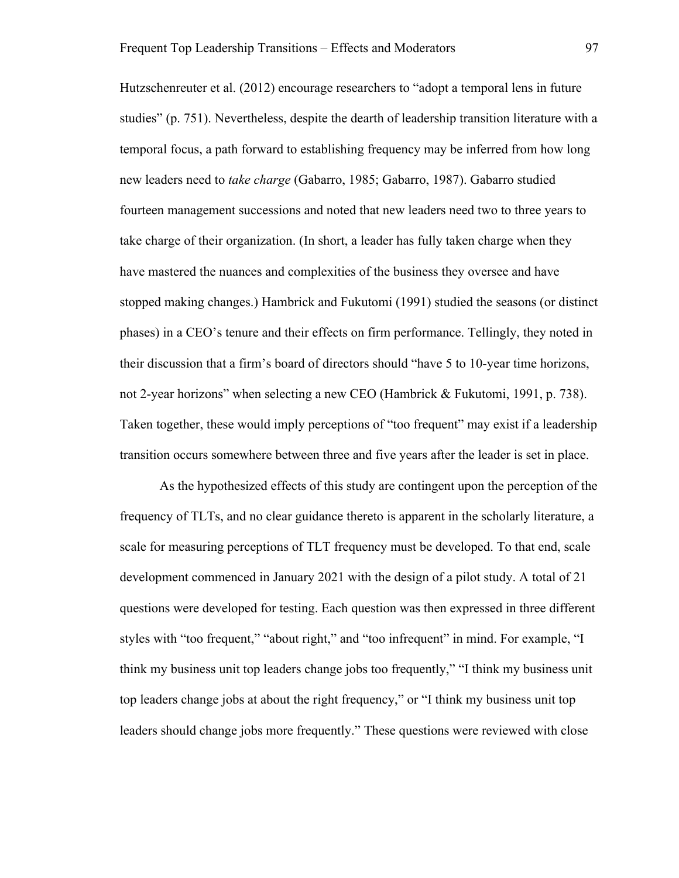Hutzschenreuter et al. (2012) encourage researchers to "adopt a temporal lens in future studies" (p. 751). Nevertheless, despite the dearth of leadership transition literature with a temporal focus, a path forward to establishing frequency may be inferred from how long new leaders need to *take charge* (Gabarro, 1985; Gabarro, 1987). Gabarro studied fourteen management successions and noted that new leaders need two to three years to take charge of their organization. (In short, a leader has fully taken charge when they have mastered the nuances and complexities of the business they oversee and have stopped making changes.) Hambrick and Fukutomi (1991) studied the seasons (or distinct phases) in a CEO's tenure and their effects on firm performance. Tellingly, they noted in their discussion that a firm's board of directors should "have 5 to 10-year time horizons, not 2-year horizons" when selecting a new CEO (Hambrick & Fukutomi, 1991, p. 738). Taken together, these would imply perceptions of "too frequent" may exist if a leadership transition occurs somewhere between three and five years after the leader is set in place.

As the hypothesized effects of this study are contingent upon the perception of the frequency of TLTs, and no clear guidance thereto is apparent in the scholarly literature, a scale for measuring perceptions of TLT frequency must be developed. To that end, scale development commenced in January 2021 with the design of a pilot study. A total of 21 questions were developed for testing. Each question was then expressed in three different styles with "too frequent," "about right," and "too infrequent" in mind. For example, "I think my business unit top leaders change jobs too frequently," "I think my business unit top leaders change jobs at about the right frequency," or "I think my business unit top leaders should change jobs more frequently." These questions were reviewed with close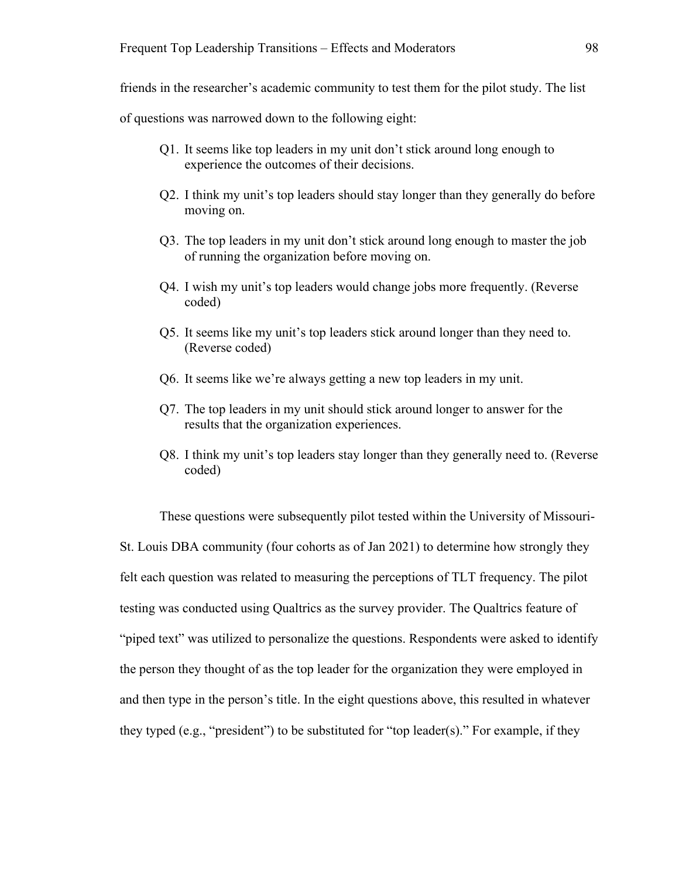friends in the researcher's academic community to test them for the pilot study. The list

of questions was narrowed down to the following eight:

- Q1. It seems like top leaders in my unit don't stick around long enough to experience the outcomes of their decisions.
- Q2. I think my unit's top leaders should stay longer than they generally do before moving on.
- Q3. The top leaders in my unit don't stick around long enough to master the job of running the organization before moving on.
- Q4. I wish my unit's top leaders would change jobs more frequently. (Reverse coded)
- Q5. It seems like my unit's top leaders stick around longer than they need to. (Reverse coded)
- Q6. It seems like we're always getting a new top leaders in my unit.
- Q7. The top leaders in my unit should stick around longer to answer for the results that the organization experiences.
- Q8. I think my unit's top leaders stay longer than they generally need to. (Reverse coded)

These questions were subsequently pilot tested within the University of Missouri-St. Louis DBA community (four cohorts as of Jan 2021) to determine how strongly they felt each question was related to measuring the perceptions of TLT frequency. The pilot testing was conducted using Qualtrics as the survey provider. The Qualtrics feature of "piped text" was utilized to personalize the questions. Respondents were asked to identify the person they thought of as the top leader for the organization they were employed in and then type in the person's title. In the eight questions above, this resulted in whatever they typed (e.g., "president") to be substituted for "top leader(s)." For example, if they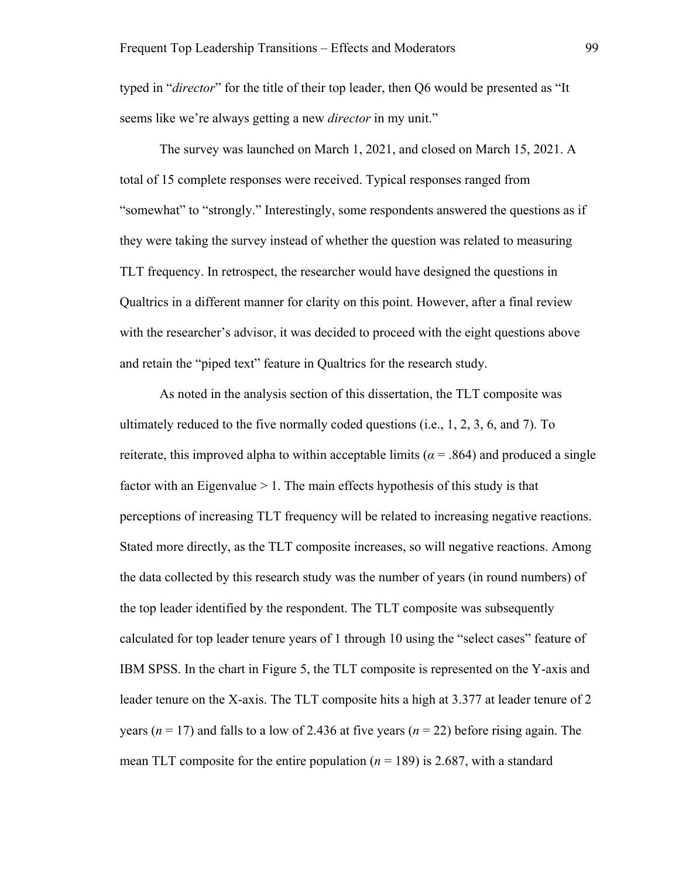typed in "*director*" for the title of their top leader, then Q6 would be presented as "It seems like we're always getting a new *director* in my unit."

The survey was launched on March 1, 2021, and closed on March 15, 2021. A total of 15 complete responses were received. Typical responses ranged from "somewhat" to "strongly." Interestingly, some respondents answered the questions as if they were taking the survey instead of whether the question was related to measuring TLT frequency. In retrospect, the researcher would have designed the questions in Qualtrics in a different manner for clarity on this point. However, after a final review with the researcher's advisor, it was decided to proceed with the eight questions above and retain the "piped text" feature in Qualtrics for the research study.

As noted in the analysis section of this dissertation, the TLT composite was ultimately reduced to the five normally coded questions (i.e.,  $1, 2, 3, 6$ , and  $7$ ). To reiterate, this improved alpha to within acceptable limits ( $\alpha$  = .864) and produced a single factor with an Eigenvalue > 1. The main effects hypothesis of this study is that perceptions of increasing TLT frequency will be related to increasing negative reactions. Stated more directly, as the TLT composite increases, so will negative reactions. Among the data collected by this research study was the number of years (in round numbers) of the top leader identified by the respondent. The TLT composite was subsequently calculated for top leader tenure years of 1 through 10 using the "select cases" feature of IBM SPSS. In the chart in Figure 5, the TLT composite is represented on the Y-axis and leader tenure on the X-axis. The TLT composite hits a high at 3.377 at leader tenure of 2 years ( $n = 17$ ) and falls to a low of 2.436 at five years ( $n = 22$ ) before rising again. The mean TLT composite for the entire population  $(n = 189)$  is 2.687, with a standard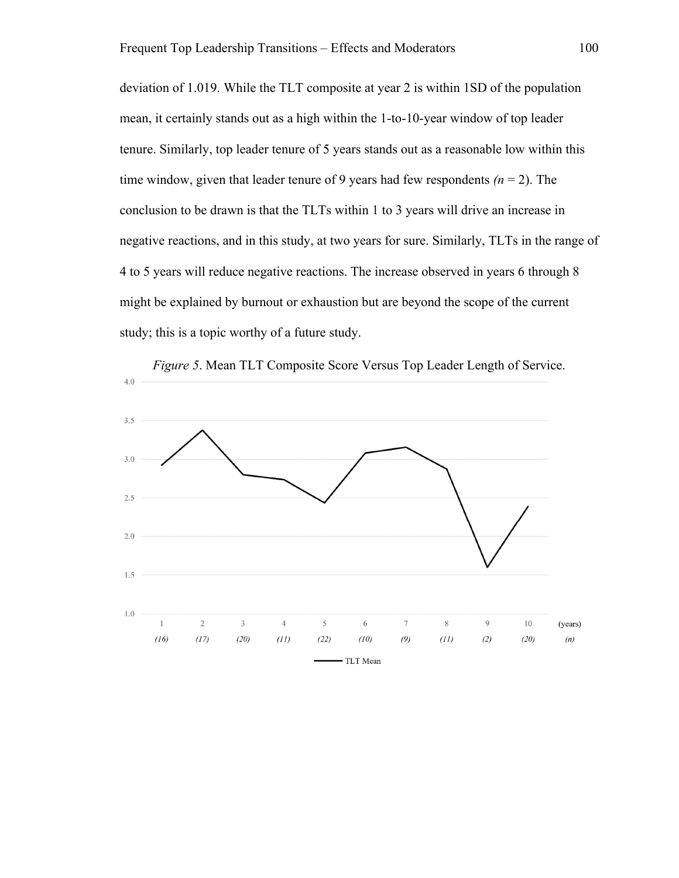deviation of 1.019. While the TLT composite at year 2 is within 1SD of the population mean, it certainly stands out as a high within the 1-to-10-year window of top leader tenure. Similarly, top leader tenure of 5 years stands out as a reasonable low within this time window, given that leader tenure of 9 years had few respondents  $(n = 2)$ . The conclusion to be drawn is that the TLTs within 1 to 3 years will drive an increase in negative reactions, and in this study, at two years for sure. Similarly, TLTs in the range of 4 to 5 years will reduce negative reactions. The increase observed in years 6 through 8 might be explained by burnout or exhaustion but are beyond the scope of the current study; this is a topic worthy of a future study.

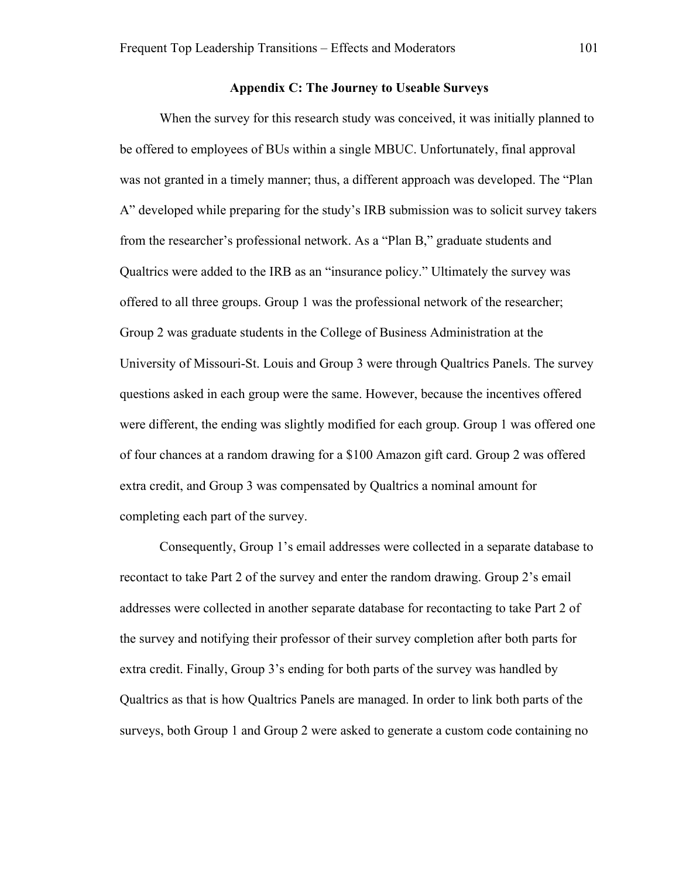#### **Appendix C: The Journey to Useable Surveys**

When the survey for this research study was conceived, it was initially planned to be offered to employees of BUs within a single MBUC. Unfortunately, final approval was not granted in a timely manner; thus, a different approach was developed. The "Plan A" developed while preparing for the study's IRB submission was to solicit survey takers from the researcher's professional network. As a "Plan B," graduate students and Qualtrics were added to the IRB as an "insurance policy." Ultimately the survey was offered to all three groups. Group 1 was the professional network of the researcher; Group 2 was graduate students in the College of Business Administration at the University of Missouri-St. Louis and Group 3 were through Qualtrics Panels. The survey questions asked in each group were the same. However, because the incentives offered were different, the ending was slightly modified for each group. Group 1 was offered one of four chances at a random drawing for a \$100 Amazon gift card. Group 2 was offered extra credit, and Group 3 was compensated by Qualtrics a nominal amount for completing each part of the survey.

Consequently, Group 1's email addresses were collected in a separate database to recontact to take Part 2 of the survey and enter the random drawing. Group 2's email addresses were collected in another separate database for recontacting to take Part 2 of the survey and notifying their professor of their survey completion after both parts for extra credit. Finally, Group 3's ending for both parts of the survey was handled by Qualtrics as that is how Qualtrics Panels are managed. In order to link both parts of the surveys, both Group 1 and Group 2 were asked to generate a custom code containing no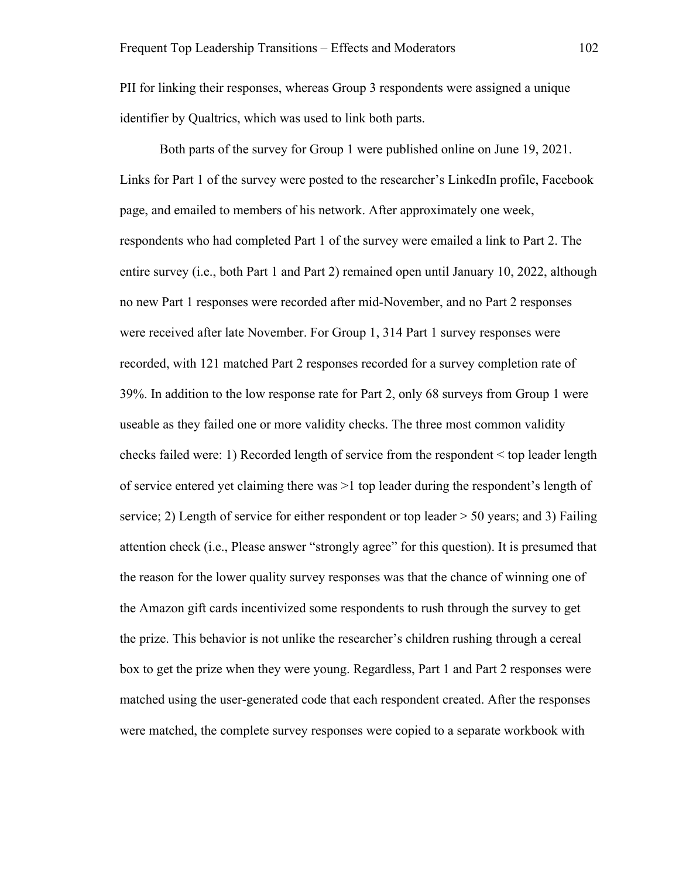PII for linking their responses, whereas Group 3 respondents were assigned a unique identifier by Qualtrics, which was used to link both parts.

Both parts of the survey for Group 1 were published online on June 19, 2021. Links for Part 1 of the survey were posted to the researcher's LinkedIn profile, Facebook page, and emailed to members of his network. After approximately one week, respondents who had completed Part 1 of the survey were emailed a link to Part 2. The entire survey (i.e., both Part 1 and Part 2) remained open until January 10, 2022, although no new Part 1 responses were recorded after mid-November, and no Part 2 responses were received after late November. For Group 1, 314 Part 1 survey responses were recorded, with 121 matched Part 2 responses recorded for a survey completion rate of 39%. In addition to the low response rate for Part 2, only 68 surveys from Group 1 were useable as they failed one or more validity checks. The three most common validity checks failed were: 1) Recorded length of service from the respondent < top leader length of service entered yet claiming there was >1 top leader during the respondent's length of service; 2) Length of service for either respondent or top leader > 50 years; and 3) Failing attention check (i.e., Please answer "strongly agree" for this question). It is presumed that the reason for the lower quality survey responses was that the chance of winning one of the Amazon gift cards incentivized some respondents to rush through the survey to get the prize. This behavior is not unlike the researcher's children rushing through a cereal box to get the prize when they were young. Regardless, Part 1 and Part 2 responses were matched using the user-generated code that each respondent created. After the responses were matched, the complete survey responses were copied to a separate workbook with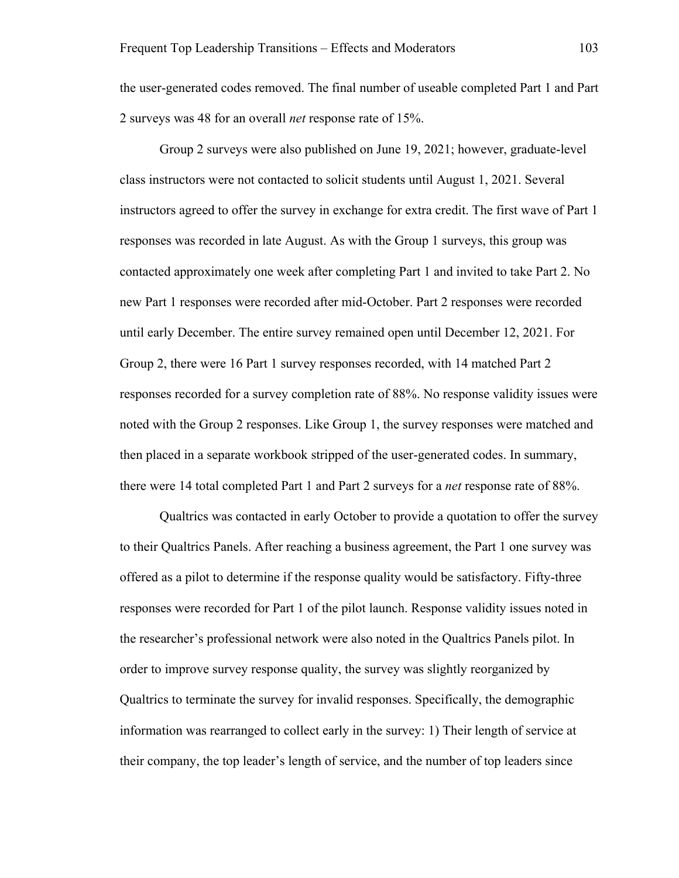the user-generated codes removed. The final number of useable completed Part 1 and Part 2 surveys was 48 for an overall *net* response rate of 15%.

Group 2 surveys were also published on June 19, 2021; however, graduate-level class instructors were not contacted to solicit students until August 1, 2021. Several instructors agreed to offer the survey in exchange for extra credit. The first wave of Part 1 responses was recorded in late August. As with the Group 1 surveys, this group was contacted approximately one week after completing Part 1 and invited to take Part 2. No new Part 1 responses were recorded after mid-October. Part 2 responses were recorded until early December. The entire survey remained open until December 12, 2021. For Group 2, there were 16 Part 1 survey responses recorded, with 14 matched Part 2 responses recorded for a survey completion rate of 88%. No response validity issues were noted with the Group 2 responses. Like Group 1, the survey responses were matched and then placed in a separate workbook stripped of the user-generated codes. In summary, there were 14 total completed Part 1 and Part 2 surveys for a *net* response rate of 88%.

Qualtrics was contacted in early October to provide a quotation to offer the survey to their Qualtrics Panels. After reaching a business agreement, the Part 1 one survey was offered as a pilot to determine if the response quality would be satisfactory. Fifty-three responses were recorded for Part 1 of the pilot launch. Response validity issues noted in the researcher's professional network were also noted in the Qualtrics Panels pilot. In order to improve survey response quality, the survey was slightly reorganized by Qualtrics to terminate the survey for invalid responses. Specifically, the demographic information was rearranged to collect early in the survey: 1) Their length of service at their company, the top leader's length of service, and the number of top leaders since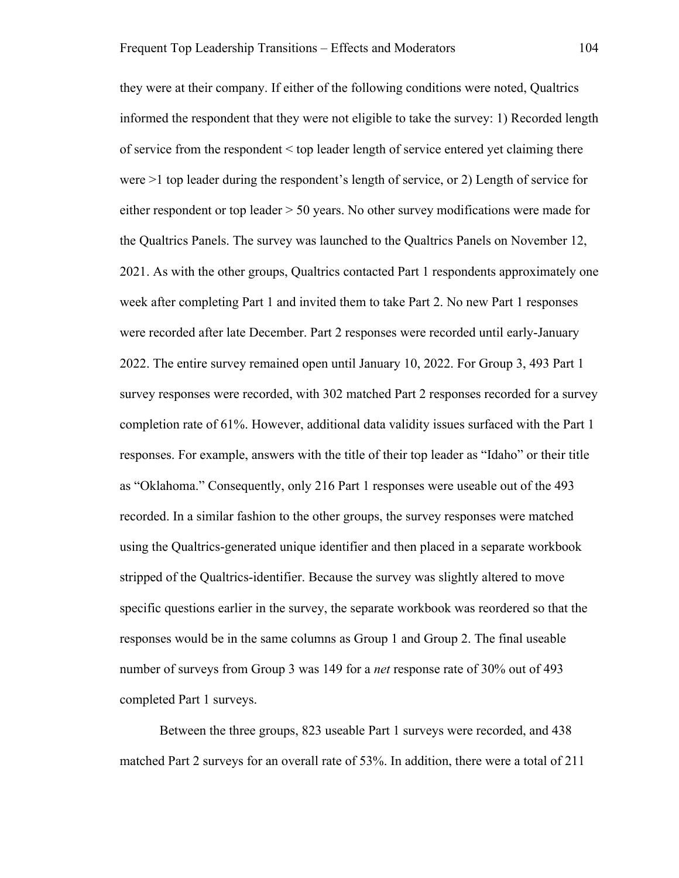they were at their company. If either of the following conditions were noted, Qualtrics informed the respondent that they were not eligible to take the survey: 1) Recorded length of service from the respondent < top leader length of service entered yet claiming there were >1 top leader during the respondent's length of service, or 2) Length of service for either respondent or top leader > 50 years. No other survey modifications were made for the Qualtrics Panels. The survey was launched to the Qualtrics Panels on November 12, 2021. As with the other groups, Qualtrics contacted Part 1 respondents approximately one week after completing Part 1 and invited them to take Part 2. No new Part 1 responses were recorded after late December. Part 2 responses were recorded until early-January 2022. The entire survey remained open until January 10, 2022. For Group 3, 493 Part 1 survey responses were recorded, with 302 matched Part 2 responses recorded for a survey completion rate of 61%. However, additional data validity issues surfaced with the Part 1 responses. For example, answers with the title of their top leader as "Idaho" or their title as "Oklahoma." Consequently, only 216 Part 1 responses were useable out of the 493 recorded. In a similar fashion to the other groups, the survey responses were matched using the Qualtrics-generated unique identifier and then placed in a separate workbook stripped of the Qualtrics-identifier. Because the survey was slightly altered to move specific questions earlier in the survey, the separate workbook was reordered so that the responses would be in the same columns as Group 1 and Group 2. The final useable number of surveys from Group 3 was 149 for a *net* response rate of 30% out of 493 completed Part 1 surveys.

Between the three groups, 823 useable Part 1 surveys were recorded, and 438 matched Part 2 surveys for an overall rate of 53%. In addition, there were a total of 211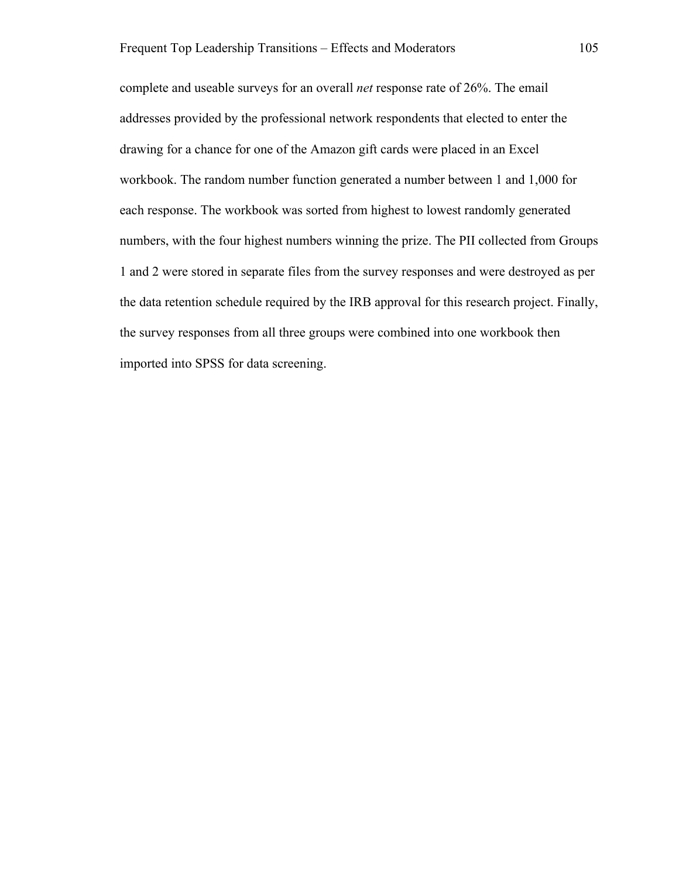complete and useable surveys for an overall *net* response rate of 26%. The email addresses provided by the professional network respondents that elected to enter the drawing for a chance for one of the Amazon gift cards were placed in an Excel workbook. The random number function generated a number between 1 and 1,000 for each response. The workbook was sorted from highest to lowest randomly generated numbers, with the four highest numbers winning the prize. The PII collected from Groups 1 and 2 were stored in separate files from the survey responses and were destroyed as per the data retention schedule required by the IRB approval for this research project. Finally, the survey responses from all three groups were combined into one workbook then imported into SPSS for data screening.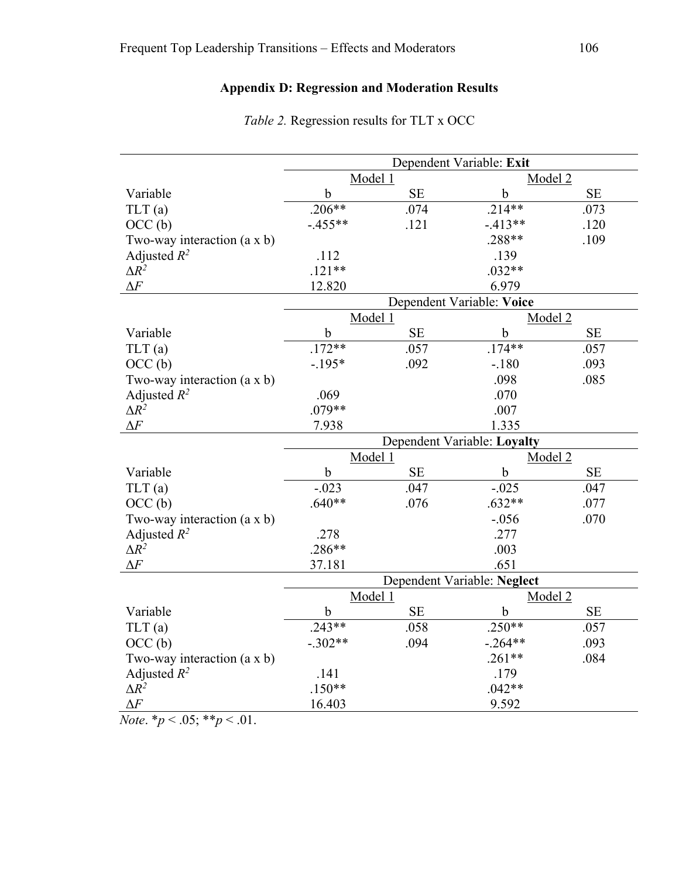# **Appendix D: Regression and Moderation Results**

|                                    | Dependent Variable: Exit    |           |             |           |  |
|------------------------------------|-----------------------------|-----------|-------------|-----------|--|
|                                    | Model 1                     |           | Model 2     |           |  |
| Variable                           | $\mathbf b$                 | <b>SE</b> | $\mathbf b$ | SE        |  |
| TLT(a)                             | $.206**$                    | .074      | $.214**$    | .073      |  |
| OCC <sub>(b)</sub>                 | $-.455**$                   | .121      | $-.413**$   | .120      |  |
| Two-way interaction (a x b)        |                             |           | $.288**$    | .109      |  |
| Adjusted $R^2$                     | .112                        |           | .139        |           |  |
| $\Delta R^2$                       | $.121**$                    |           | $.032**$    |           |  |
| $\Delta F$                         | 12.820                      |           | 6.979       |           |  |
|                                    | Dependent Variable: Voice   |           |             |           |  |
|                                    | Model 1                     |           | Model 2     |           |  |
| Variable                           | $\mathbf b$                 | $\rm SE$  | $\mathbf b$ | <b>SE</b> |  |
| TLT(a)                             | $.172**$                    | .057      | $.174**$    | .057      |  |
| OCC <sub>(b)</sub>                 | $-.195*$                    | .092      | $-.180$     | .093      |  |
| Two-way interaction (a x b)        |                             |           | .098        | .085      |  |
| Adjusted $R^2$                     | .069                        |           | .070        |           |  |
| $\Delta R^2$                       | $.079**$                    |           | .007        |           |  |
| $\Delta F$                         | 7.938                       |           | 1.335       |           |  |
|                                    | Dependent Variable: Loyalty |           |             |           |  |
|                                    | Model 1                     |           | Model 2     |           |  |
| Variable                           | $\mathbf b$                 | SE        | $\mathbf b$ | $\rm SE$  |  |
| TLT(a)                             | $-.023$                     | .047      | $-.025$     | .047      |  |
| OCC <sub>(b)</sub>                 | $.640**$                    | .076      | $.632**$    | .077      |  |
| Two-way interaction $(a \times b)$ |                             |           | $-.056$     | .070      |  |
| Adjusted $R^2$                     | .278                        |           | .277        |           |  |
| $\Delta R^2$                       | $.286**$                    |           | .003        |           |  |
| $\Delta F$                         | 37.181                      |           | .651        |           |  |
|                                    | Dependent Variable: Neglect |           |             |           |  |
|                                    | Model 1                     |           | Model 2     |           |  |
| Variable                           | $\mathbf b$                 | <b>SE</b> | $\mathbf b$ | <b>SE</b> |  |
| TLT(a)                             | $.243**$                    | .058      | $.250**$    | .057      |  |
| OCC <sub>(b)</sub>                 | $-.302**$                   | .094      | $-.264**$   | .093      |  |
| Two-way interaction $(a \times b)$ |                             |           | $.261**$    | .084      |  |
| Adjusted $R^2$                     | .141                        |           | .179        |           |  |
| $\Delta R^2$                       | $.150**$                    |           | $.042**$    |           |  |
| $\Delta F$                         | 16.403                      |           | 9.592       |           |  |

*Table 2.* Regression results for TLT x OCC

*Note*.  $*_{p}$  < .05;  $*_{p}$  < .01.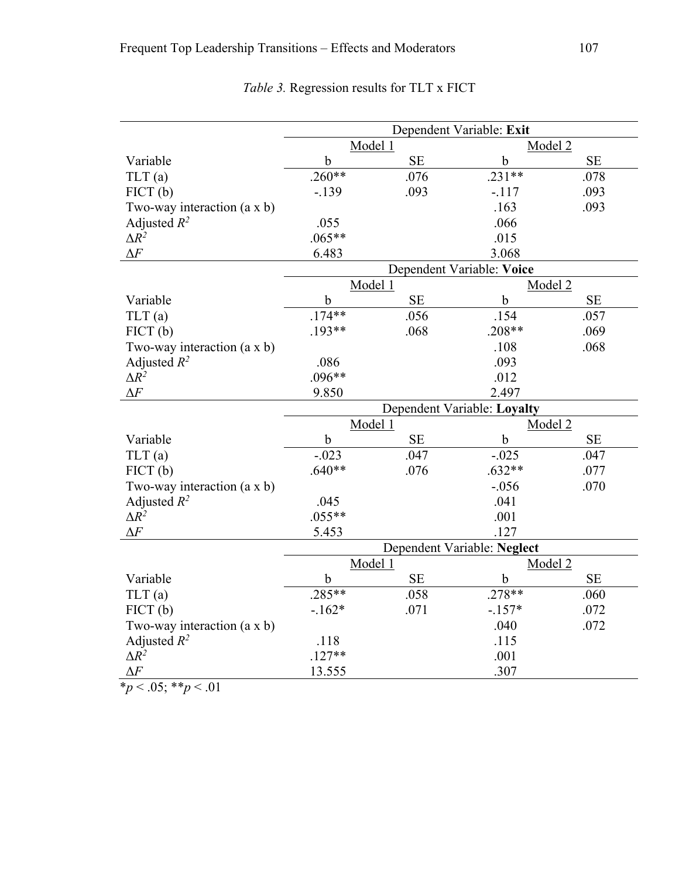|                                    | Dependent Variable: Exit    |          |             |          |  |  |
|------------------------------------|-----------------------------|----------|-------------|----------|--|--|
|                                    | Model 1                     |          | Model 2     |          |  |  |
| Variable                           | $\mathbf b$                 | SE       | $\mathbf b$ | SE       |  |  |
| TLT(a)                             | $.260**$                    | .076     | $.231**$    | .078     |  |  |
| FICT(b)                            | $-.139$                     | .093     | $-.117$     | .093     |  |  |
| Two-way interaction $(a \times b)$ |                             |          | .163        | .093     |  |  |
| Adjusted $R^2$                     | .055                        |          | .066        |          |  |  |
| $\Delta R^2$                       | $.065**$                    |          | .015        |          |  |  |
| $\Delta F$                         | 6.483                       |          | 3.068       |          |  |  |
|                                    | Dependent Variable: Voice   |          |             |          |  |  |
|                                    | Model 1                     |          | Model 2     |          |  |  |
| Variable                           | $\mathbf b$                 | $\rm SE$ | $\mathbf b$ | $\rm SE$ |  |  |
| TLT(a)                             | $.174**$                    | .056     | .154        | .057     |  |  |
| FICT(b)                            | $.193**$                    | .068     | $.208**$    | .069     |  |  |
| Two-way interaction $(a \times b)$ |                             |          | .108        | .068     |  |  |
| Adjusted $R^2$                     | .086                        |          | .093        |          |  |  |
| $\Delta R^2$                       | $.096**$                    |          | .012        |          |  |  |
| $\Delta F$                         | 9.850                       |          | 2.497       |          |  |  |
|                                    | Dependent Variable: Loyalty |          |             |          |  |  |
|                                    | Model 1                     |          | Model 2     |          |  |  |
| Variable                           | $\mathbf b$                 | SE       | $\mathbf b$ | $\rm SE$ |  |  |
| TLT(a)                             | $-.023$                     | .047     | $-.025$     | .047     |  |  |
| FICT(b)                            | $.640**$                    | .076     | $.632**$    | .077     |  |  |
| Two-way interaction $(a \times b)$ |                             |          | $-.056$     | .070     |  |  |
| Adjusted $R^2$                     | .045                        |          | .041        |          |  |  |
| $\Delta R^2$                       | $.055**$                    |          | .001        |          |  |  |
| $\Delta F$                         | 5.453                       |          | .127        |          |  |  |
|                                    | Dependent Variable: Neglect |          |             |          |  |  |
|                                    | Model 1                     |          | Model 2     |          |  |  |
| Variable                           | $\mathbf b$                 | $\rm SE$ | $\mathbf b$ | $\rm SE$ |  |  |
| TLT(a)                             | $.285**$                    | .058     | $.278**$    | .060     |  |  |
| FICT(b)                            | $-162*$                     | .071     | $-.157*$    | .072     |  |  |
| Two-way interaction (a x b)        |                             |          | .040        | .072     |  |  |
| Adjusted $R^2$                     | .118                        |          | .115        |          |  |  |
| $\Delta R^2$                       | $.127**$                    |          | .001        |          |  |  |
| $\Delta F$                         | 13.555                      |          | .307        |          |  |  |
| $*_p$ < .05; **p < .01             |                             |          |             |          |  |  |

*Table 3.* Regression results for TLT x FICT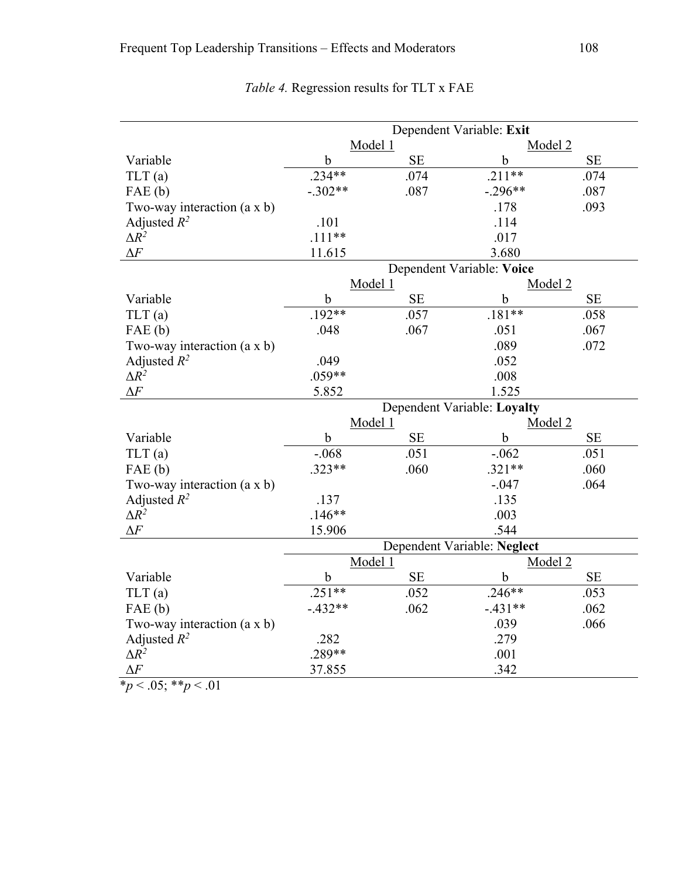|                                    | Dependent Variable: Exit    |           |             |           |  |
|------------------------------------|-----------------------------|-----------|-------------|-----------|--|
|                                    | Model 1                     |           | Model 2     |           |  |
| Variable                           | $\mathbf b$                 | <b>SE</b> | b           | $\rm SE$  |  |
| TLT(a)                             | $.234**$                    | .074      | $.211**$    | .074      |  |
| FAE(b)                             | $-.302**$                   | .087      | $-.296**$   | .087      |  |
| Two-way interaction $(a \times b)$ |                             |           | .178        | .093      |  |
| Adjusted $R^2$                     | .101                        |           | .114        |           |  |
| $\Delta R^2$                       | $.111**$                    |           | .017        |           |  |
| $\Delta F$                         | 11.615                      |           | 3.680       |           |  |
|                                    | Dependent Variable: Voice   |           |             |           |  |
|                                    | Model 1                     |           | Model 2     |           |  |
| Variable                           | $\mathbf b$                 | SE        | b           | <b>SE</b> |  |
| TLT(a)                             | $.192**$                    | .057      | $.181**$    | .058      |  |
| FAE(b)                             | .048                        | .067      | .051        | .067      |  |
| Two-way interaction $(a \times b)$ |                             |           | .089        | .072      |  |
| Adjusted $R^2$                     | .049                        |           | .052        |           |  |
| $\Delta R^2$                       | $.059**$                    |           | .008        |           |  |
| $\Delta F$                         | 5.852                       |           | 1.525       |           |  |
|                                    | Dependent Variable: Loyalty |           |             |           |  |
|                                    | Model 1                     |           | Model 2     |           |  |
| Variable                           | $\mathbf b$                 | $\rm SE$  | b           | <b>SE</b> |  |
| TLT(a)                             | $-.068$                     | .051      | $-.062$     | .051      |  |
| FAE(b)                             | $.323**$                    | .060      | $.321**$    | .060      |  |
| Two-way interaction (a x b)        |                             |           | $-.047$     | .064      |  |
| Adjusted $R^2$                     | .137                        |           | .135        |           |  |
| $\Delta R^2$                       | $.146**$                    |           | .003        |           |  |
| $\Delta F$                         | 15.906                      |           | .544        |           |  |
|                                    | Dependent Variable: Neglect |           |             |           |  |
|                                    | Model 1                     |           | Model 2     |           |  |
| Variable                           | $\mathbf b$                 | $\rm SE$  | $\mathbf b$ | $\rm SE$  |  |
| TLT(a)                             | $.251**$                    | .052      | $.246**$    | .053      |  |
| FAE(b)                             | $-.432**$                   | .062      | $-.431**$   | .062      |  |
| Two-way interaction $(a \times b)$ |                             |           | .039        | .066      |  |
| Adjusted $R^2$                     | .282                        |           | .279        |           |  |
| $\Delta R^2$                       | .289**                      |           | .001        |           |  |
| $\Delta F$                         | 37.855                      |           | .342        |           |  |
| * $p < .05$ ; ** $p < .01$         |                             |           |             |           |  |

*Table 4.* Regression results for TLT x FAE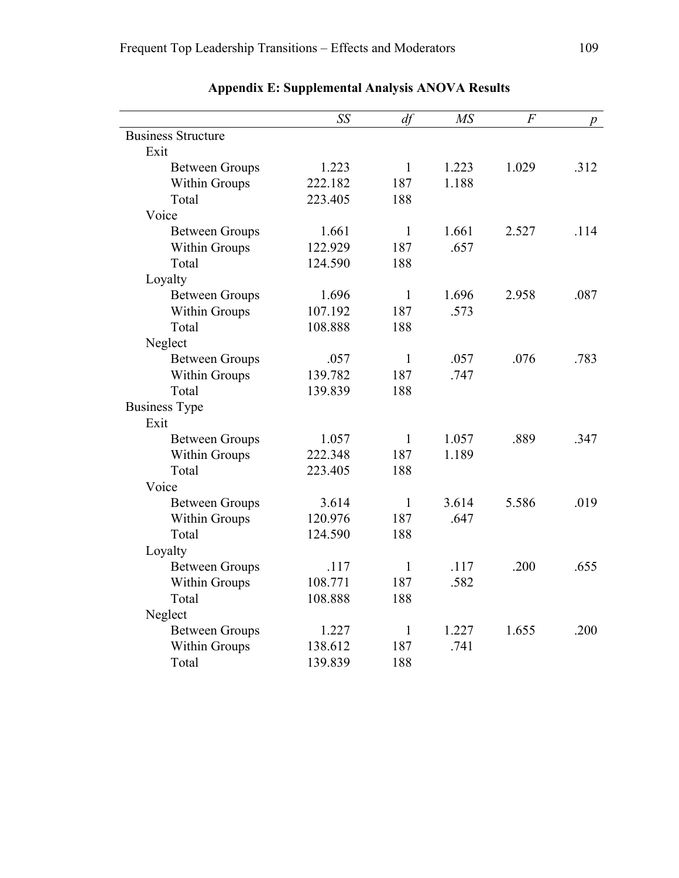|                           | SS      | df           | M <sub>S</sub> | $\overline{F}$ | р    |
|---------------------------|---------|--------------|----------------|----------------|------|
| <b>Business Structure</b> |         |              |                |                |      |
| Exit                      |         |              |                |                |      |
| <b>Between Groups</b>     | 1.223   | $\mathbf{1}$ | 1.223          | 1.029          | .312 |
| Within Groups             | 222.182 | 187          | 1.188          |                |      |
| Total                     | 223.405 | 188          |                |                |      |
| Voice                     |         |              |                |                |      |
| <b>Between Groups</b>     | 1.661   | $\mathbf{1}$ | 1.661          | 2.527          | .114 |
| Within Groups             | 122.929 | 187          | .657           |                |      |
| Total                     | 124.590 | 188          |                |                |      |
| Loyalty                   |         |              |                |                |      |
| <b>Between Groups</b>     | 1.696   | $\mathbf{1}$ | 1.696          | 2.958          | .087 |
| Within Groups             | 107.192 | 187          | .573           |                |      |
| Total                     | 108.888 | 188          |                |                |      |
| Neglect                   |         |              |                |                |      |
| <b>Between Groups</b>     | .057    | $\mathbf{1}$ | .057           | .076           | .783 |
| Within Groups             | 139.782 | 187          | .747           |                |      |
| Total                     | 139.839 | 188          |                |                |      |
| <b>Business Type</b>      |         |              |                |                |      |
| Exit                      |         |              |                |                |      |
| <b>Between Groups</b>     | 1.057   | $\mathbf{1}$ | 1.057          | .889           | .347 |
| Within Groups             | 222.348 | 187          | 1.189          |                |      |
| Total                     | 223.405 | 188          |                |                |      |
| Voice                     |         |              |                |                |      |
| <b>Between Groups</b>     | 3.614   | $\mathbf{1}$ | 3.614          | 5.586          | .019 |
| Within Groups             | 120.976 | 187          | .647           |                |      |
| Total                     | 124.590 | 188          |                |                |      |
| Loyalty                   |         |              |                |                |      |
| <b>Between Groups</b>     | .117    | $\mathbf{1}$ | .117           | .200           | .655 |
| Within Groups             | 108.771 | 187          | .582           |                |      |
| Total                     | 108.888 | 188          |                |                |      |
| Neglect                   |         |              |                |                |      |
| <b>Between Groups</b>     | 1.227   | $\mathbf{1}$ | 1.227          | 1.655          | .200 |
| Within Groups             | 138.612 | 187          | .741           |                |      |
| Total                     | 139.839 | 188          |                |                |      |

## **Appendix E: Supplemental Analysis ANOVA Results**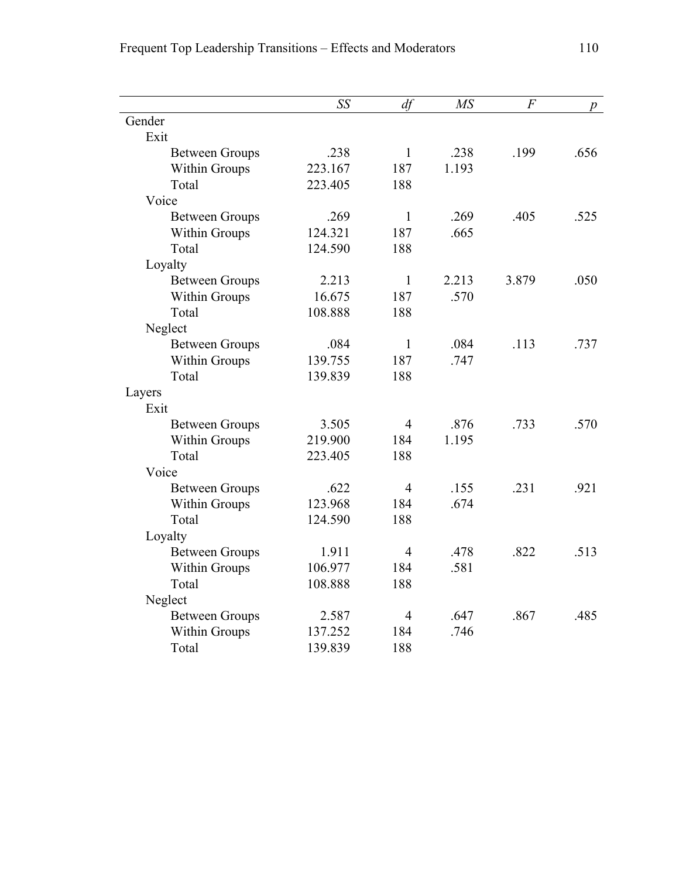|                       | SS      | df             | <b>MS</b> | $\overline{F}$ |      |
|-----------------------|---------|----------------|-----------|----------------|------|
| Gender                |         |                |           |                | р    |
| Exit                  |         |                |           |                |      |
| <b>Between Groups</b> | .238    | $\mathbf{1}$   | .238      | .199           | .656 |
| Within Groups         | 223.167 | 187            | 1.193     |                |      |
| Total                 | 223.405 | 188            |           |                |      |
| Voice                 |         |                |           |                |      |
| <b>Between Groups</b> | .269    | $\mathbf{1}$   | .269      | .405           | .525 |
| Within Groups         | 124.321 | 187            | .665      |                |      |
| Total                 | 124.590 | 188            |           |                |      |
| Loyalty               |         |                |           |                |      |
| <b>Between Groups</b> | 2.213   | $\mathbf{1}$   | 2.213     | 3.879          | .050 |
| Within Groups         | 16.675  | 187            | .570      |                |      |
| Total                 | 108.888 | 188            |           |                |      |
| Neglect               |         |                |           |                |      |
| <b>Between Groups</b> | .084    | $\mathbf{1}$   | .084      | .113           | .737 |
| Within Groups         | 139.755 | 187            | .747      |                |      |
| Total                 | 139.839 | 188            |           |                |      |
| Layers                |         |                |           |                |      |
| Exit                  |         |                |           |                |      |
| <b>Between Groups</b> | 3.505   | $\overline{4}$ | .876      | .733           | .570 |
| Within Groups         | 219.900 | 184            | 1.195     |                |      |
| Total                 | 223.405 | 188            |           |                |      |
| Voice                 |         |                |           |                |      |
| <b>Between Groups</b> | .622    | $\overline{4}$ | .155      | .231           | .921 |
| Within Groups         | 123.968 | 184            | .674      |                |      |
| Total                 | 124.590 | 188            |           |                |      |
| Loyalty               |         |                |           |                |      |
| <b>Between Groups</b> | 1.911   | $\overline{4}$ | .478      | .822           | .513 |
| Within Groups         | 106.977 | 184            | .581      |                |      |
| Total                 | 108.888 | 188            |           |                |      |
| Neglect               |         |                |           |                |      |
| <b>Between Groups</b> | 2.587   | $\overline{4}$ | .647      | .867           | .485 |
| Within Groups         | 137.252 | 184            | .746      |                |      |
| Total                 | 139.839 | 188            |           |                |      |